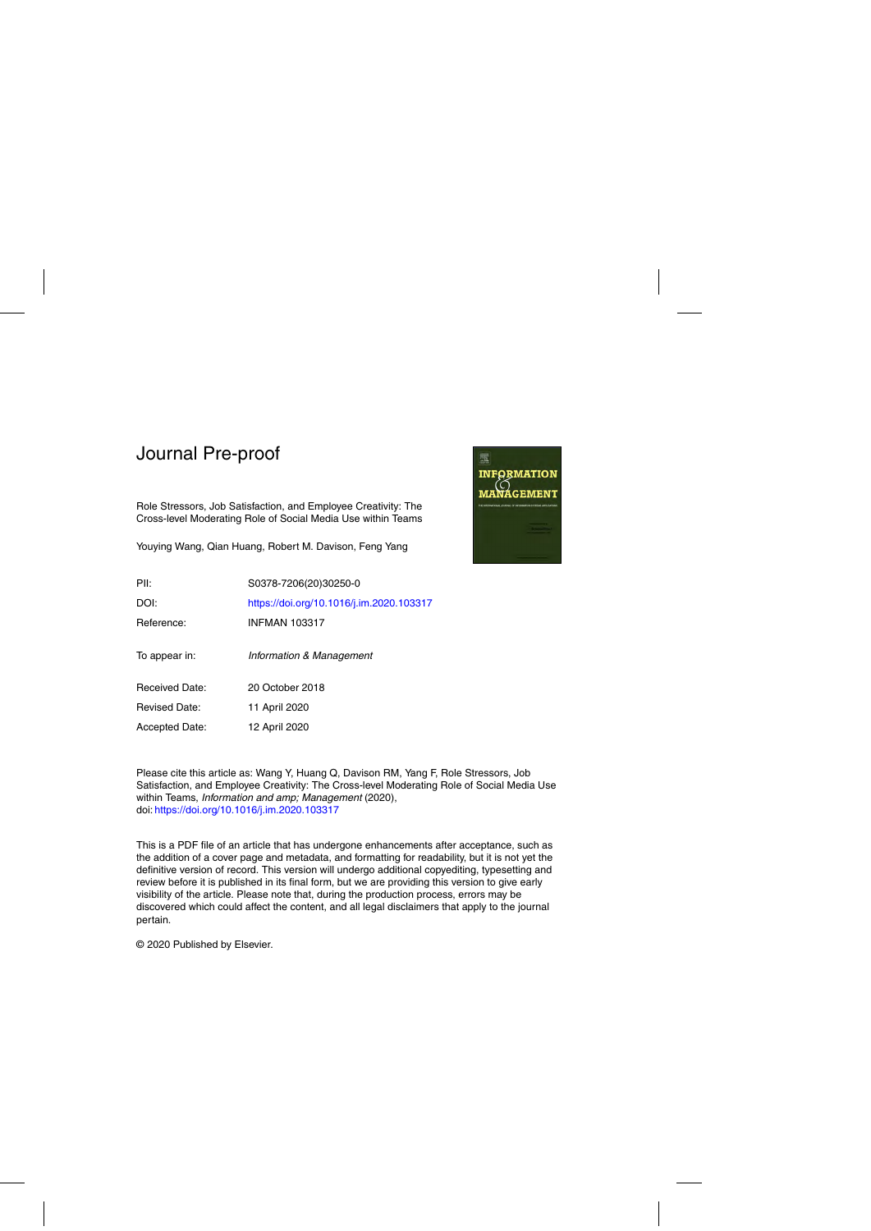Role Stressors, Job Satisfaction, and Employee Creativity: The Cross-level Moderating Role of Social Media Use within Teams

Youying Wang, Qian Huang, Robert M. Davison, Feng Yang



Please cite this article as: Wang Y, Huang Q, Davison RM, Yang F, Role Stressors, Job Satisfaction, and Employee Creativity: The Cross-level Moderating Role of Social Media Use within Teams, Information and amp; Management (2020), doi: <https://doi.org/10.1016/j.im.2020.103317>

This is a PDF file of an article that has undergone enhancements after acceptance, such as the addition of a cover page and metadata, and formatting for readability, but it is not yet the definitive version of record. This version will undergo additional copyediting, typesetting and review before it is published in its final form, but we are providing this version to give early visibility of the article. Please note that, during the production process, errors may be discovered which could affect the content, and all legal disclaimers that apply to the journal pertain.

© 2020 Published by Elsevier.

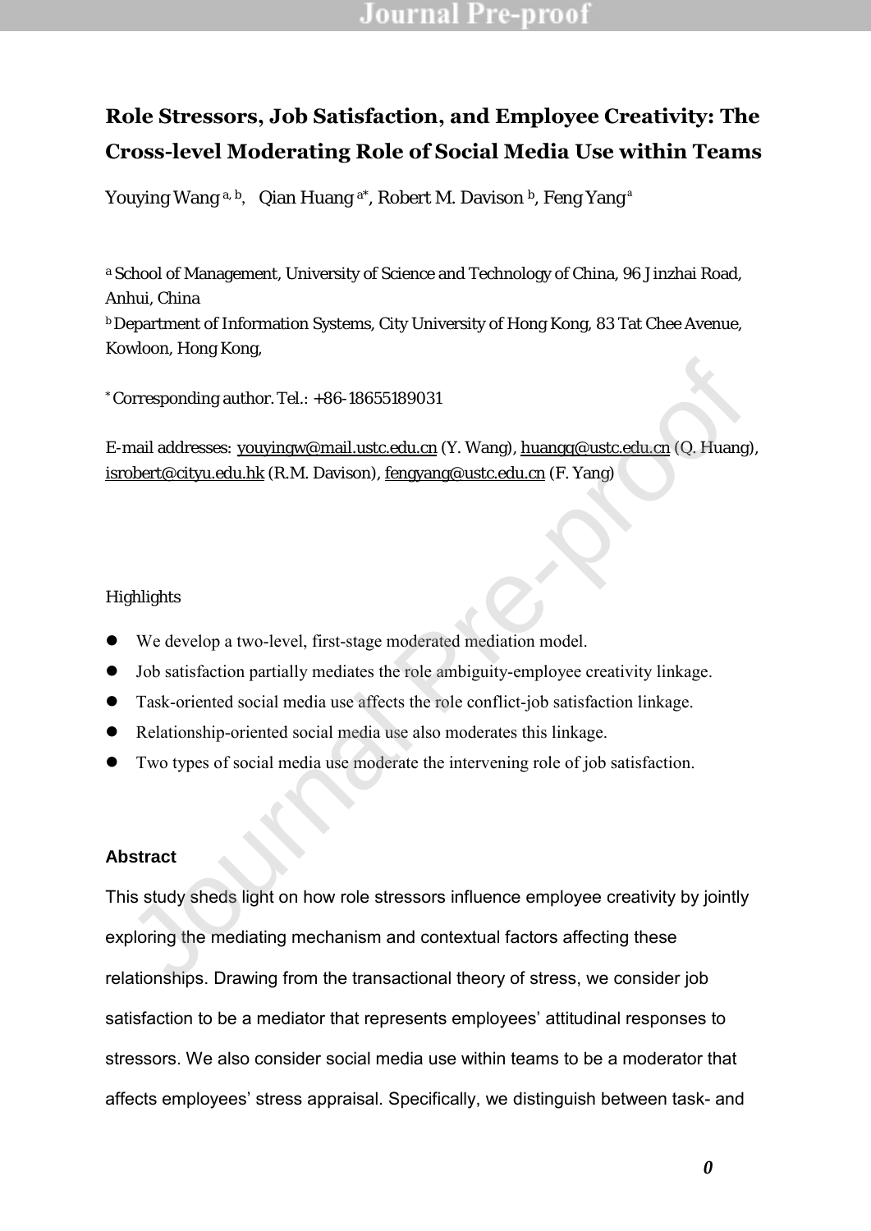# **Role Stressors, Job Satisfaction, and Employee Creativity: The Cross-level Moderating Role of Social Media Use within Teams**

Youying Wang a, b, Qian Huang a\*, Robert M. Davison b, Feng Yang a

a School of Management, University of Science and Technology of China, 96 Jinzhai Road, Anhui, China

**b** Department of Information Systems, City University of Hong Kong, 83 Tat Chee Avenue, Kowloon, Hong Kong,

 $*$  Corresponding author. Tel.:  $+86-18655189031$ 

E-mail addresses: youyingw@mail.ustc.edu.cn (Y. Wang), huangq@ustc.edu.cn (Q. Huang), isrobert@cityu.edu.hk (R.M. Davison), fengyang@ustc.edu.cn (F. Yang)

**Highlights** 

- We develop a two-level, first-stage moderated mediation model.
- Job satisfaction partially mediates the role ambiguity-employee creativity linkage.
- Task-oriented social media use affects the role conflict-job satisfaction linkage.
- Relationship-oriented social media use also moderates this linkage.
- Two types of social media use moderate the intervening role of job satisfaction.

### **Abstract**

This study sheds light on how role stressors influence employee creativity by jointly exploring the mediating mechanism and contextual factors affecting these relationships. Drawing from the transactional theory of stress, we consider job satisfaction to be a mediator that represents employees' attitudinal responses to stressors. We also consider social media use within teams to be a moderator that affects employees' stress appraisal. Specifically, we distinguish between task- and orresponding author. Tel.: +86-18655189031<br>
mail addresses: <u>youyingw@mail ustc.edu.on</u> (Y. Wang), <u>huangq@ustc edu.on</u> (O. Huang<br>
obert@cityu.edu.hk (R.M. Davison), <u>fengyang@ustc.edu.on</u> (F. Yang)<br>
scheen the develop a t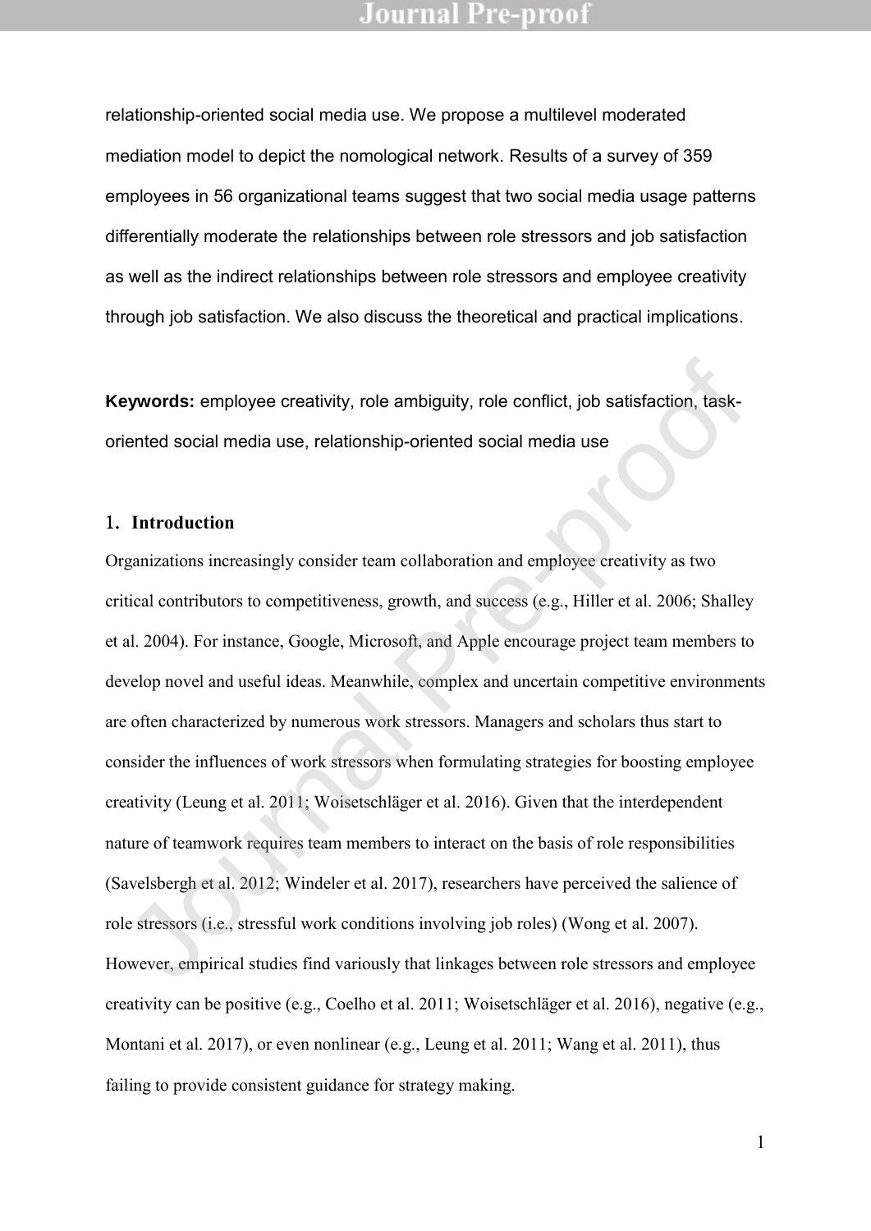relationship-oriented social media use. We propose a multilevel moderated mediation model to depict the nomological network. Results of a survey of 359 employees in 56 organizational teams suggest that two social media usage patterns differentially moderate the relationships between role stressors and job satisfaction as well as the indirect relationships between role stressors and employee creativity through job satisfaction. We also discuss the theoretical and practical implications.

**Keywords:** employee creativity, role ambiguity, role conflict, job satisfaction, taskoriented social media use, relationship-oriented social media use

#### 1. **Introduction**

Organizations increasingly consider team collaboration and employee creativity as two critical contributors to competitiveness, growth, and success (e.g., Hiller et al. 2006; Shalley et al. 2004). For instance, Google, Microsoft, and Apple encourage project team members to develop novel and useful ideas. Meanwhile, complex and uncertain competitive environments are often characterized by numerous work stressors. Managers and scholars thus start to consider the influences of work stressors when formulating strategies for boosting employee creativity (Leung et al. 2011; Woisetschläger et al. 2016). Given that the interdependent nature of teamwork requires team members to interact on the basis of role responsibilities (Savelsbergh et al. 2012; Windeler et al. 2017), researchers have perceived the salience of role stressors (i.e., stressful work conditions involving job roles) (Wong et al. 2007). However, empirical studies find variously that linkages between role stressors and employee creativity can be positive (e.g., Coelho et al. 2011; Woisetschläger et al. 2016), negative (e.g., Montani et al. 2017), or even nonlinear (e.g., Leung et al. 2011; Wang et al. 2011), thus failing to provide consistent guidance for strategy making. **Expanded Social media use, relationship-oriented social media uses.**<br> **Introduction**<br> **Introduction**<br> **Introduction**<br> **Introduction**<br> **Introduction**<br> **Introduction**<br> **Introduction**<br> **Introduction**<br> **Introduction**<br> **Introd**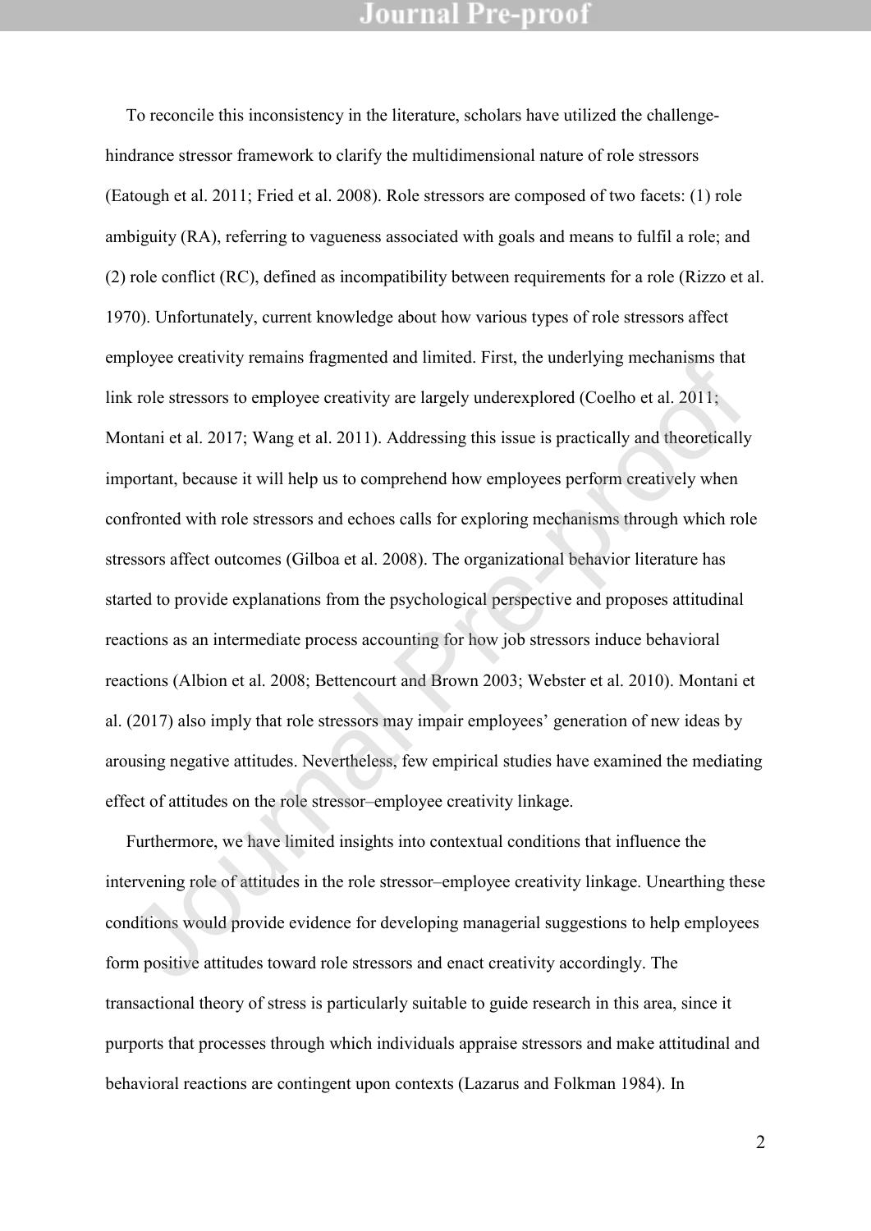To reconcile this inconsistency in the literature, scholars have utilized the challengehindrance stressor framework to clarify the multidimensional nature of role stressors (Eatough et al. 2011; Fried et al. 2008). Role stressors are composed of two facets: (1) role ambiguity (RA), referring to vagueness associated with goals and means to fulfil a role; and (2) role conflict (RC), defined as incompatibility between requirements for a role (Rizzo et al. 1970). Unfortunately, current knowledge about how various types of role stressors affect employee creativity remains fragmented and limited. First, the underlying mechanisms that link role stressors to employee creativity are largely underexplored (Coelho et al. 2011; Montani et al. 2017; Wang et al. 2011). Addressing this issue is practically and theoretically important, because it will help us to comprehend how employees perform creatively when confronted with role stressors and echoes calls for exploring mechanisms through which role stressors affect outcomes (Gilboa et al. 2008). The organizational behavior literature has started to provide explanations from the psychological perspective and proposes attitudinal reactions as an intermediate process accounting for how job stressors induce behavioral reactions (Albion et al. 2008; Bettencourt and Brown 2003; Webster et al. 2010). Montani et al. (2017) also imply that role stressors may impair employees' generation of new ideas by arousing negative attitudes. Nevertheless, few empirical studies have examined the mediating effect of attitudes on the role stressor–employee creativity linkage. phytoc encarivity remains inaginemed and infined. First, the underlying incensins that<br>
show the stressors to employee creativity are largely underexplored (Coelho et al. 2011;<br>
nontani et al. 2017; Wang et al. 2011). Addr

Furthermore, we have limited insights into contextual conditions that influence the intervening role of attitudes in the role stressor–employee creativity linkage. Unearthing these conditions would provide evidence for developing managerial suggestions to help employees form positive attitudes toward role stressors and enact creativity accordingly. The transactional theory of stress is particularly suitable to guide research in this area, since it purports that processes through which individuals appraise stressors and make attitudinal and behavioral reactions are contingent upon contexts (Lazarus and Folkman 1984). In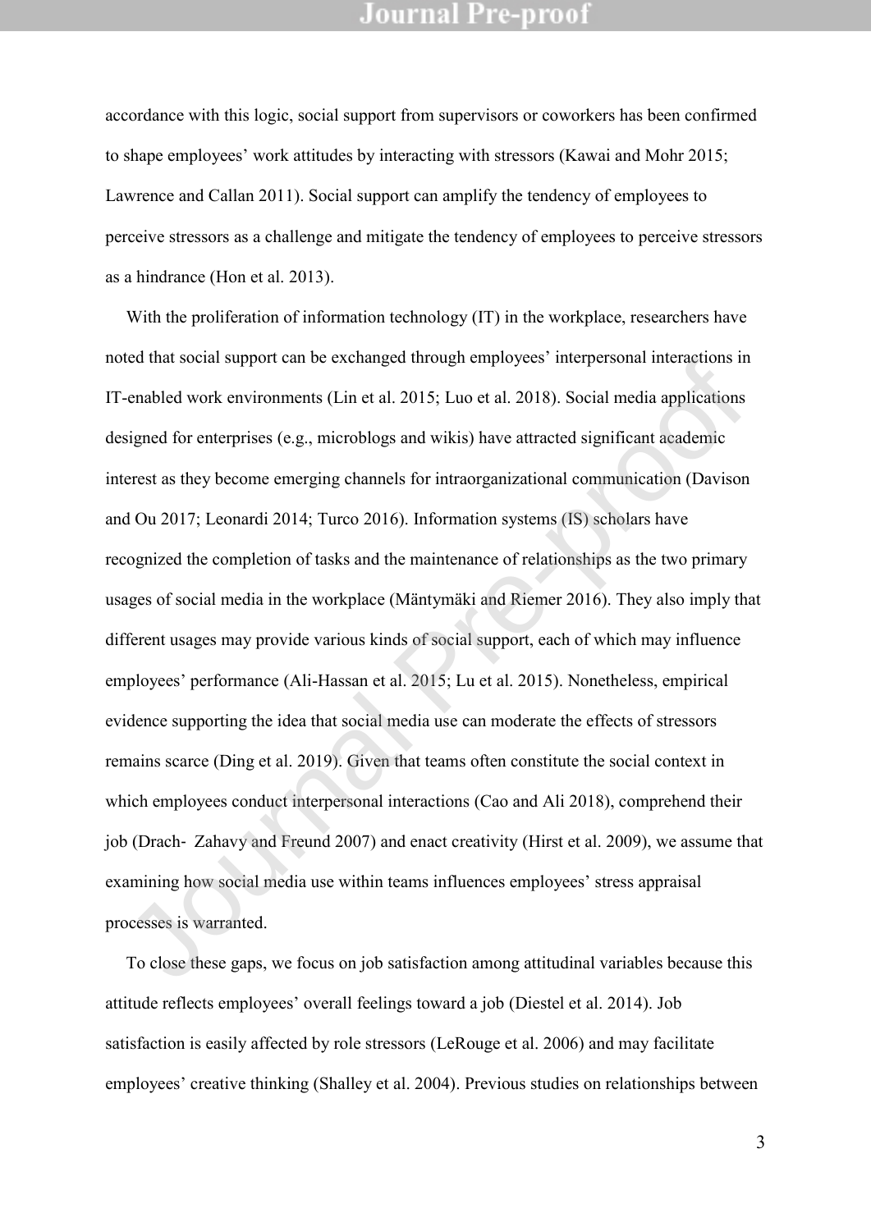accordance with this logic, social support from supervisors or coworkers has been confirmed to shape employees' work attitudes by interacting with stressors (Kawai and Mohr 2015; Lawrence and Callan 2011). Social support can amplify the tendency of employees to perceive stressors as a challenge and mitigate the tendency of employees to perceive stressors as a hindrance (Hon et al. 2013).

With the proliferation of information technology (IT) in the workplace, researchers have noted that social support can be exchanged through employees' interpersonal interactions in IT-enabled work environments (Lin et al. 2015; Luo et al. 2018). Social media applications designed for enterprises (e.g., microblogs and wikis) have attracted significant academic interest as they become emerging channels for intraorganizational communication (Davison and Ou 2017; Leonardi 2014; Turco 2016). Information systems (IS) scholars have recognized the completion of tasks and the maintenance of relationships as the two primary usages of social media in the workplace (Mäntymäki and Riemer 2016). They also imply that different usages may provide various kinds of social support, each of which may influence employees' performance (Ali-Hassan et al. 2015; Lu et al. 2015). Nonetheless, empirical evidence supporting the idea that social media use can moderate the effects of stressors remains scarce (Ding et al. 2019). Given that teams often constitute the social context in which employees conduct interpersonal interactions (Cao and Ali 2018), comprehend their job (Drach‐ Zahavy and Freund 2007) and enact creativity (Hirst et al. 2009), we assume that examining how social media use within teams influences employees' stress appraisal processes is warranted. ical mat social support can be exchanged intough employees interpersional interactions in<br>c-nabled work environments (Lin et al. 2015; Luo et al. 2018). Social media applications<br>signed for enterprises (e.g., microblogs an

To close these gaps, we focus on job satisfaction among attitudinal variables because this attitude reflects employees' overall feelings toward a job (Diestel et al. 2014). Job satisfaction is easily affected by role stressors (LeRouge et al. 2006) and may facilitate employees' creative thinking (Shalley et al. 2004). Previous studies on relationships between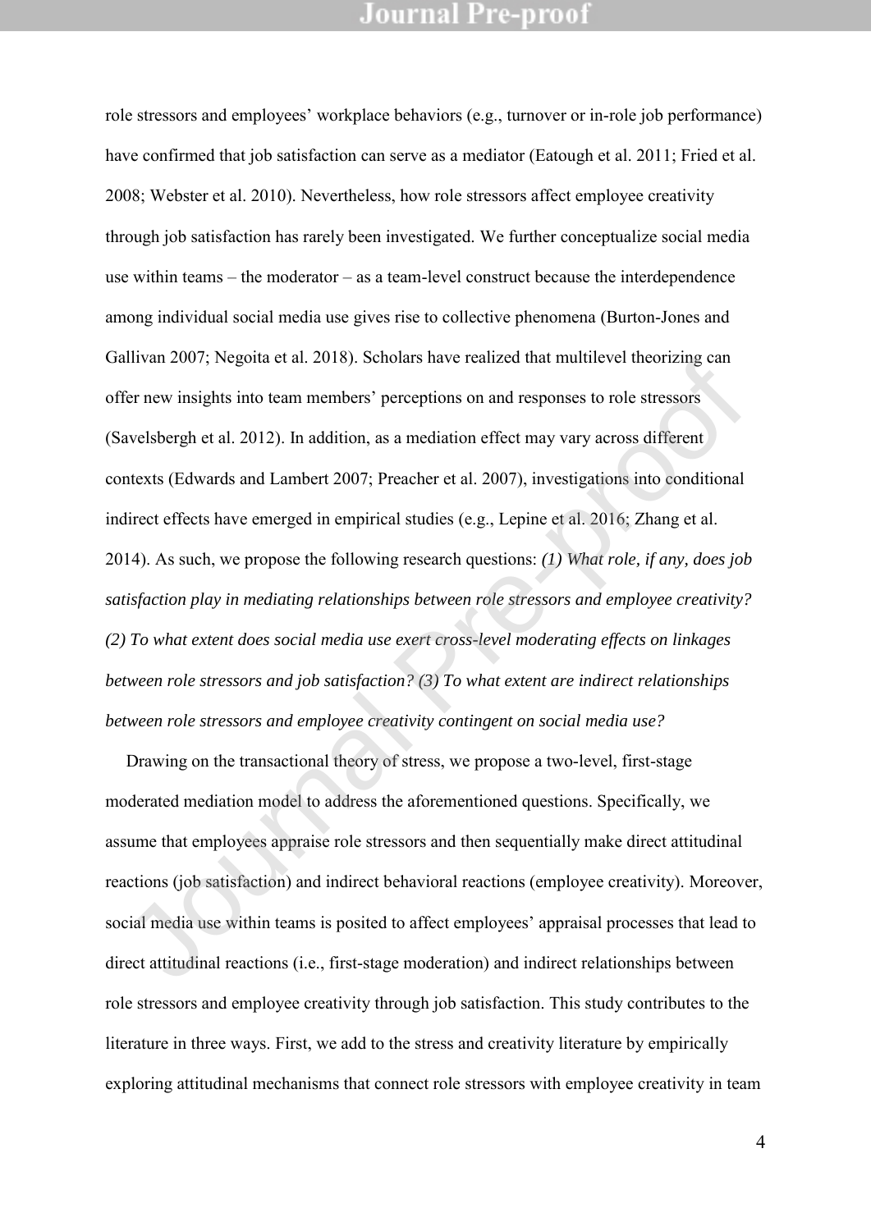role stressors and employees' workplace behaviors (e.g., turnover or in-role job performance) have confirmed that job satisfaction can serve as a mediator (Eatough et al. 2011; Fried et al. 2008; Webster et al. 2010). Nevertheless, how role stressors affect employee creativity through job satisfaction has rarely been investigated. We further conceptualize social media use within teams – the moderator – as a team-level construct because the interdependence among individual social media use gives rise to collective phenomena (Burton-Jones and Gallivan 2007; Negoita et al. 2018). Scholars have realized that multilevel theorizing can offer new insights into team members' perceptions on and responses to role stressors (Savelsbergh et al. 2012). In addition, as a mediation effect may vary across different contexts (Edwards and Lambert 2007; Preacher et al. 2007), investigations into conditional indirect effects have emerged in empirical studies (e.g., Lepine et al. 2016; Zhang et al. 2014). As such, we propose the following research questions: *(1) What role, if any, does job satisfaction play in mediating relationships between role stressors and employee creativity? (2) To what extent does social media use exert cross-level moderating effects on linkages between role stressors and job satisfaction? (3) To what extent are indirect relationships between role stressors and employee creativity contingent on social media use?* mivan 2007; Negona et ar. 2016). Senoras nave reanized mat minimever incording can<br>fer new insights into team members' perceptions on and responses to role stressors<br>avelsbergh et al. 2012). In addition, as a mediation eff

Drawing on the transactional theory of stress, we propose a two-level, first-stage moderated mediation model to address the aforementioned questions. Specifically, we assume that employees appraise role stressors and then sequentially make direct attitudinal reactions (job satisfaction) and indirect behavioral reactions (employee creativity). Moreover, social media use within teams is posited to affect employees' appraisal processes that lead to direct attitudinal reactions (i.e., first-stage moderation) and indirect relationships between role stressors and employee creativity through job satisfaction. This study contributes to the literature in three ways. First, we add to the stress and creativity literature by empirically exploring attitudinal mechanisms that connect role stressors with employee creativity in team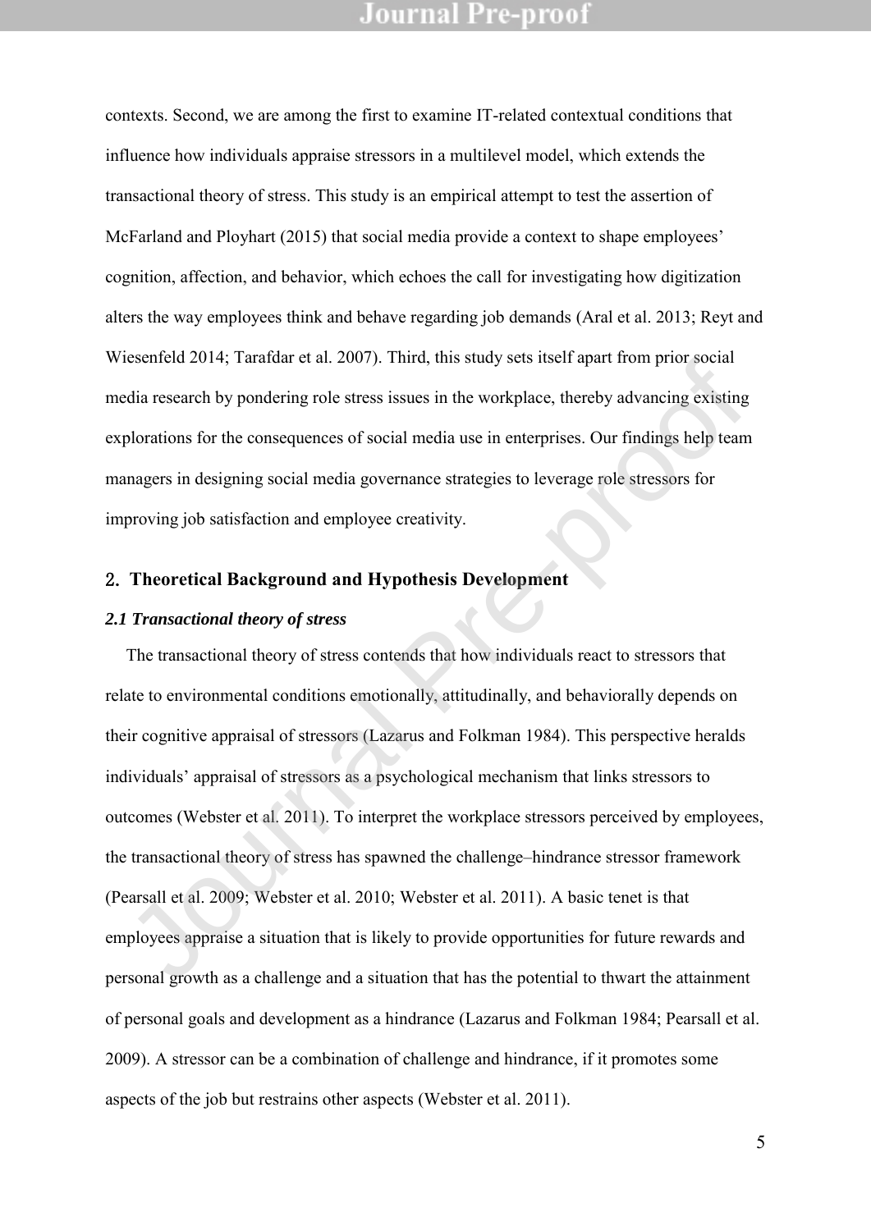contexts. Second, we are among the first to examine IT-related contextual conditions that influence how individuals appraise stressors in a multilevel model, which extends the transactional theory of stress. This study is an empirical attempt to test the assertion of McFarland and Ployhart (2015) that social media provide a context to shape employees' cognition, affection, and behavior, which echoes the call for investigating how digitization alters the way employees think and behave regarding job demands (Aral et al. 2013; Reyt and Wiesenfeld 2014; Tarafdar et al. 2007). Third, this study sets itself apart from prior social media research by pondering role stress issues in the workplace, thereby advancing existing explorations for the consequences of social media use in enterprises. Our findings help team managers in designing social media governance strategies to leverage role stressors for improving job satisfaction and employee creativity.

### 2. **Theoretical Background and Hypothesis Development**

#### *2.1 Transactional theory of stress*

The transactional theory of stress contends that how individuals react to stressors that relate to environmental conditions emotionally, attitudinally, and behaviorally depends on their cognitive appraisal of stressors (Lazarus and Folkman 1984). This perspective heralds individuals' appraisal of stressors as a psychological mechanism that links stressors to outcomes (Webster et al. 2011). To interpret the workplace stressors perceived by employees, the transactional theory of stress has spawned the challenge–hindrance stressor framework (Pearsall et al. 2009; Webster et al. 2010; Webster et al. 2011). A basic tenet is that employees appraise a situation that is likely to provide opportunities for future rewards and personal growth as a challenge and a situation that has the potential to thwart the attainment of personal goals and development as a hindrance (Lazarus and Folkman 1984; Pearsall et al. 2009). A stressor can be a combination of challenge and hindrance, if it promotes some aspects of the job but restrains other aspects (Webster et al. 2011). Insertional 2014, Tantian et al. 2007). Thrin, this study sess issel apart from prior social<br>dia research by pondering role stress issues in the workplace, thereby advancing existing<br>plorations for the consequences of soci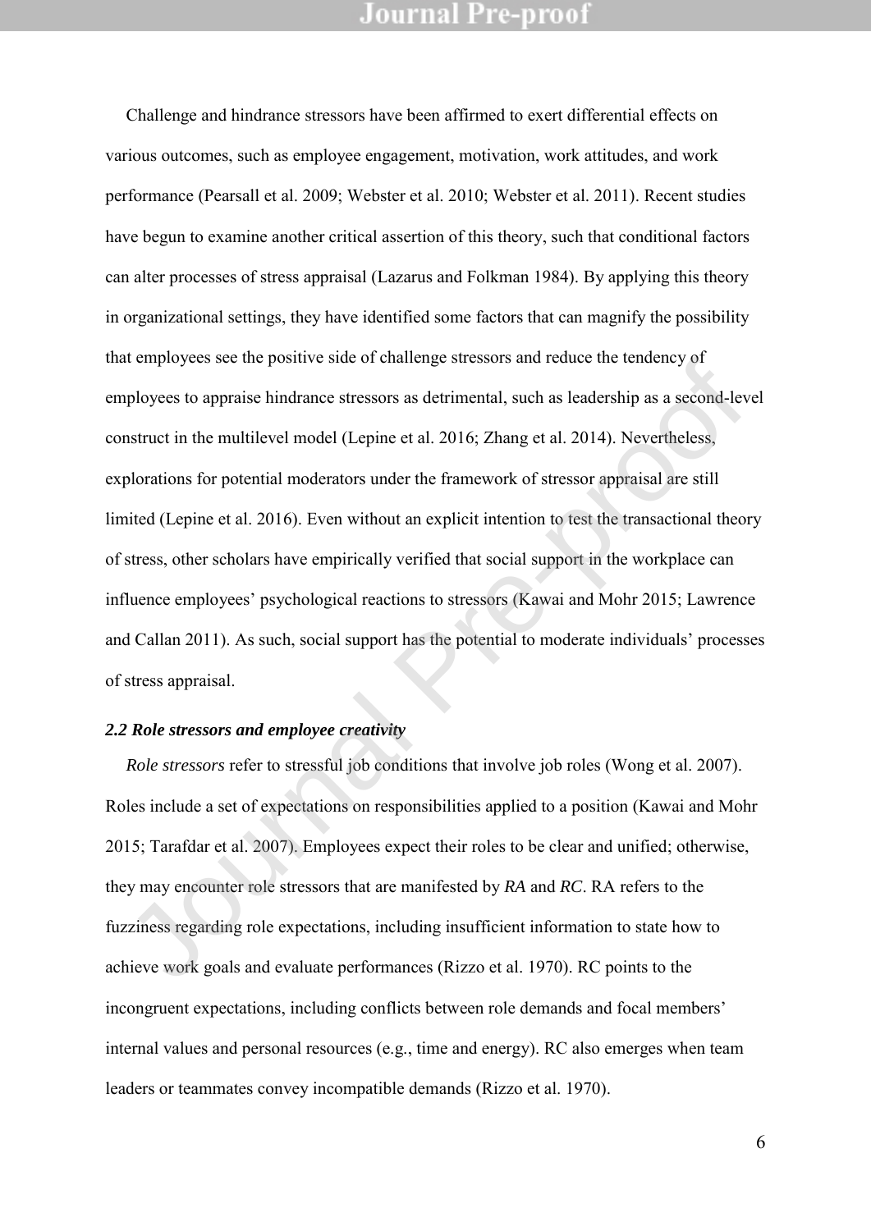Challenge and hindrance stressors have been affirmed to exert differential effects on various outcomes, such as employee engagement, motivation, work attitudes, and work performance (Pearsall et al. 2009; Webster et al. 2010; Webster et al. 2011). Recent studies have begun to examine another critical assertion of this theory, such that conditional factors can alter processes of stress appraisal (Lazarus and Folkman 1984). By applying this theory in organizational settings, they have identified some factors that can magnify the possibility that employees see the positive side of challenge stressors and reduce the tendency of employees to appraise hindrance stressors as detrimental, such as leadership as a second-level construct in the multilevel model (Lepine et al. 2016; Zhang et al. 2014). Nevertheless, explorations for potential moderators under the framework of stressor appraisal are still limited (Lepine et al. 2016). Even without an explicit intention to test the transactional theory of stress, other scholars have empirically verified that social support in the workplace can influence employees' psychological reactions to stressors (Kawai and Mohr 2015; Lawrence and Callan 2011). As such, social support has the potential to moderate individuals' processes of stress appraisal. at employees see the positive state of entancinge stressors and retative the tenterity of<br>pholyees to appraise hindrance stressors as detrimental, such as leadership as a second-lev<br>nstruct in the multilevel model (Lepine

#### *2.2 Role stressors and employee creativity*

*Role stressors* refer to stressful job conditions that involve job roles (Wong et al. 2007). Roles include a set of expectations on responsibilities applied to a position (Kawai and Mohr 2015; Tarafdar et al. 2007). Employees expect their roles to be clear and unified; otherwise, they may encounter role stressors that are manifested by *RA* and *RC*. RA refers to the fuzziness regarding role expectations, including insufficient information to state how to achieve work goals and evaluate performances (Rizzo et al. 1970). RC points to the incongruent expectations, including conflicts between role demands and focal members' internal values and personal resources (e.g., time and energy). RC also emerges when team leaders or teammates convey incompatible demands (Rizzo et al. 1970).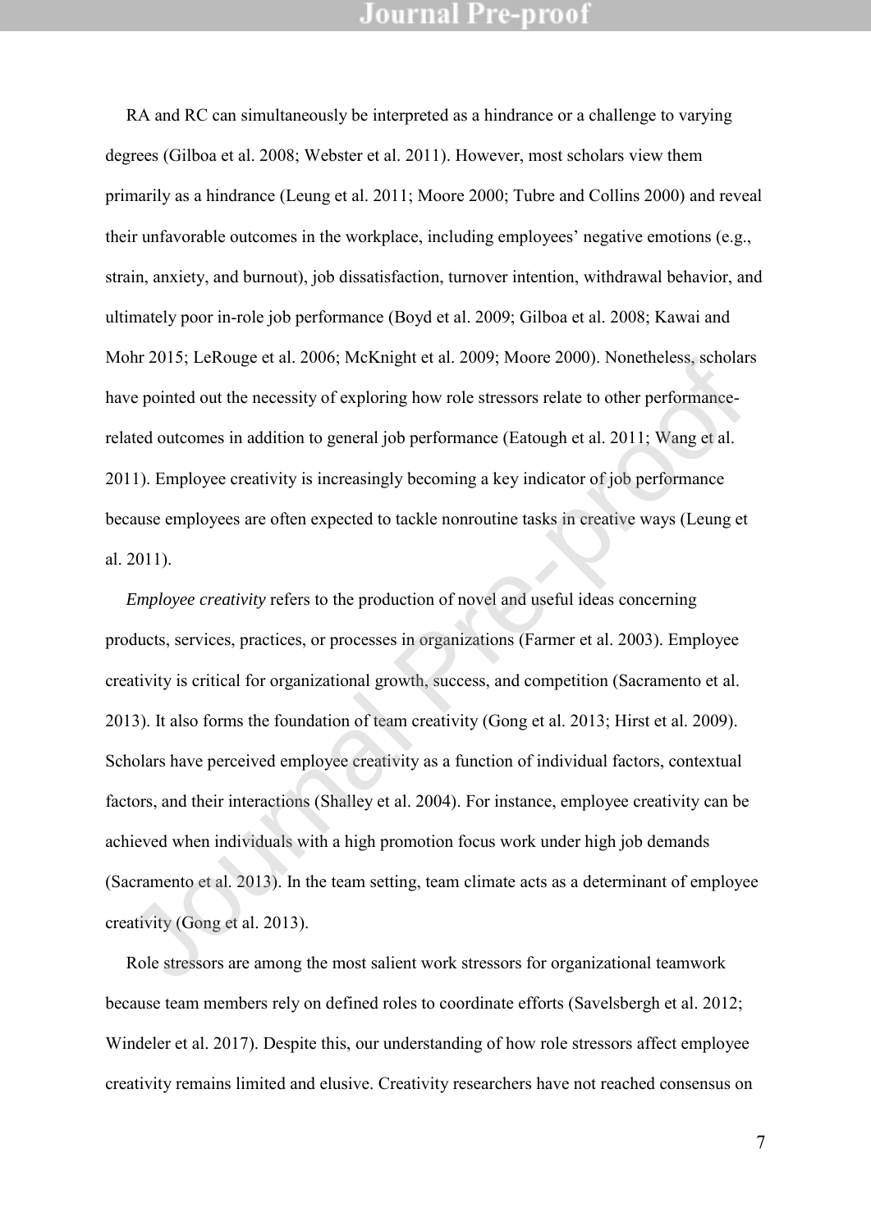RA and RC can simultaneously be interpreted as a hindrance or a challenge to varying degrees (Gilboa et al. 2008; Webster et al. 2011). However, most scholars view them primarily as a hindrance (Leung et al. 2011; Moore 2000; Tubre and Collins 2000) and reveal their unfavorable outcomes in the workplace, including employees' negative emotions (e.g., strain, anxiety, and burnout), job dissatisfaction, turnover intention, withdrawal behavior, and ultimately poor in-role job performance (Boyd et al. 2009; Gilboa et al. 2008; Kawai and Mohr 2015; LeRouge et al. 2006; McKnight et al. 2009; Moore 2000). Nonetheless, scholars have pointed out the necessity of exploring how role stressors relate to other performancerelated outcomes in addition to general job performance (Eatough et al. 2011; Wang et al. 2011). Employee creativity is increasingly becoming a key indicator of job performance because employees are often expected to tackle nonroutine tasks in creative ways (Leung et al. 2011).

*Employee creativity* refers to the production of novel and useful ideas concerning products, services, practices, or processes in organizations (Farmer et al. 2003). Employee creativity is critical for organizational growth, success, and competition (Sacramento et al. 2013). It also forms the foundation of team creativity (Gong et al. 2013; Hirst et al. 2009). Scholars have perceived employee creativity as a function of individual factors, contextual factors, and their interactions (Shalley et al. 2004). For instance, employee creativity can be achieved when individuals with a high promotion focus work under high job demands (Sacramento et al. 2013). In the team setting, team climate acts as a determinant of employee creativity (Gong et al. 2013). on zoro, Lextonge et al. 2006, McKingut et al. 2009, Mooe 2000). Noncancless, scholar<br>ve pointed out the necessity of exploring how role stressors relate to other performance-<br>ated outcomes in addition to general job perfo

Role stressors are among the most salient work stressors for organizational teamwork because team members rely on defined roles to coordinate efforts (Savelsbergh et al. 2012; Windeler et al. 2017). Despite this, our understanding of how role stressors affect employee creativity remains limited and elusive. Creativity researchers have not reached consensus on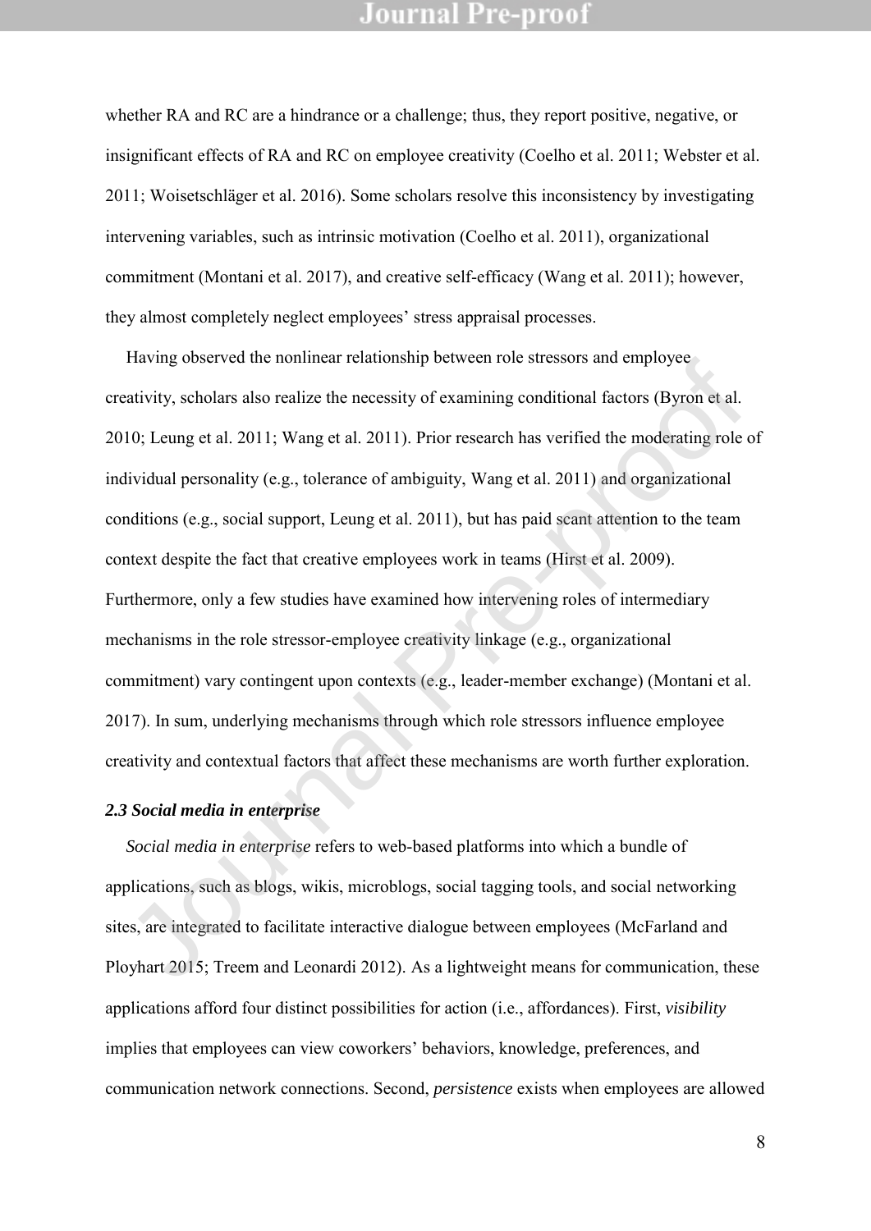whether RA and RC are a hindrance or a challenge; thus, they report positive, negative, or insignificant effects of RA and RC on employee creativity (Coelho et al. 2011; Webster et al. 2011; Woisetschläger et al. 2016). Some scholars resolve this inconsistency by investigating intervening variables, such as intrinsic motivation (Coelho et al. 2011), organizational commitment (Montani et al. 2017), and creative self-efficacy (Wang et al. 2011); however, they almost completely neglect employees' stress appraisal processes.

Having observed the nonlinear relationship between role stressors and employee creativity, scholars also realize the necessity of examining conditional factors (Byron et al. 2010; Leung et al. 2011; Wang et al. 2011). Prior research has verified the moderating role of individual personality (e.g., tolerance of ambiguity, Wang et al. 2011) and organizational conditions (e.g., social support, Leung et al. 2011), but has paid scant attention to the team context despite the fact that creative employees work in teams (Hirst et al. 2009). Furthermore, only a few studies have examined how intervening roles of intermediary mechanisms in the role stressor-employee creativity linkage (e.g., organizational commitment) vary contingent upon contexts (e.g., leader-member exchange) (Montani et al. 2017). In sum, underlying mechanisms through which role stressors influence employee creativity and contextual factors that affect these mechanisms are worth further exploration. riaving observed the hominear tenatomship between rote stressors and employee<br>attivity, scholars also realize the necessity of examining conditional factors (Byron et al.<br>10; Leung et al. 2011; Wang et al. 2011). Prior res

#### *2.3 Social media in enterprise*

*Social media in enterprise* refers to web-based platforms into which a bundle of applications, such as blogs, wikis, microblogs, social tagging tools, and social networking sites, are integrated to facilitate interactive dialogue between employees (McFarland and Ployhart 2015; Treem and Leonardi 2012). As a lightweight means for communication, these applications afford four distinct possibilities for action (i.e., affordances). First, *visibility* implies that employees can view coworkers' behaviors, knowledge, preferences, and communication network connections. Second, *persistence* exists when employees are allowed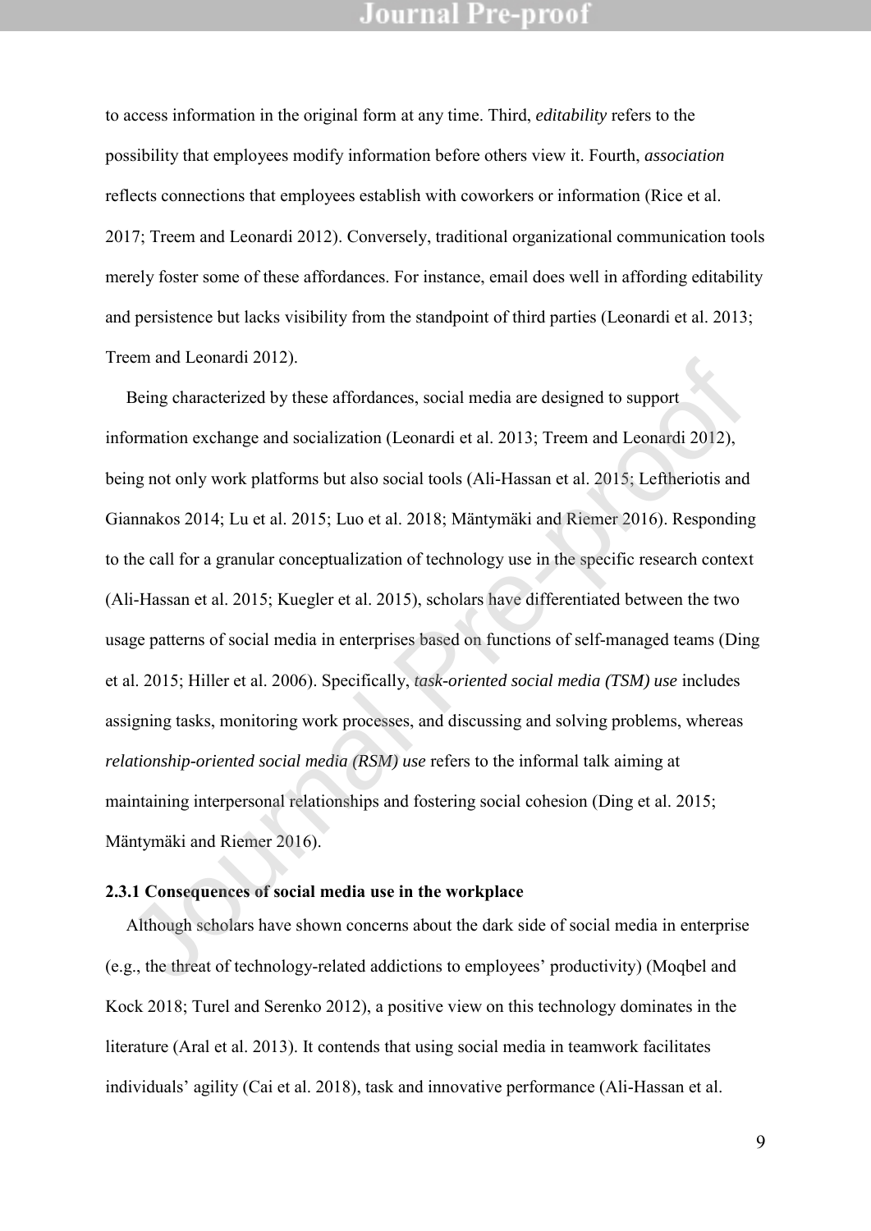to access information in the original form at any time. Third, *editability* refers to the possibility that employees modify information before others view it. Fourth, *association* reflects connections that employees establish with coworkers or information (Rice et al. 2017; Treem and Leonardi 2012). Conversely, traditional organizational communication tools merely foster some of these affordances. For instance, email does well in affording editability and persistence but lacks visibility from the standpoint of third parties (Leonardi et al. 2013; Treem and Leonardi 2012).

Being characterized by these affordances, social media are designed to support information exchange and socialization (Leonardi et al. 2013; Treem and Leonardi 2012), being not only work platforms but also social tools (Ali-Hassan et al. 2015; Leftheriotis and Giannakos 2014; Lu et al. 2015; Luo et al. 2018; Mäntymäki and Riemer 2016). Responding to the call for a granular conceptualization of technology use in the specific research context (Ali-Hassan et al. 2015; Kuegler et al. 2015), scholars have differentiated between the two usage patterns of social media in enterprises based on functions of self-managed teams (Ding et al. 2015; Hiller et al. 2006). Specifically, *task-oriented social media (TSM) use* includes assigning tasks, monitoring work processes, and discussing and solving problems, whereas *relationship-oriented social media (RSM) use* refers to the informal talk aiming at maintaining interpersonal relationships and fostering social cohesion (Ding et al. 2015; Mäntymäki and Riemer 2016). Elem and Leonarui 2012).<br>
Being characterized by these affordances, social media are designed to support<br>
formation exchange and socialization (Leonardi et al. 2013; Treem and Leonardi 2012),<br>
ing not only work platforms b

#### **2.3.1 Consequences of social media use in the workplace**

Although scholars have shown concerns about the dark side of social media in enterprise (e.g., the threat of technology-related addictions to employees' productivity) (Moqbel and Kock 2018; Turel and Serenko 2012), a positive view on this technology dominates in the literature (Aral et al. 2013). It contends that using social media in teamwork facilitates individuals' agility (Cai et al. 2018), task and innovative performance (Ali-Hassan et al.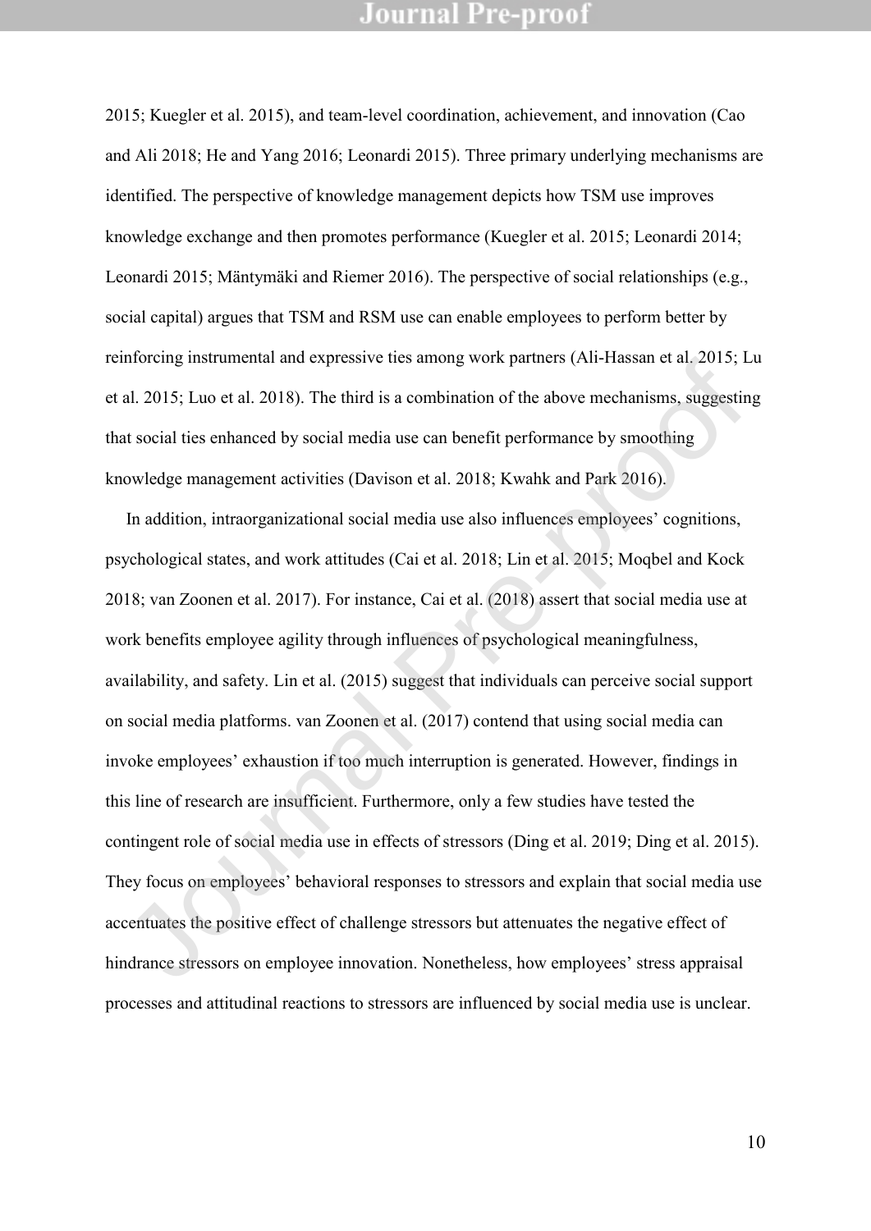2015; Kuegler et al. 2015), and team-level coordination, achievement, and innovation (Cao and Ali 2018; He and Yang 2016; Leonardi 2015). Three primary underlying mechanisms are identified. The perspective of knowledge management depicts how TSM use improves knowledge exchange and then promotes performance (Kuegler et al. 2015; Leonardi 2014; Leonardi 2015; Mäntymäki and Riemer 2016). The perspective of social relationships (e.g., social capital) argues that TSM and RSM use can enable employees to perform better by reinforcing instrumental and expressive ties among work partners (Ali-Hassan et al. 2015; Lu et al. 2015; Luo et al. 2018). The third is a combination of the above mechanisms, suggesting that social ties enhanced by social media use can benefit performance by smoothing knowledge management activities (Davison et al. 2018; Kwahk and Park 2016).

In addition, intraorganizational social media use also influences employees' cognitions, psychological states, and work attitudes (Cai et al. 2018; Lin et al. 2015; Moqbel and Kock 2018; van Zoonen et al. 2017). For instance, Cai et al. (2018) assert that social media use at work benefits employee agility through influences of psychological meaningfulness, availability, and safety. Lin et al. (2015) suggest that individuals can perceive social support on social media platforms. van Zoonen et al. (2017) contend that using social media can invoke employees' exhaustion if too much interruption is generated. However, findings in this line of research are insufficient. Furthermore, only a few studies have tested the contingent role of social media use in effects of stressors (Ding et al. 2019; Ding et al. 2015). They focus on employees' behavioral responses to stressors and explain that social media use accentuates the positive effect of challenge stressors but attenuates the negative effect of hindrance stressors on employee innovation. Nonetheless, how employees' stress appraisal remoteing insulancenta and expressive ties among work partners (Ari-Frassan et at. 2013, L.<br>
et al. 2015; Luo et al. 2018). The third is a combination of the above mechanisms, suggesting<br>
that social ties enhanced by socia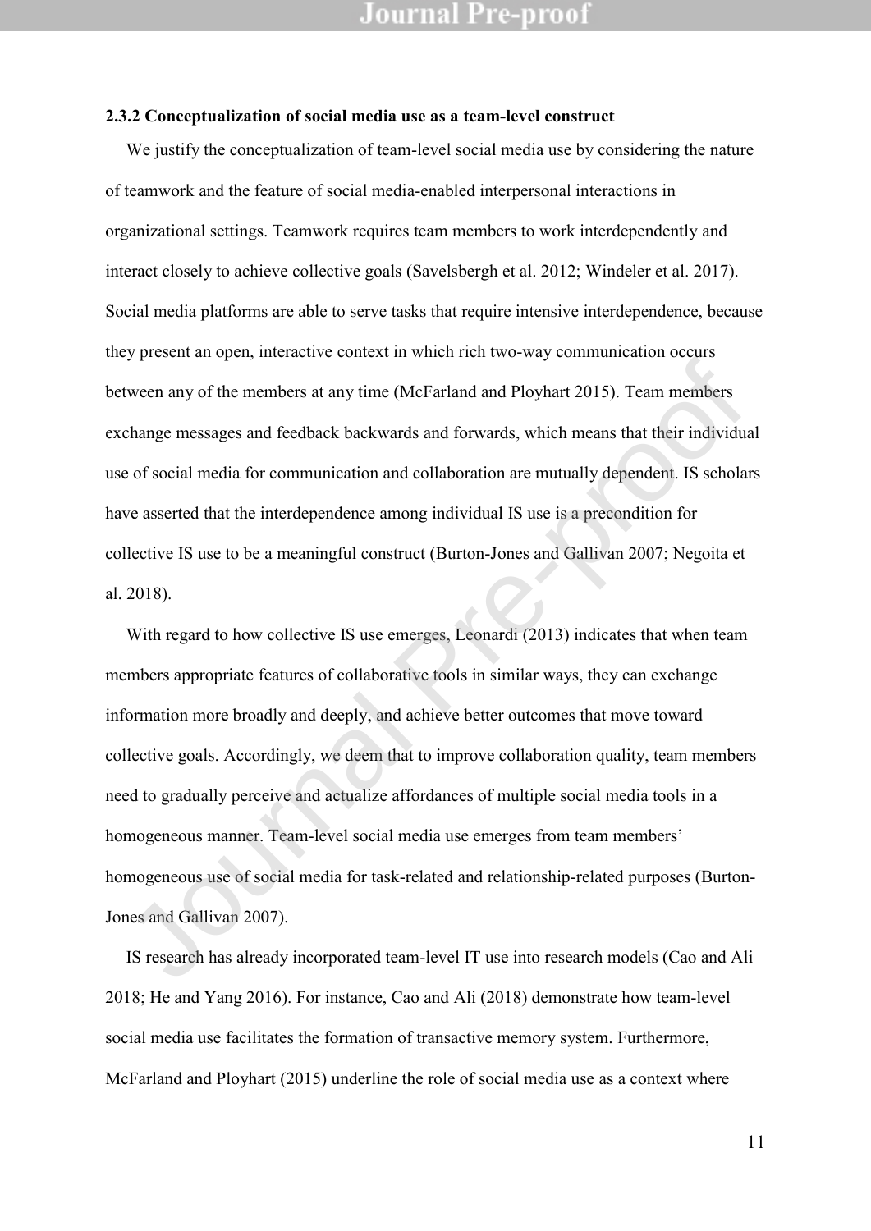#### **2.3.2 Conceptualization of social media use as a team-level construct**

We justify the conceptualization of team-level social media use by considering the nature of teamwork and the feature of social media-enabled interpersonal interactions in organizational settings. Teamwork requires team members to work interdependently and interact closely to achieve collective goals (Savelsbergh et al. 2012; Windeler et al. 2017). Social media platforms are able to serve tasks that require intensive interdependence, because they present an open, interactive context in which rich two-way communication occurs between any of the members at any time (McFarland and Ployhart 2015). Team members exchange messages and feedback backwards and forwards, which means that their individual use of social media for communication and collaboration are mutually dependent. IS scholars have asserted that the interdependence among individual IS use is a precondition for collective IS use to be a meaningful construct (Burton-Jones and Gallivan 2007; Negoita et al. 2018).

With regard to how collective IS use emerges, Leonardi (2013) indicates that when team members appropriate features of collaborative tools in similar ways, they can exchange information more broadly and deeply, and achieve better outcomes that move toward collective goals. Accordingly, we deem that to improve collaboration quality, team members need to gradually perceive and actualize affordances of multiple social media tools in a homogeneous manner. Team-level social media use emerges from team members' homogeneous use of social media for task-related and relationship-related purposes (Burton-Jones and Gallivan 2007). The members at any time (McFarland and Ployhart 2015). Team members<br>change messages and feedback backwards and forwards, which means that their individue<br>of social media for communication and collaboration are mutually dep

IS research has already incorporated team-level IT use into research models (Cao and Ali 2018; He and Yang 2016). For instance, Cao and Ali (2018) demonstrate how team-level social media use facilitates the formation of transactive memory system. Furthermore, McFarland and Ployhart (2015) underline the role of social media use as a context where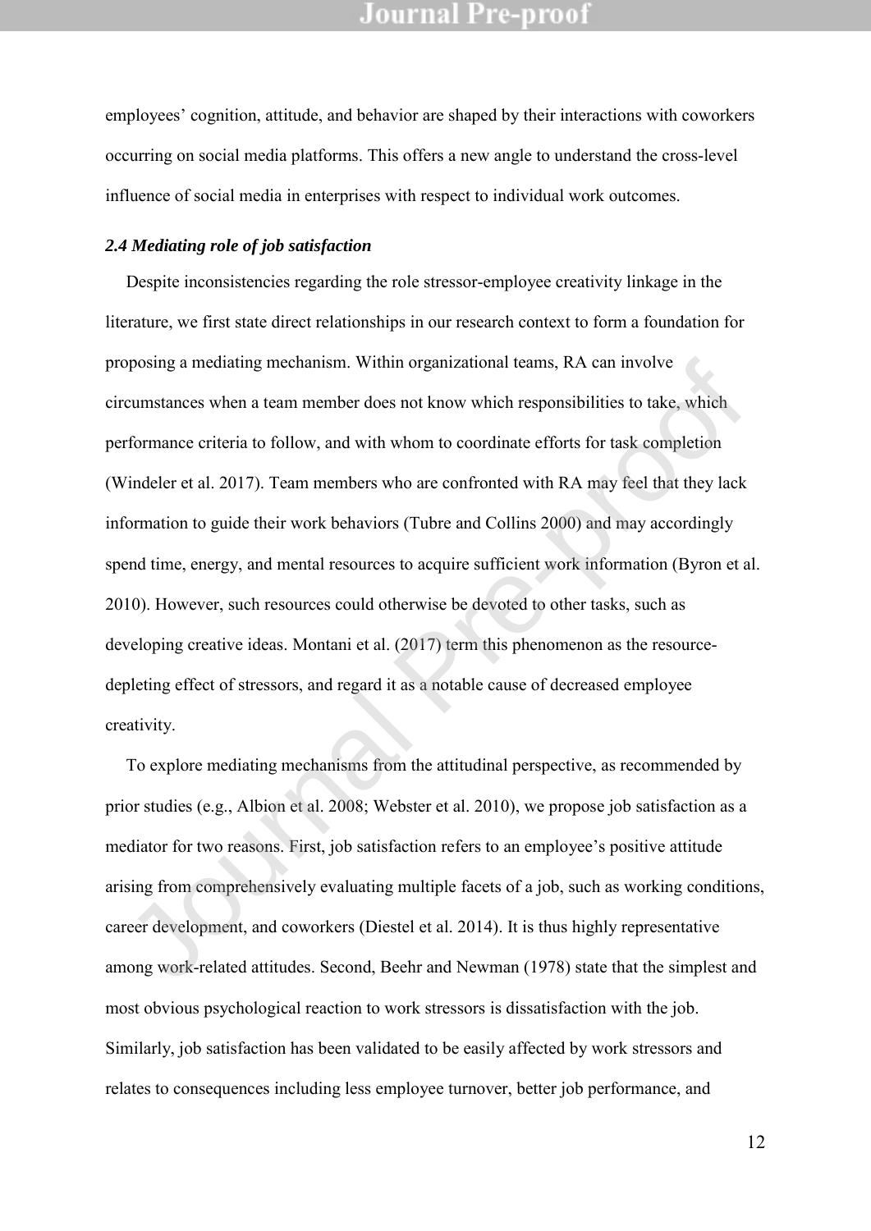employees' cognition, attitude, and behavior are shaped by their interactions with coworkers occurring on social media platforms. This offers a new angle to understand the cross-level influence of social media in enterprises with respect to individual work outcomes.

#### *2.4 Mediating role of job satisfaction*

Despite inconsistencies regarding the role stressor-employee creativity linkage in the literature, we first state direct relationships in our research context to form a foundation for proposing a mediating mechanism. Within organizational teams, RA can involve circumstances when a team member does not know which responsibilities to take, which performance criteria to follow, and with whom to coordinate efforts for task completion (Windeler et al. 2017). Team members who are confronted with RA may feel that they lack information to guide their work behaviors (Tubre and Collins 2000) and may accordingly spend time, energy, and mental resources to acquire sufficient work information (Byron et al. 2010). However, such resources could otherwise be devoted to other tasks, such as developing creative ideas. Montani et al. (2017) term this phenomenon as the resourcedepleting effect of stressors, and regard it as a notable cause of decreased employee creativity. prosing a mediating mechanism. Within organizational teams, RA can mvolve<br>cumstances when a team member does not know which responsibilities to take, which<br>rformance criteria to follow, and with whom to coordinate efforts

To explore mediating mechanisms from the attitudinal perspective, as recommended by prior studies (e.g., Albion et al. 2008; Webster et al. 2010), we propose job satisfaction as a mediator for two reasons. First, job satisfaction refers to an employee's positive attitude arising from comprehensively evaluating multiple facets of a job, such as working conditions, career development, and coworkers (Diestel et al. 2014). It is thus highly representative among work-related attitudes. Second, Beehr and Newman (1978) state that the simplest and most obvious psychological reaction to work stressors is dissatisfaction with the job. Similarly, job satisfaction has been validated to be easily affected by work stressors and relates to consequences including less employee turnover, better job performance, and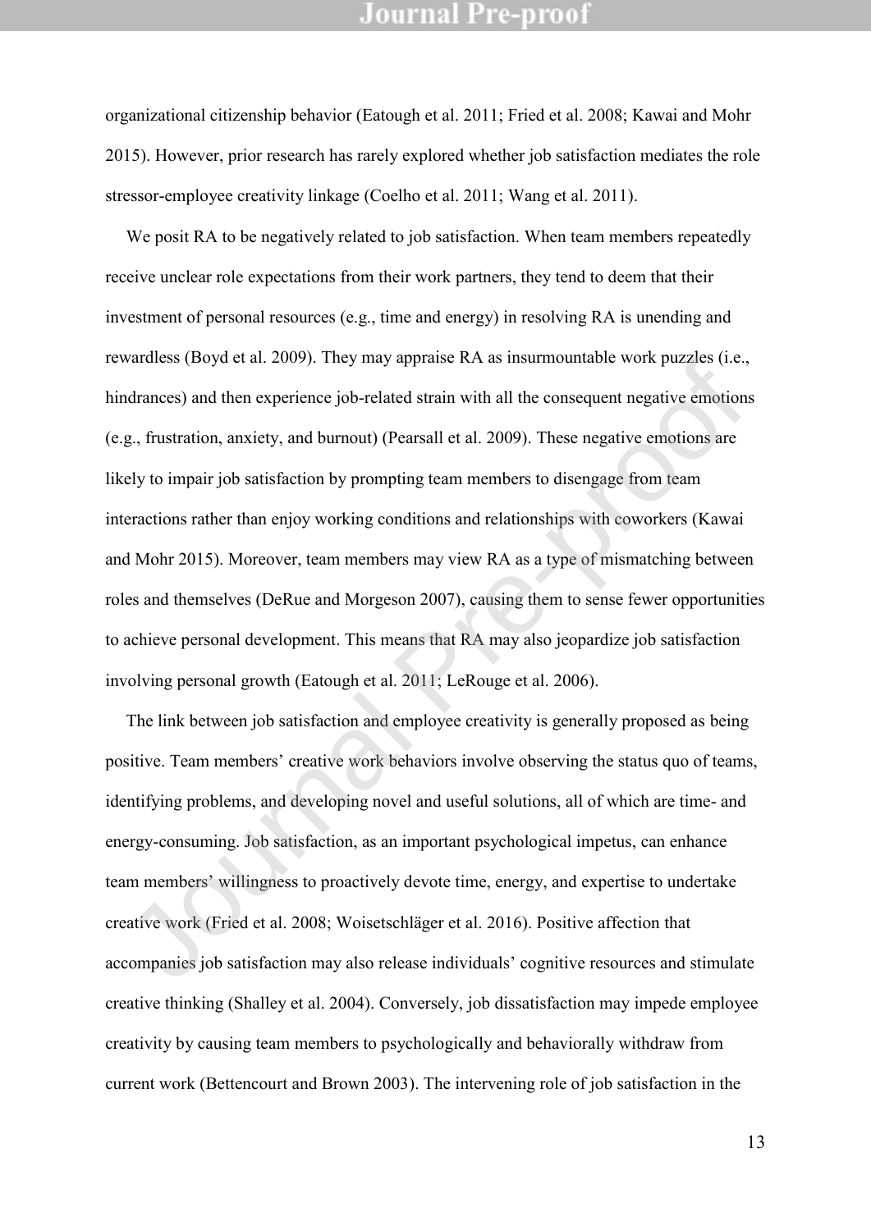organizational citizenship behavior (Eatough et al. 2011; Fried et al. 2008; Kawai and Mohr 2015). However, prior research has rarely explored whether job satisfaction mediates the role stressor-employee creativity linkage (Coelho et al. 2011; Wang et al. 2011).

We posit RA to be negatively related to job satisfaction. When team members repeatedly receive unclear role expectations from their work partners, they tend to deem that their investment of personal resources (e.g., time and energy) in resolving RA is unending and rewardless (Boyd et al. 2009). They may appraise RA as insurmountable work puzzles (i.e., hindrances) and then experience job-related strain with all the consequent negative emotions (e.g., frustration, anxiety, and burnout) (Pearsall et al. 2009). These negative emotions are likely to impair job satisfaction by prompting team members to disengage from team interactions rather than enjoy working conditions and relationships with coworkers (Kawai and Mohr 2015). Moreover, team members may view RA as a type of mismatching between roles and themselves (DeRue and Morgeson 2007), causing them to sense fewer opportunities to achieve personal development. This means that RA may also jeopardize job satisfaction involving personal growth (Eatough et al. 2011; LeRouge et al. 2006). wartness (boyt et al. 2009). They may appraise KA as insurmountable work puzzles (i.e.<br>dramecs) and then experience job-related strain with all the consequent negative emotion<br>g., frustration, anxiety, and burnout) (Pearsa

The link between job satisfaction and employee creativity is generally proposed as being positive. Team members' creative work behaviors involve observing the status quo of teams, identifying problems, and developing novel and useful solutions, all of which are time- and energy-consuming. Job satisfaction, as an important psychological impetus, can enhance team members' willingness to proactively devote time, energy, and expertise to undertake creative work (Fried et al. 2008; Woisetschläger et al. 2016). Positive affection that accompanies job satisfaction may also release individuals' cognitive resources and stimulate creative thinking (Shalley et al. 2004). Conversely, job dissatisfaction may impede employee creativity by causing team members to psychologically and behaviorally withdraw from current work (Bettencourt and Brown 2003). The intervening role of job satisfaction in the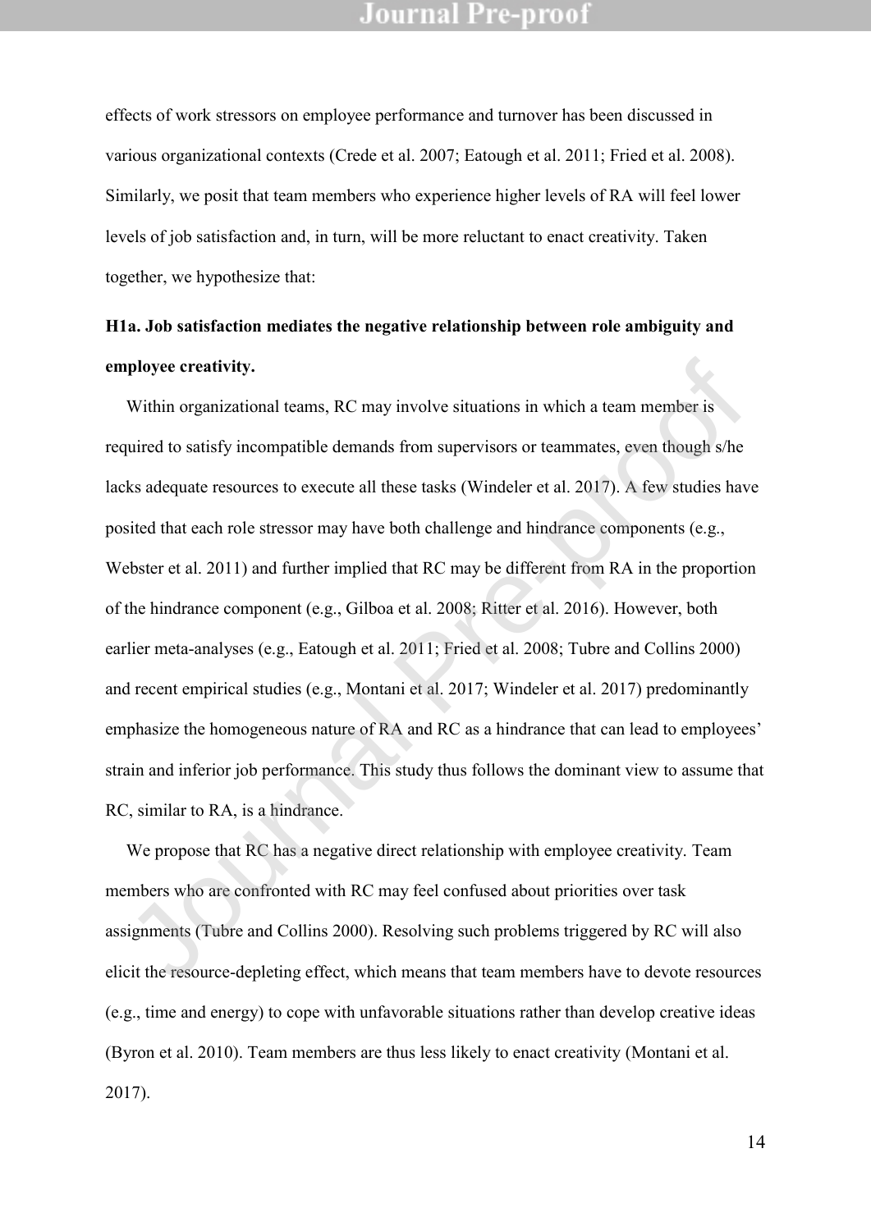effects of work stressors on employee performance and turnover has been discussed in various organizational contexts (Crede et al. 2007; Eatough et al. 2011; Fried et al. 2008). Similarly, we posit that team members who experience higher levels of RA will feel lower levels of job satisfaction and, in turn, will be more reluctant to enact creativity. Taken together, we hypothesize that:

## **H1a. Job satisfaction mediates the negative relationship between role ambiguity and employee creativity.**

Within organizational teams, RC may involve situations in which a team member is required to satisfy incompatible demands from supervisors or teammates, even though s/he lacks adequate resources to execute all these tasks (Windeler et al. 2017). A few studies have posited that each role stressor may have both challenge and hindrance components (e.g., Webster et al. 2011) and further implied that RC may be different from RA in the proportion of the hindrance component (e.g., Gilboa et al. 2008; Ritter et al. 2016). However, both earlier meta-analyses (e.g., Eatough et al. 2011; Fried et al. 2008; Tubre and Collins 2000) and recent empirical studies (e.g., Montani et al. 2017; Windeler et al. 2017) predominantly emphasize the homogeneous nature of RA and RC as a hindrance that can lead to employees' strain and inferior job performance. This study thus follows the dominant view to assume that RC, similar to RA, is a hindrance. ployee creativity.<br>Within organizational teams, RC may involve situations in which a team member is<br>quired to satisfy incompatible demands from supervisors or teammates, even though s/he<br>ks adequate resources to execute al

We propose that RC has a negative direct relationship with employee creativity. Team members who are confronted with RC may feel confused about priorities over task assignments (Tubre and Collins 2000). Resolving such problems triggered by RC will also elicit the resource-depleting effect, which means that team members have to devote resources (e.g., time and energy) to cope with unfavorable situations rather than develop creative ideas (Byron et al. 2010). Team members are thus less likely to enact creativity (Montani et al. 2017).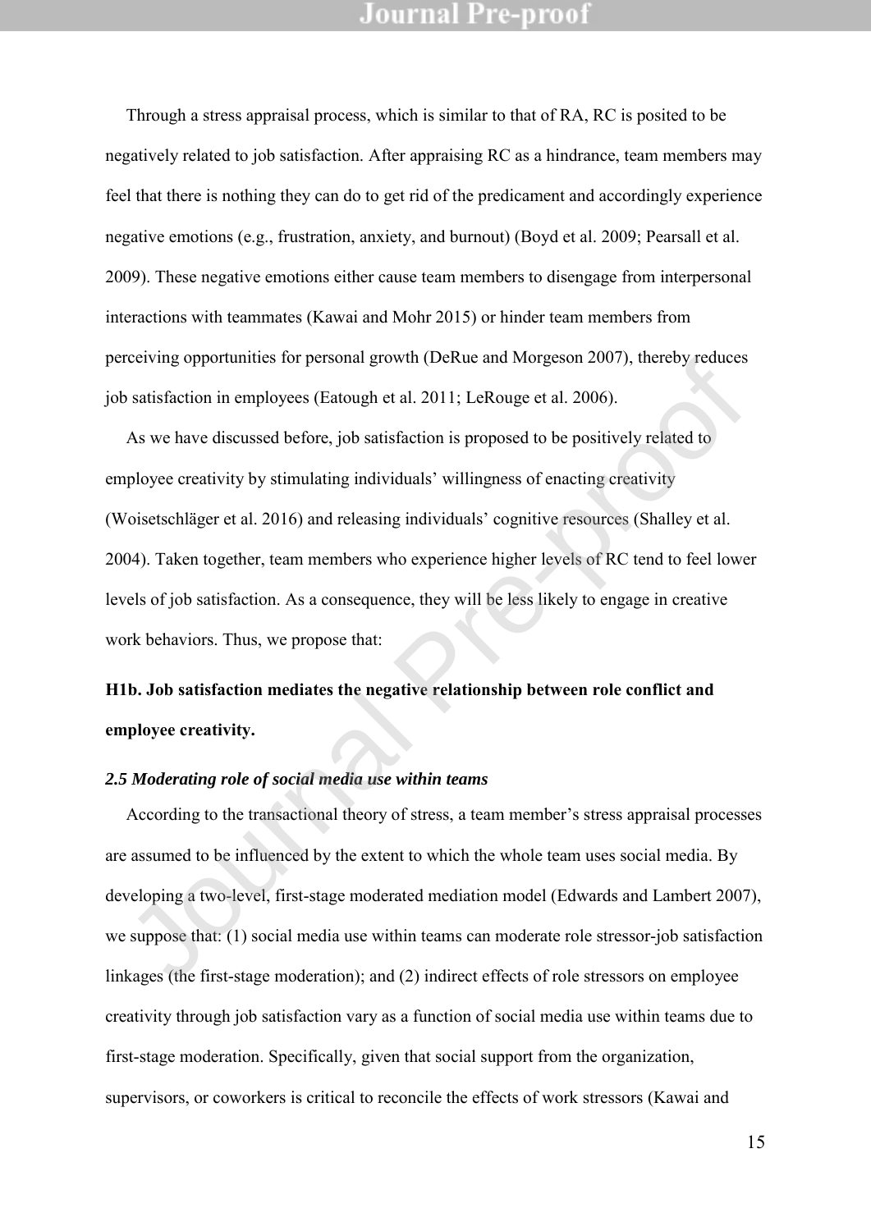Through a stress appraisal process, which is similar to that of RA, RC is posited to be negatively related to job satisfaction. After appraising RC as a hindrance, team members may feel that there is nothing they can do to get rid of the predicament and accordingly experience negative emotions (e.g., frustration, anxiety, and burnout) (Boyd et al. 2009; Pearsall et al. 2009). These negative emotions either cause team members to disengage from interpersonal interactions with teammates (Kawai and Mohr 2015) or hinder team members from perceiving opportunities for personal growth (DeRue and Morgeson 2007), thereby reduces job satisfaction in employees (Eatough et al. 2011; LeRouge et al. 2006).

As we have discussed before, job satisfaction is proposed to be positively related to employee creativity by stimulating individuals' willingness of enacting creativity (Woisetschläger et al. 2016) and releasing individuals' cognitive resources (Shalley et al. 2004). Taken together, team members who experience higher levels of RC tend to feel lower levels of job satisfaction. As a consequence, they will be less likely to engage in creative work behaviors. Thus, we propose that: reciving opportunities for personal growth (Detail and Worgeson 2007), increby reduces<br>satisfaction in employees (Eatough et al. 2011; LeRouge et al. 2006).<br>As we have discussed before, job satisfaction is proposed to be p

## **H1b. Job satisfaction mediates the negative relationship between role conflict and employee creativity.**

#### *2.5 Moderating role of social media use within teams*

According to the transactional theory of stress, a team member's stress appraisal processes are assumed to be influenced by the extent to which the whole team uses social media. By developing a two-level, first-stage moderated mediation model (Edwards and Lambert 2007), we suppose that: (1) social media use within teams can moderate role stressor-job satisfaction linkages (the first-stage moderation); and (2) indirect effects of role stressors on employee creativity through job satisfaction vary as a function of social media use within teams due to first-stage moderation. Specifically, given that social support from the organization, supervisors, or coworkers is critical to reconcile the effects of work stressors (Kawai and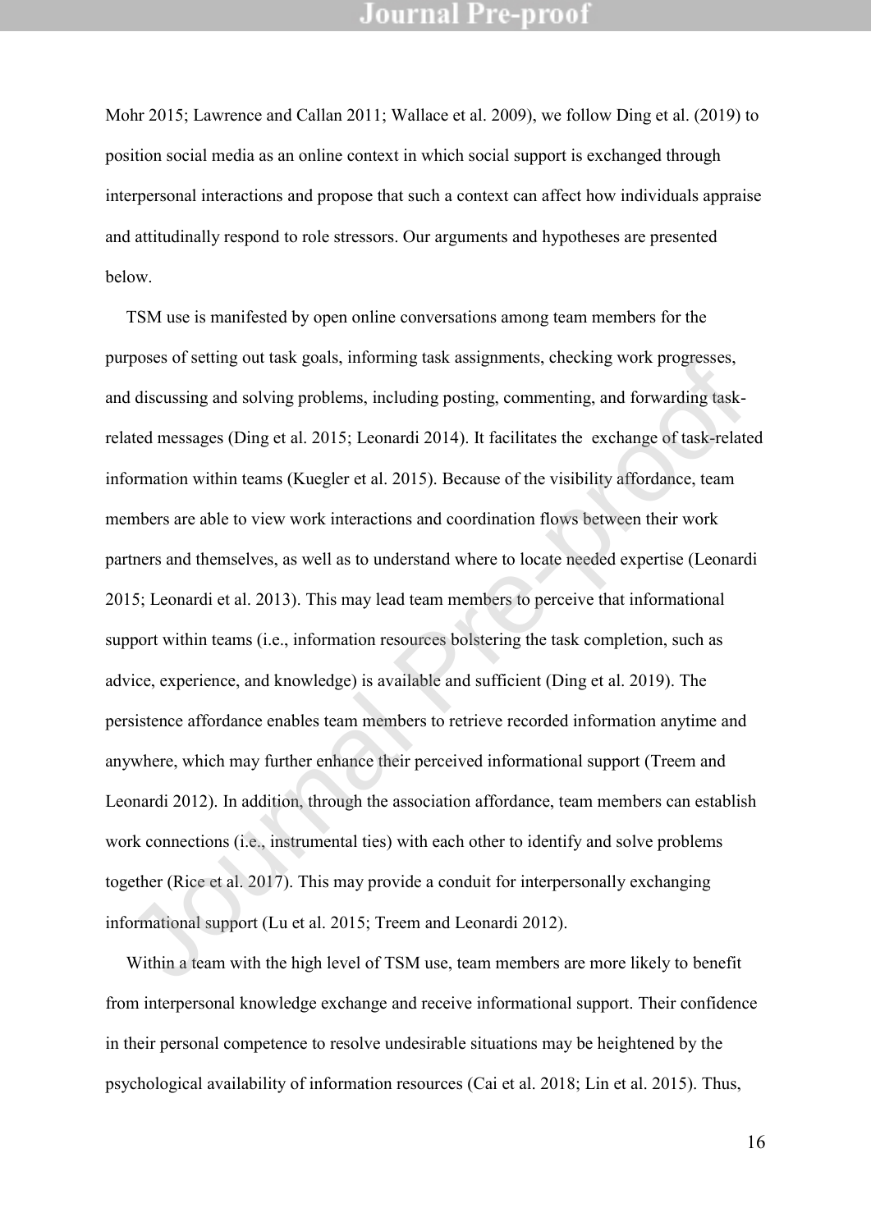Mohr 2015; Lawrence and Callan 2011; Wallace et al. 2009), we follow Ding et al. (2019) to position social media as an online context in which social support is exchanged through interpersonal interactions and propose that such a context can affect how individuals appraise and attitudinally respond to role stressors. Our arguments and hypotheses are presented below.

TSM use is manifested by open online conversations among team members for the purposes of setting out task goals, informing task assignments, checking work progresses, and discussing and solving problems, including posting, commenting, and forwarding taskrelated messages (Ding et al. 2015; Leonardi 2014). It facilitates the exchange of task-related information within teams (Kuegler et al. 2015). Because of the visibility affordance, team members are able to view work interactions and coordination flows between their work partners and themselves, as well as to understand where to locate needed expertise (Leonardi 2015; Leonardi et al. 2013). This may lead team members to perceive that informational support within teams (i.e., information resources bolstering the task completion, such as advice, experience, and knowledge) is available and sufficient (Ding et al. 2019). The persistence affordance enables team members to retrieve recorded information anytime and anywhere, which may further enhance their perceived informational support (Treem and Leonardi 2012). In addition, through the association affordance, team members can establish work connections (i.e., instrumental ties) with each other to identify and solve problems together (Rice et al. 2017). This may provide a conduit for interpersonally exchanging informational support (Lu et al. 2015; Treem and Leonardi 2012). rposes or setting out task goais, informing task assignments, encecting work progresses,<br>disecussing and solving problems, including posting, commenting, and forwarding task-<br>atacd messages (Ding et al. 2015; Leonardi 2014

Within a team with the high level of TSM use, team members are more likely to benefit from interpersonal knowledge exchange and receive informational support. Their confidence in their personal competence to resolve undesirable situations may be heightened by the psychological availability of information resources (Cai et al. 2018; Lin et al. 2015). Thus,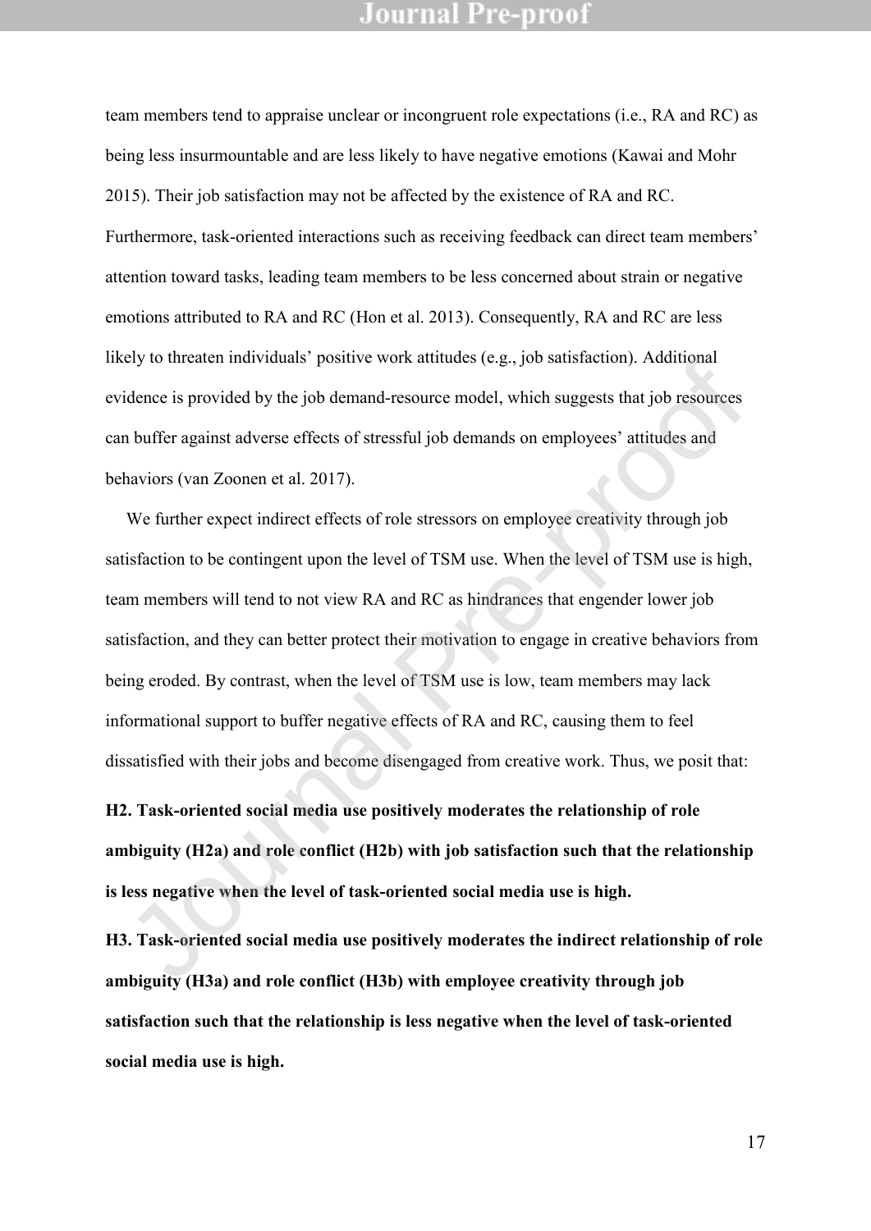team members tend to appraise unclear or incongruent role expectations (i.e., RA and RC) as being less insurmountable and are less likely to have negative emotions (Kawai and Mohr 2015). Their job satisfaction may not be affected by the existence of RA and RC. Furthermore, task-oriented interactions such as receiving feedback can direct team members' attention toward tasks, leading team members to be less concerned about strain or negative emotions attributed to RA and RC (Hon et al. 2013). Consequently, RA and RC are less likely to threaten individuals' positive work attitudes (e.g., job satisfaction). Additional evidence is provided by the job demand-resource model, which suggests that job resources can buffer against adverse effects of stressful job demands on employees' attitudes and behaviors (van Zoonen et al. 2017).

We further expect indirect effects of role stressors on employee creativity through job satisfaction to be contingent upon the level of TSM use. When the level of TSM use is high, team members will tend to not view RA and RC as hindrances that engender lower job satisfaction, and they can better protect their motivation to engage in creative behaviors from being eroded. By contrast, when the level of TSM use is low, team members may lack informational support to buffer negative effects of RA and RC, causing them to feel dissatisfied with their jobs and become disengaged from creative work. Thus, we posit that: East is provided by the job demand-resource model, which suggests that job resources<br>idence is provided by the job demand-resource model, which suggests that job resources<br>h buffer against adverse effects of stressful job

**H2. Task-oriented social media use positively moderates the relationship of role ambiguity (H2a) and role conflict (H2b) with job satisfaction such that the relationship is less negative when the level of task-oriented social media use is high.** 

**H3. Task-oriented social media use positively moderates the indirect relationship of role ambiguity (H3a) and role conflict (H3b) with employee creativity through job satisfaction such that the relationship is less negative when the level of task-oriented social media use is high.**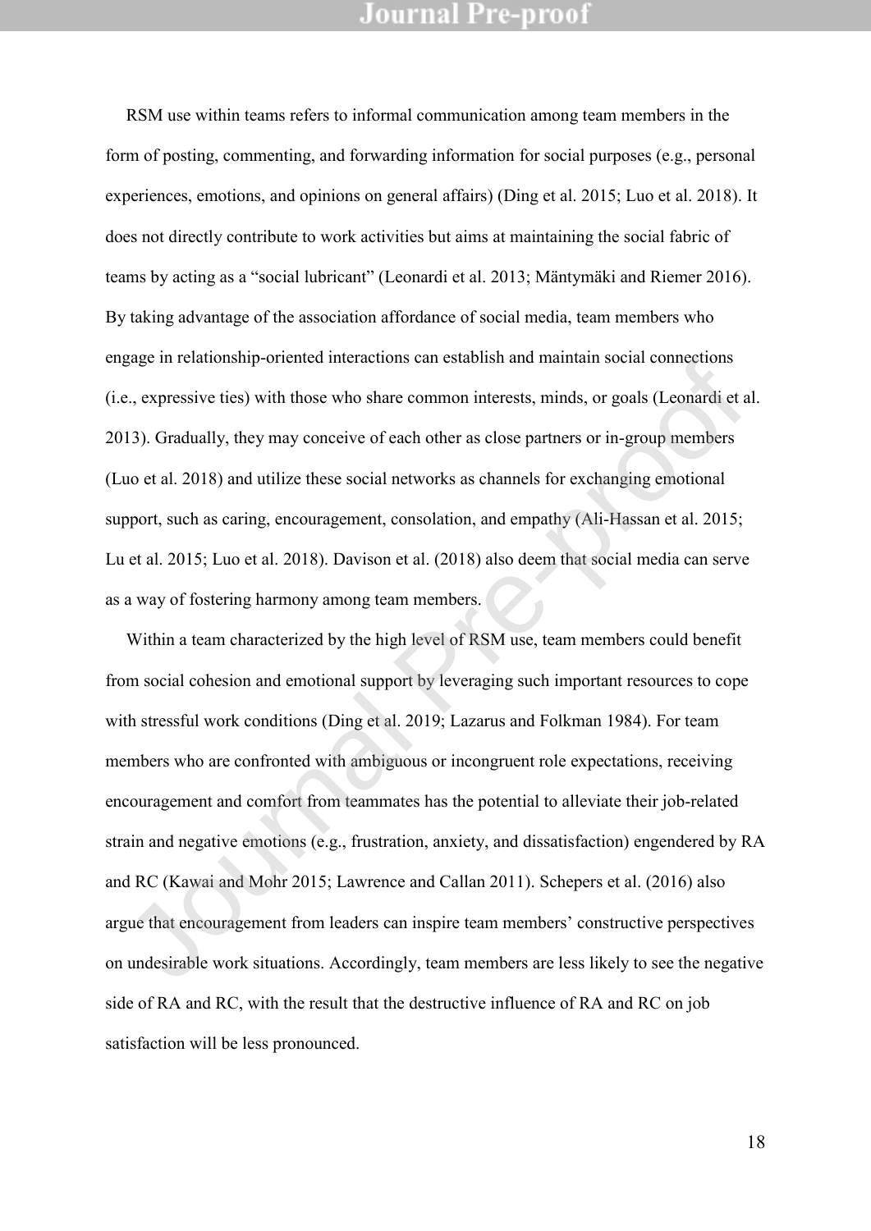RSM use within teams refers to informal communication among team members in the form of posting, commenting, and forwarding information for social purposes (e.g., personal experiences, emotions, and opinions on general affairs) (Ding et al. 2015; Luo et al. 2018). It does not directly contribute to work activities but aims at maintaining the social fabric of teams by acting as a "social lubricant" (Leonardi et al. 2013; Mäntymäki and Riemer 2016). By taking advantage of the association affordance of social media, team members who engage in relationship-oriented interactions can establish and maintain social connections (i.e., expressive ties) with those who share common interests, minds, or goals (Leonardi et al. 2013). Gradually, they may conceive of each other as close partners or in-group members (Luo et al. 2018) and utilize these social networks as channels for exchanging emotional support, such as caring, encouragement, consolation, and empathy (Ali-Hassan et al. 2015; Lu et al. 2015; Luo et al. 2018). Davison et al. (2018) also deem that social media can serve as a way of fostering harmony among team members.

Within a team characterized by the high level of RSM use, team members could benefit from social cohesion and emotional support by leveraging such important resources to cope with stressful work conditions (Ding et al. 2019; Lazarus and Folkman 1984). For team members who are confronted with ambiguous or incongruent role expectations, receiving encouragement and comfort from teammates has the potential to alleviate their job-related strain and negative emotions (e.g., frustration, anxiety, and dissatisfaction) engendered by RA and RC (Kawai and Mohr 2015; Lawrence and Callan 2011). Schepers et al. (2016) also argue that encouragement from leaders can inspire team members' constructive perspectives on undesirable work situations. Accordingly, team members are less likely to see the negative side of RA and RC, with the result that the destructive influence of RA and RC on job satisfaction will be less pronounced. gage in relationship-oriented interactions cart establish and maintain social connections<br>e, expressive ties) with those who share common interests, minds, or goals (Leonardi et i<br>13). Gradually, they may eonecive of each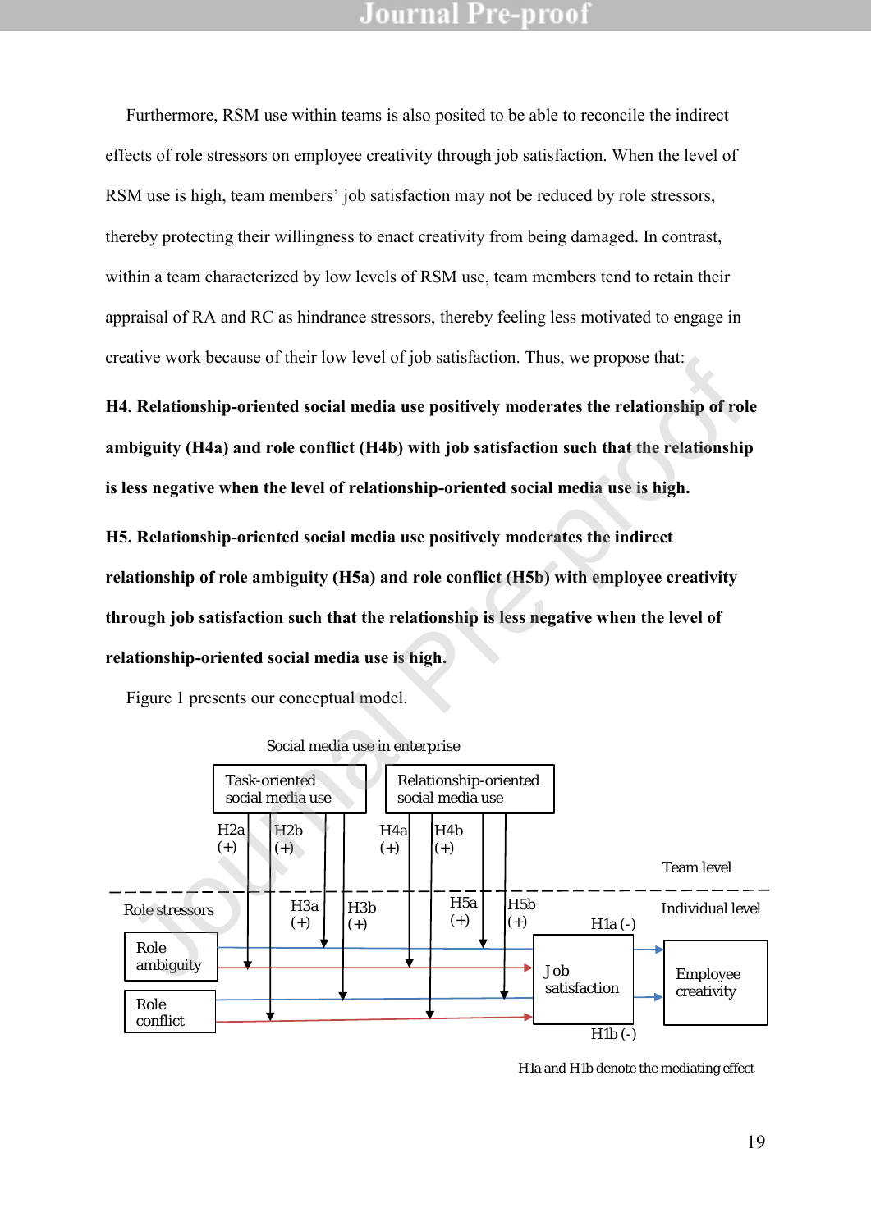Furthermore, RSM use within teams is also posited to be able to reconcile the indirect effects of role stressors on employee creativity through job satisfaction. When the level of RSM use is high, team members' job satisfaction may not be reduced by role stressors, thereby protecting their willingness to enact creativity from being damaged. In contrast, within a team characterized by low levels of RSM use, team members tend to retain their appraisal of RA and RC as hindrance stressors, thereby feeling less motivated to engage in creative work because of their low level of job satisfaction. Thus, we propose that:

**H4. Relationship-oriented social media use positively moderates the relationship of role ambiguity (H4a) and role conflict (H4b) with job satisfaction such that the relationship is less negative when the level of relationship-oriented social media use is high.** 

**H5. Relationship-oriented social media use positively moderates the indirect relationship of role ambiguity (H5a) and role conflict (H5b) with employee creativity through job satisfaction such that the relationship is less negative when the level of relationship-oriented social media use is high.** 

Figure 1 presents our conceptual model.



Social media use in enterprise

H1a and H1b denote the mediating effect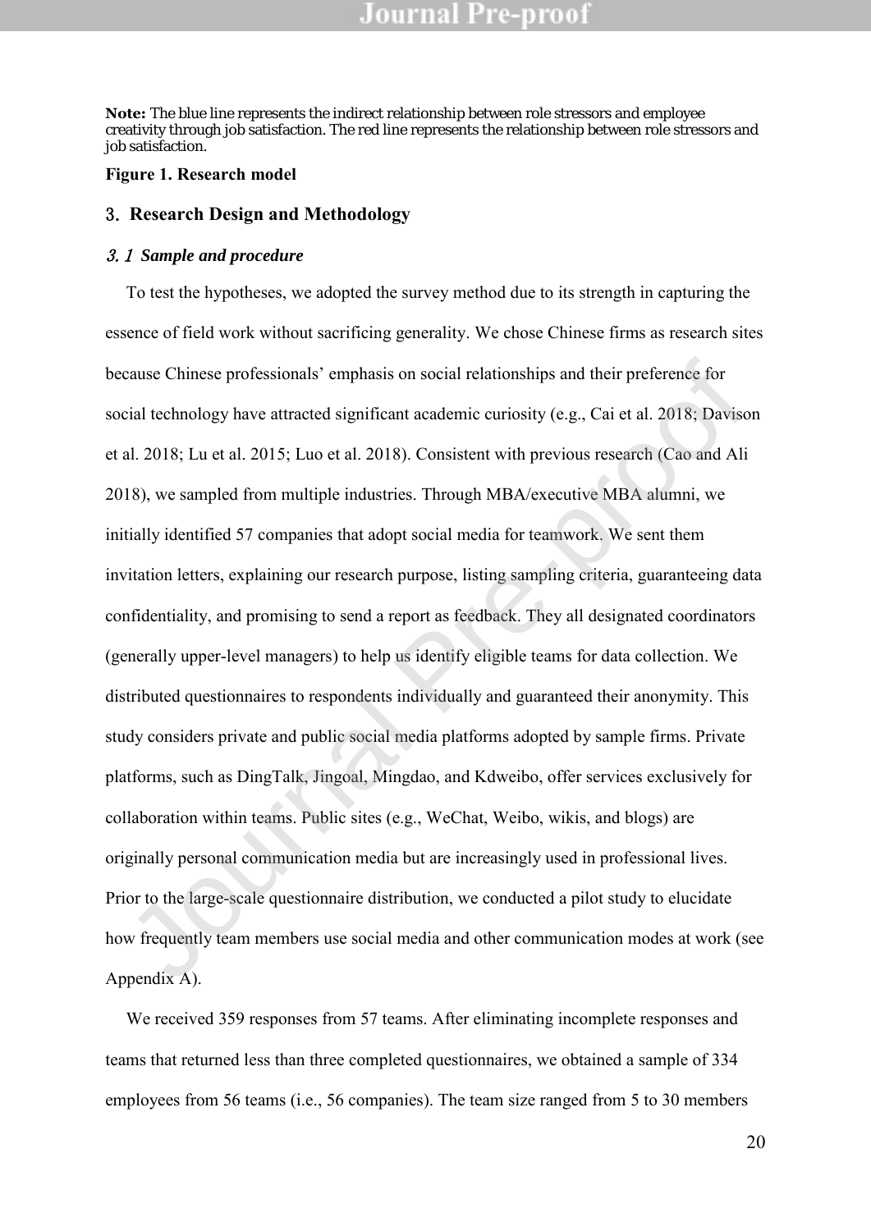**Note:** The blue line represents the indirect relationship between role stressors and employee creativity through job satisfaction. The red line represents the relationship between role stressors and job satisfaction.

#### **Figure 1. Research model**

#### 3. **Research Design and Methodology**

#### 3.1 *Sample and procedure*

To test the hypotheses, we adopted the survey method due to its strength in capturing the essence of field work without sacrificing generality. We chose Chinese firms as research sites because Chinese professionals' emphasis on social relationships and their preference for social technology have attracted significant academic curiosity (e.g., Cai et al. 2018; Davison et al. 2018; Lu et al. 2015; Luo et al. 2018). Consistent with previous research (Cao and Ali 2018), we sampled from multiple industries. Through MBA/executive MBA alumni, we initially identified 57 companies that adopt social media for teamwork. We sent them invitation letters, explaining our research purpose, listing sampling criteria, guaranteeing data confidentiality, and promising to send a report as feedback. They all designated coordinators (generally upper-level managers) to help us identify eligible teams for data collection. We distributed questionnaires to respondents individually and guaranteed their anonymity. This study considers private and public social media platforms adopted by sample firms. Private platforms, such as DingTalk, Jingoal, Mingdao, and Kdweibo, offer services exclusively for collaboration within teams. Public sites (e.g., WeChat, Weibo, wikis, and blogs) are originally personal communication media but are increasingly used in professional lives. Prior to the large-scale questionnaire distribution, we conducted a pilot study to elucidate how frequently team members use social media and other communication modes at work (see Appendix A). cause Chinese professionals' emphasis on social relationships and their preference for<br>cial technology have attracted significant academic curiosity (e.g., Cai et al. 2018; Davise<br>al. 2018; Lu et al. 2015; Luo et al. 2018)

We received 359 responses from 57 teams. After eliminating incomplete responses and teams that returned less than three completed questionnaires, we obtained a sample of 334 employees from 56 teams (i.e., 56 companies). The team size ranged from 5 to 30 members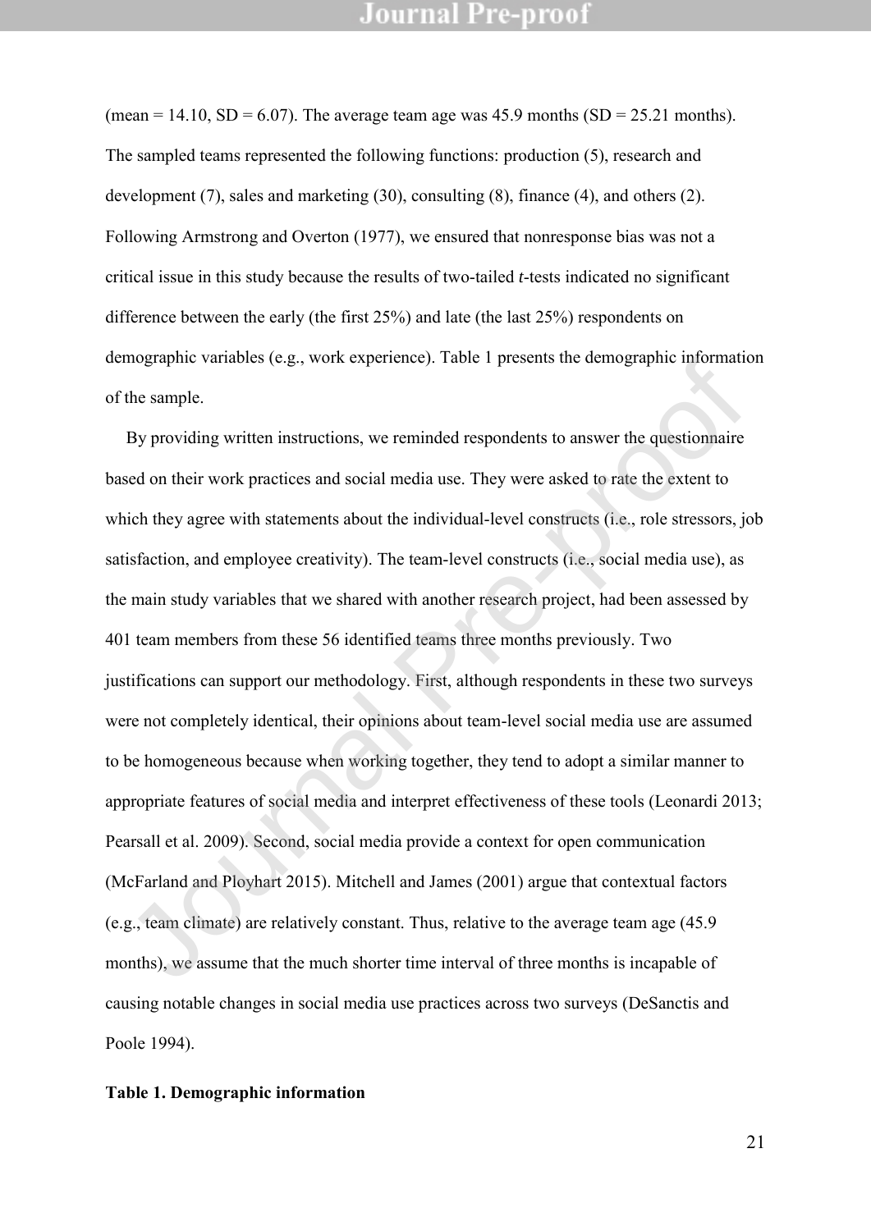(mean = 14.10, SD = 6.07). The average team age was 45.9 months (SD = 25.21 months). The sampled teams represented the following functions: production (5), research and development (7), sales and marketing (30), consulting (8), finance (4), and others (2). Following Armstrong and Overton (1977), we ensured that nonresponse bias was not a critical issue in this study because the results of two-tailed *t*-tests indicated no significant difference between the early (the first 25%) and late (the last 25%) respondents on demographic variables (e.g., work experience). Table 1 presents the demographic information of the sample.

By providing written instructions, we reminded respondents to answer the questionnaire based on their work practices and social media use. They were asked to rate the extent to which they agree with statements about the individual-level constructs (i.e., role stressors, job satisfaction, and employee creativity). The team-level constructs (i.e., social media use), as the main study variables that we shared with another research project, had been assessed by 401 team members from these 56 identified teams three months previously. Two justifications can support our methodology. First, although respondents in these two surveys were not completely identical, their opinions about team-level social media use are assumed to be homogeneous because when working together, they tend to adopt a similar manner to appropriate features of social media and interpret effectiveness of these tools (Leonardi 2013; Pearsall et al. 2009). Second, social media provide a context for open communication (McFarland and Ployhart 2015). Mitchell and James (2001) argue that contextual factors (e.g., team climate) are relatively constant. Thus, relative to the average team age (45.9 months), we assume that the much shorter time interval of three months is incapable of causing notable changes in social media use practices across two surveys (DeSanctis and Poole 1994). mographic variables (e.g., work experience). Table 1 plessinis ine demographic informat<br>the sample.<br>By providing written instructions, we reminded respondents to answer the questionnaire<br>sed on their work practices and soc

#### **Table 1. Demographic information**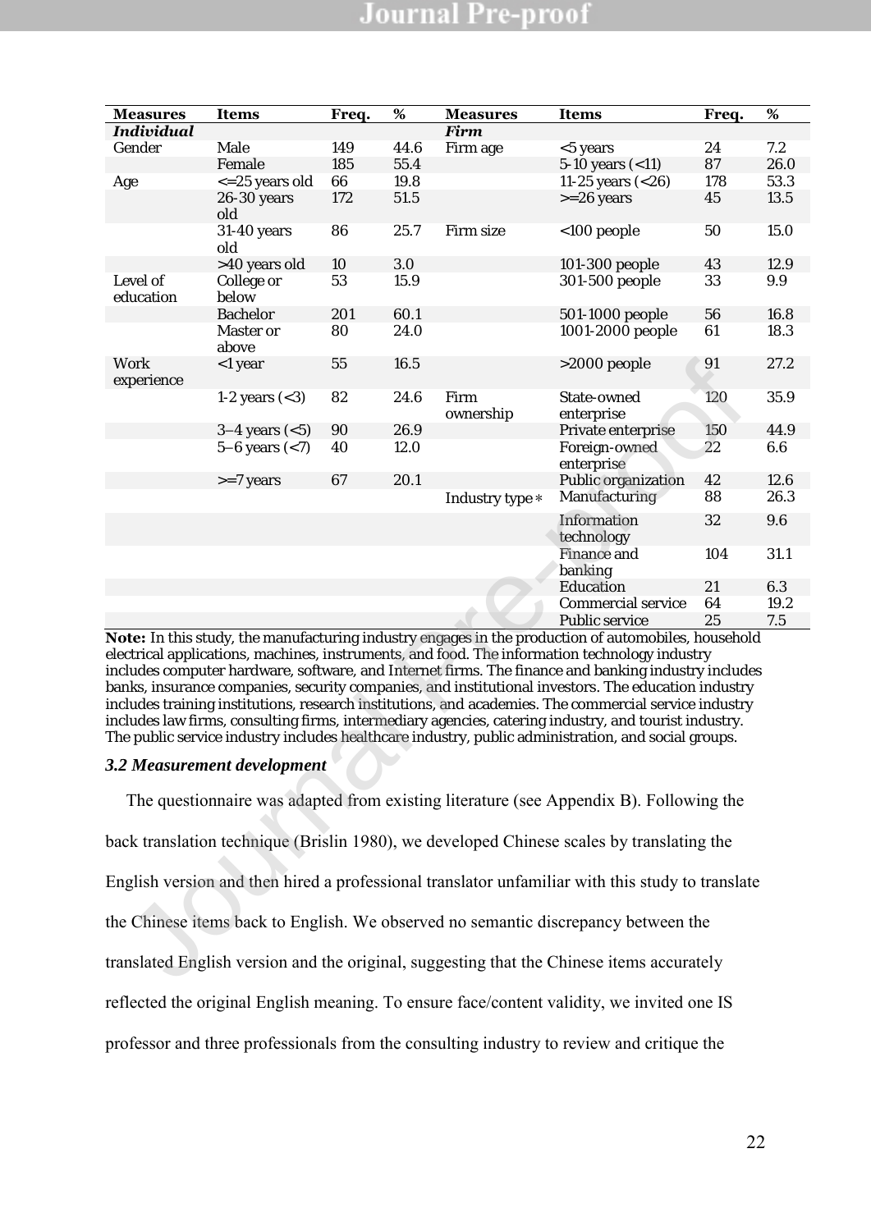| <b>Measures</b>                                                                           | <b>Items</b>                                                                              | Freq. | $\%$ | <b>Measures</b>   | <b>Items</b>                                                                                                                                                                                                                                                                                                                                                                                                                                                                                                                                                                                                                                                                                                                                | Freq. | $\%$ |  |  |  |
|-------------------------------------------------------------------------------------------|-------------------------------------------------------------------------------------------|-------|------|-------------------|---------------------------------------------------------------------------------------------------------------------------------------------------------------------------------------------------------------------------------------------------------------------------------------------------------------------------------------------------------------------------------------------------------------------------------------------------------------------------------------------------------------------------------------------------------------------------------------------------------------------------------------------------------------------------------------------------------------------------------------------|-------|------|--|--|--|
| <b>Individual</b>                                                                         |                                                                                           |       |      | <b>Firm</b>       |                                                                                                                                                                                                                                                                                                                                                                                                                                                                                                                                                                                                                                                                                                                                             |       |      |  |  |  |
| Gender                                                                                    | Male                                                                                      | 149   | 44.6 | Firm age          | <5 years                                                                                                                                                                                                                                                                                                                                                                                                                                                                                                                                                                                                                                                                                                                                    | 24    | 7.2  |  |  |  |
|                                                                                           | Female                                                                                    | 185   | 55.4 |                   | 5-10 years $(<11)$                                                                                                                                                                                                                                                                                                                                                                                                                                                                                                                                                                                                                                                                                                                          | 87    | 26.0 |  |  |  |
| Age                                                                                       | <= 25 years old                                                                           | 66    | 19.8 |                   | 11-25 years (<26)                                                                                                                                                                                                                                                                                                                                                                                                                                                                                                                                                                                                                                                                                                                           | 178   | 53.3 |  |  |  |
|                                                                                           | 26-30 years<br>old                                                                        | 172   | 51.5 |                   | $>=26$ years                                                                                                                                                                                                                                                                                                                                                                                                                                                                                                                                                                                                                                                                                                                                | 45    | 13.5 |  |  |  |
|                                                                                           | 31-40 years<br>old                                                                        | 86    | 25.7 | Firm size         | <100 people                                                                                                                                                                                                                                                                                                                                                                                                                                                                                                                                                                                                                                                                                                                                 | 50    | 15.0 |  |  |  |
|                                                                                           | >40 years old                                                                             | 10    | 3.0  |                   | 101-300 people                                                                                                                                                                                                                                                                                                                                                                                                                                                                                                                                                                                                                                                                                                                              | 43    | 12.9 |  |  |  |
| Level of<br>education                                                                     | College or<br>below                                                                       | 53    | 15.9 |                   | 301-500 people                                                                                                                                                                                                                                                                                                                                                                                                                                                                                                                                                                                                                                                                                                                              | 33    | 9.9  |  |  |  |
|                                                                                           | Bachelor                                                                                  | 201   | 60.1 |                   | 501-1000 people                                                                                                                                                                                                                                                                                                                                                                                                                                                                                                                                                                                                                                                                                                                             | 56    | 16.8 |  |  |  |
|                                                                                           | Master or<br>above                                                                        | 80    | 24.0 |                   | 1001-2000 people                                                                                                                                                                                                                                                                                                                                                                                                                                                                                                                                                                                                                                                                                                                            | 61    | 18.3 |  |  |  |
| Work<br>experience                                                                        | <1 year                                                                                   | 55    | 16.5 |                   | >2000 people                                                                                                                                                                                                                                                                                                                                                                                                                                                                                                                                                                                                                                                                                                                                | 91    | 27.2 |  |  |  |
|                                                                                           | 1-2 years $(3)$                                                                           | 82    | 24.6 | Firm<br>ownership | State-owned<br>enterprise                                                                                                                                                                                                                                                                                                                                                                                                                                                                                                                                                                                                                                                                                                                   | 120   | 35.9 |  |  |  |
|                                                                                           | $3-4$ years $(<5)$                                                                        | 90    | 26.9 |                   | Private enterprise                                                                                                                                                                                                                                                                                                                                                                                                                                                                                                                                                                                                                                                                                                                          | 150   | 44.9 |  |  |  |
|                                                                                           | $5 - 6$ years $(< 7)$                                                                     | 40    | 12.0 |                   | Foreign-owned<br>enterprise                                                                                                                                                                                                                                                                                                                                                                                                                                                                                                                                                                                                                                                                                                                 | 22    | 6.6  |  |  |  |
|                                                                                           | $>=7$ years                                                                               | 67    | 20.1 |                   | Public organization                                                                                                                                                                                                                                                                                                                                                                                                                                                                                                                                                                                                                                                                                                                         | 42    | 12.6 |  |  |  |
|                                                                                           |                                                                                           |       |      | Industry type *   | Manufacturing                                                                                                                                                                                                                                                                                                                                                                                                                                                                                                                                                                                                                                                                                                                               | 88    | 26.3 |  |  |  |
|                                                                                           |                                                                                           |       |      |                   | Information<br>technology                                                                                                                                                                                                                                                                                                                                                                                                                                                                                                                                                                                                                                                                                                                   | 32    | 9.6  |  |  |  |
|                                                                                           |                                                                                           |       |      |                   | Finance and<br>banking                                                                                                                                                                                                                                                                                                                                                                                                                                                                                                                                                                                                                                                                                                                      | 104   | 31.1 |  |  |  |
|                                                                                           |                                                                                           |       |      |                   | Education                                                                                                                                                                                                                                                                                                                                                                                                                                                                                                                                                                                                                                                                                                                                   | 21    | 6.3  |  |  |  |
|                                                                                           |                                                                                           |       |      |                   | Commercial service                                                                                                                                                                                                                                                                                                                                                                                                                                                                                                                                                                                                                                                                                                                          | 64    | 19.2 |  |  |  |
|                                                                                           |                                                                                           |       |      |                   | Public service                                                                                                                                                                                                                                                                                                                                                                                                                                                                                                                                                                                                                                                                                                                              | 25    | 7.5  |  |  |  |
|                                                                                           |                                                                                           |       |      |                   | Note: In this study, the manufacturing industry engages in the production of automobiles, household<br>electrical applications, machines, instruments, and food. The information technology industry<br>includes computer hardware, software, and Internet firms. The finance and banking industry includes<br>banks, insurance companies, security companies, and institutional investors. The education industry<br>includes training institutions, research institutions, and academies. The commercial service industry<br>includes law firms, consulting firms, intermediary agencies, catering industry, and tourist industry.<br>The public service industry includes healthcare industry, public administration, and social groups. |       |      |  |  |  |
|                                                                                           | 3.2 Measurement development                                                               |       |      |                   |                                                                                                                                                                                                                                                                                                                                                                                                                                                                                                                                                                                                                                                                                                                                             |       |      |  |  |  |
| The questionnaire was adapted from existing literature (see Appendix B). Following the    |                                                                                           |       |      |                   |                                                                                                                                                                                                                                                                                                                                                                                                                                                                                                                                                                                                                                                                                                                                             |       |      |  |  |  |
| back translation technique (Brislin 1980), we developed Chinese scales by translating the |                                                                                           |       |      |                   |                                                                                                                                                                                                                                                                                                                                                                                                                                                                                                                                                                                                                                                                                                                                             |       |      |  |  |  |
|                                                                                           |                                                                                           |       |      |                   | English version and then hired a professional translator unfamiliar with this study to translate                                                                                                                                                                                                                                                                                                                                                                                                                                                                                                                                                                                                                                            |       |      |  |  |  |
|                                                                                           |                                                                                           |       |      |                   | the Chinese items back to English. We observed no semantic discrepancy between the                                                                                                                                                                                                                                                                                                                                                                                                                                                                                                                                                                                                                                                          |       |      |  |  |  |
|                                                                                           | translated English version and the original, suggesting that the Chinese items accurately |       |      |                   |                                                                                                                                                                                                                                                                                                                                                                                                                                                                                                                                                                                                                                                                                                                                             |       |      |  |  |  |

#### *3.2 Measurement development*

The questionnaire was adapted from existing literature (see Appendix B). Following the back translation technique (Brislin 1980), we developed Chinese scales by translating the English version and then hired a professional translator unfamiliar with this study to translate the Chinese items back to English. We observed no semantic discrepancy between the translated English version and the original, suggesting that the Chinese items accurately reflected the original English meaning. To ensure face/content validity, we invited one IS professor and three professionals from the consulting industry to review and critique the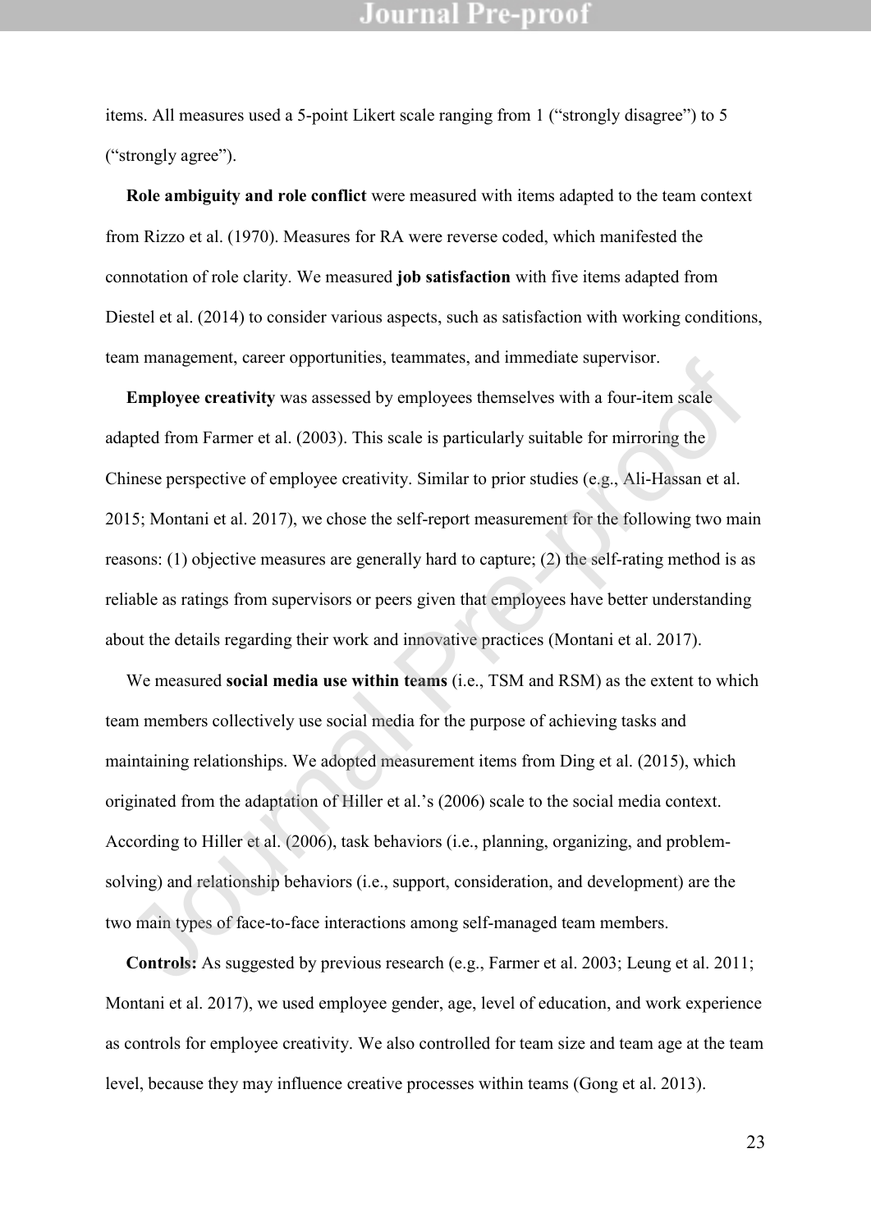items. All measures used a 5-point Likert scale ranging from 1 ("strongly disagree") to 5 ("strongly agree").

**Role ambiguity and role conflict** were measured with items adapted to the team context from Rizzo et al. (1970). Measures for RA were reverse coded, which manifested the connotation of role clarity. We measured **job satisfaction** with five items adapted from Diestel et al. (2014) to consider various aspects, such as satisfaction with working conditions, team management, career opportunities, teammates, and immediate supervisor.

**Employee creativity** was assessed by employees themselves with a four-item scale adapted from Farmer et al. (2003). This scale is particularly suitable for mirroring the Chinese perspective of employee creativity. Similar to prior studies (e.g., Ali-Hassan et al. 2015; Montani et al. 2017), we chose the self-report measurement for the following two main reasons: (1) objective measures are generally hard to capture; (2) the self-rating method is as reliable as ratings from supervisors or peers given that employees have better understanding about the details regarding their work and innovative practices (Montani et al. 2017). In management, career opportunntes, teammates, and miniciatie supervisor.<br> **Employee creativity** was assessed by employees themselves with a four-item scale<br>
apted from Farmer et al. (2003). This scale is particularly suit

We measured **social media use within teams** (i.e., TSM and RSM) as the extent to which team members collectively use social media for the purpose of achieving tasks and maintaining relationships. We adopted measurement items from Ding et al. (2015), which originated from the adaptation of Hiller et al.'s (2006) scale to the social media context. According to Hiller et al. (2006), task behaviors (i.e., planning, organizing, and problemsolving) and relationship behaviors (i.e., support, consideration, and development) are the two main types of face-to-face interactions among self-managed team members.

**Controls:** As suggested by previous research (e.g., Farmer et al. 2003; Leung et al. 2011; Montani et al. 2017), we used employee gender, age, level of education, and work experience as controls for employee creativity. We also controlled for team size and team age at the team level, because they may influence creative processes within teams (Gong et al. 2013).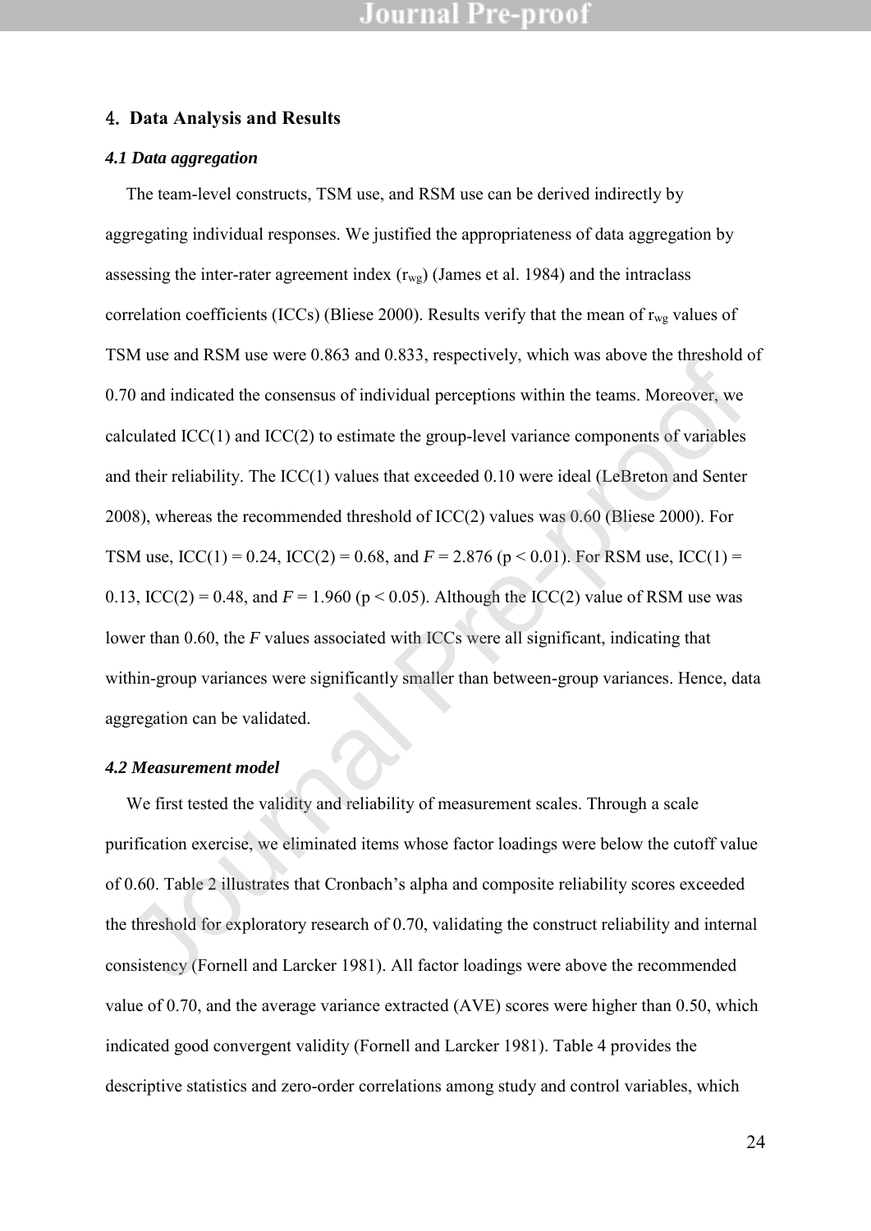#### 4. **Data Analysis and Results**

#### *4.1 Data aggregation*

The team-level constructs, TSM use, and RSM use can be derived indirectly by aggregating individual responses. We justified the appropriateness of data aggregation by assessing the inter-rater agreement index  $(r_{wg})$  (James et al. 1984) and the intraclass correlation coefficients (ICCs) (Bliese 2000). Results verify that the mean of  $r_{wg}$  values of TSM use and RSM use were 0.863 and 0.833, respectively, which was above the threshold of 0.70 and indicated the consensus of individual perceptions within the teams. Moreover, we calculated ICC(1) and ICC(2) to estimate the group-level variance components of variables and their reliability. The ICC(1) values that exceeded 0.10 were ideal (LeBreton and Senter 2008), whereas the recommended threshold of ICC(2) values was 0.60 (Bliese 2000). For TSM use,  $ICC(1) = 0.24$ ,  $ICC(2) = 0.68$ , and  $F = 2.876$  ( $p < 0.01$ ). For RSM use,  $ICC(1) =$ 0.13, ICC(2) = 0.48, and  $F = 1.960$  (p < 0.05). Although the ICC(2) value of RSM use was lower than 0.60, the *F* values associated with ICCs were all significant, indicating that within-group variances were significantly smaller than between-group variances. Hence, data aggregation can be validated. 70 and indicated the consensus of individual perceptively, which was above the thresholomology and indicated the consensus of individual perceptions within the teams. Moreover, we levalided the consensus of individual per

#### *4.2 Measurement model*

We first tested the validity and reliability of measurement scales. Through a scale purification exercise, we eliminated items whose factor loadings were below the cutoff value of 0.60. Table 2 illustrates that Cronbach's alpha and composite reliability scores exceeded the threshold for exploratory research of 0.70, validating the construct reliability and internal consistency (Fornell and Larcker 1981). All factor loadings were above the recommended value of 0.70, and the average variance extracted (AVE) scores were higher than 0.50, which indicated good convergent validity (Fornell and Larcker 1981). Table 4 provides the descriptive statistics and zero-order correlations among study and control variables, which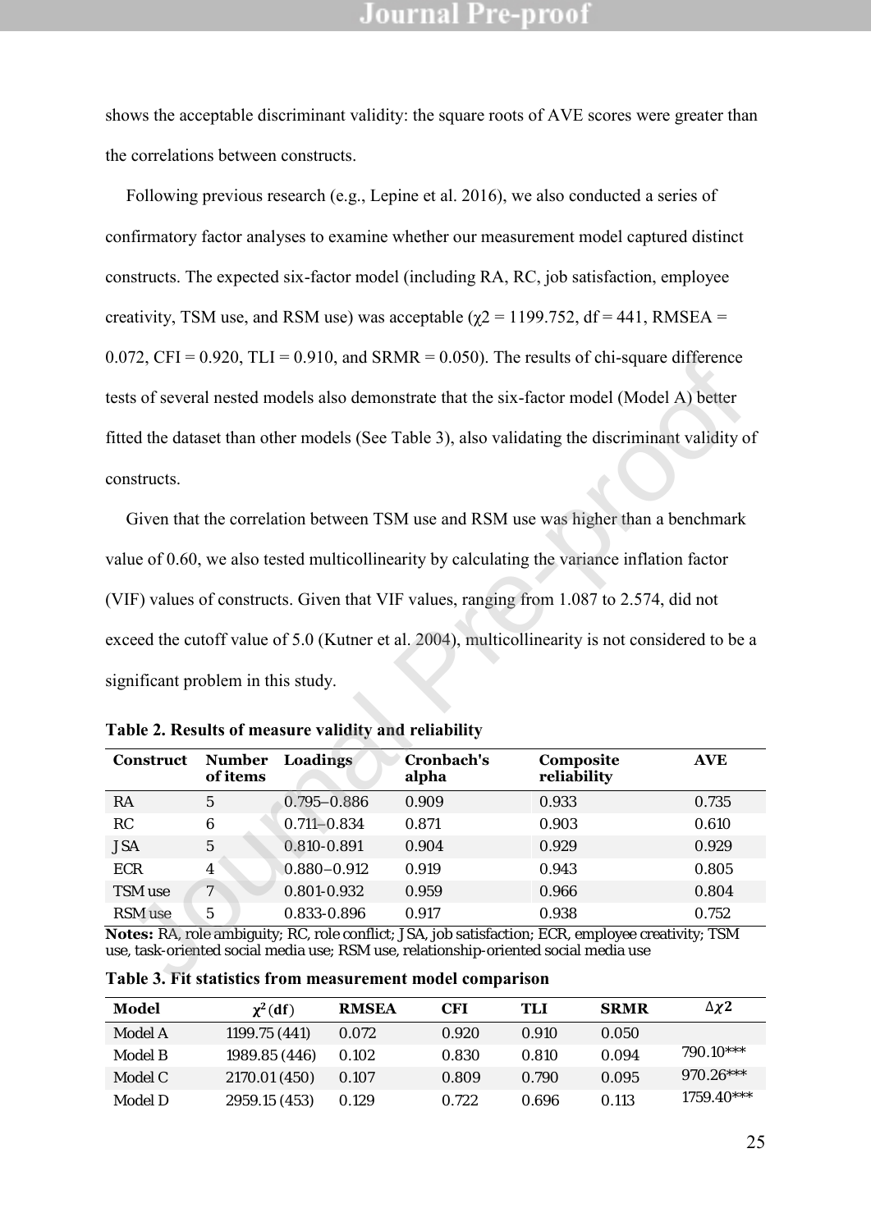shows the acceptable discriminant validity: the square roots of AVE scores were greater than the correlations between constructs.

Following previous research (e.g., Lepine et al. 2016), we also conducted a series of confirmatory factor analyses to examine whether our measurement model captured distinct constructs. The expected six-factor model (including RA, RC, job satisfaction, employee creativity, TSM use, and RSM use) was acceptable ( $\chi$ 2 = 1199.752, df = 441, RMSEA = 0.072, CFI = 0.920, TLI = 0.910, and SRMR = 0.050). The results of chi-square difference tests of several nested models also demonstrate that the six-factor model (Model A) better fitted the dataset than other models (See Table 3), also validating the discriminant validity of constructs.

Given that the correlation between TSM use and RSM use was higher than a benchmark value of 0.60, we also tested multicollinearity by calculating the variance inflation factor (VIF) values of constructs. Given that VIF values, ranging from 1.087 to 2.574, did not exceed the cutoff value of 5.0 (Kutner et al. 2004), multicollinearity is not considered to be a significant problem in this study.  $J/Z$ , CF1 = 0.920, LET = 0.910, and SKWK = 0.000). The results of emergianc anticicnecties<br>ts of several nested models also demonstrate that the six-factor model (Model A) better<br>ted the dataset than other models (See Tab

| Construct  | <b>Number</b><br>of items | Loadings        | Cronbach's<br>alpha | Composite<br>reliability | <b>AVE</b> |
|------------|---------------------------|-----------------|---------------------|--------------------------|------------|
| RA         | 5                         | $0.795 - 0.886$ | 0.909               | 0.933                    | 0.735      |
| RC.        | 6                         | $0.711 - 0.834$ | 0.871               | 0.903                    | 0.610      |
| <b>JSA</b> | 5                         | 0.810-0.891     | 0.904               | 0.929                    | 0.929      |
| <b>FCR</b> | 4                         | $0.880 - 0.912$ | 0.919               | 0.943                    | 0.805      |
| TSM use    | $7 -$                     | 0.801-0.932     | 0.959               | 0.966                    | 0.804      |
| RSM use    | 5                         | 0.833-0.896     | 0.917               | 0.938                    | 0.752      |

**Table 2. Results of measure validity and reliability** 

**Notes:** RA, role ambiguity; RC, role conflict; JSA, job satisfaction; ECR, employee creativity; TSM use, task-oriented social media use; RSM use, relationship-oriented social media use

| Model   | $\chi^2(df)$  | <b>RMSEA</b> | CFI   | TLI   | <b>SRMR</b> | $\Delta \chi$ 2 |
|---------|---------------|--------------|-------|-------|-------------|-----------------|
| Model A | 1199.75 (441) | 0.072        | 0.920 | 0.910 | 0.050       |                 |
| Model B | 1989.85 (446) | 0.102        | 0.830 | 0.810 | 0.094       | $790.10***$     |
| Model C | 2170.01 (450) | 0.107        | 0.809 | 0.790 | 0.095       | $970.26***$     |
| Model D | 2959.15 (453) | 0.129        | 0.722 | 0.696 | 0.113       | $1759.40***$    |

**Table 3. Fit statistics from measurement model comparison**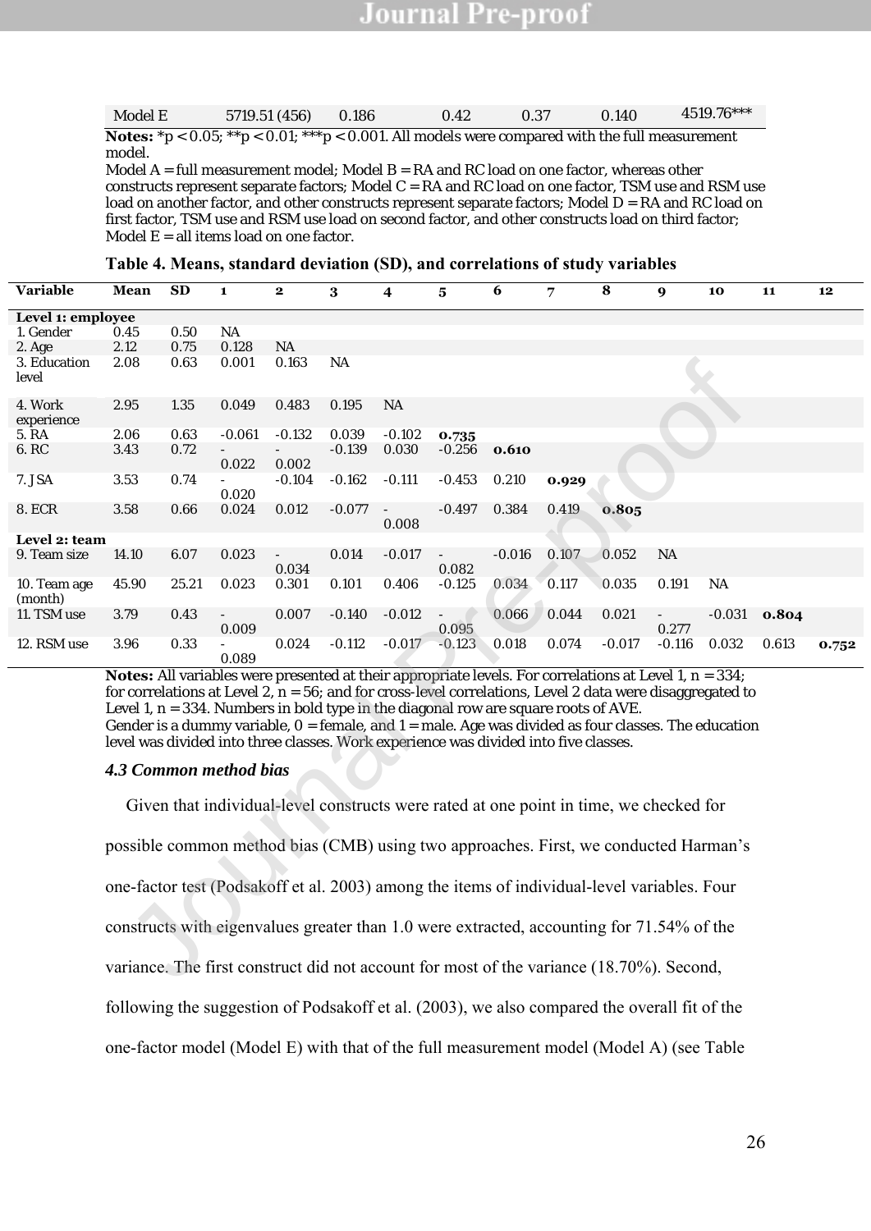| Model E | 5719.51 (456)                                                                                                | 0.186 | 0.42 | 0.37 | 0.140 | 4519.76*** |
|---------|--------------------------------------------------------------------------------------------------------------|-------|------|------|-------|------------|
|         | <b>Notes:</b> $*p < 0.05$ ; $*p < 0.01$ ; $**p < 0.001$ . All models were compared with the full measurement |       |      |      |       |            |
| model.  |                                                                                                              |       |      |      |       |            |
|         | Model $A = full measurement model$ ; Model $B = RA$ and RC load on one factor, whereas other                 |       |      |      |       |            |
|         | constructs represent separate factors; Model C = RA and RC load on one factor, TSM use and RSM use           |       |      |      |       |            |
|         | load on another factor, and other constructs represent separate factors; Model D = RA and RC load on         |       |      |      |       |            |
|         | first factor, TSM use and RSM use load on second factor, and other constructs load on third factor;          |       |      |      |       |            |
|         |                                                                                                              |       |      |      |       |            |
|         | Model $E = all$ items load on one factor.                                                                    |       |      |      |       |            |

| Variable          | Mean                                                                                                             | <b>SD</b> | $\mathbf{1}$ | $\mathbf 2$ | 3         | 4                        | $\overline{\mathbf{5}}$  | 6        | 7     | 8                                                                                      | 9             | 10        | 11    | 12    |
|-------------------|------------------------------------------------------------------------------------------------------------------|-----------|--------------|-------------|-----------|--------------------------|--------------------------|----------|-------|----------------------------------------------------------------------------------------|---------------|-----------|-------|-------|
| Level 1: employee |                                                                                                                  |           |              |             |           |                          |                          |          |       |                                                                                        |               |           |       |       |
| 1. Gender         | 0.45                                                                                                             | 0.50      | <b>NA</b>    |             |           |                          |                          |          |       |                                                                                        |               |           |       |       |
| 2. Age            | 2.12                                                                                                             | 0.75      | 0.128        | <b>NA</b>   |           |                          |                          |          |       |                                                                                        |               |           |       |       |
| 3. Education      | 2.08                                                                                                             | 0.63      | 0.001        | 0.163       | <b>NA</b> |                          |                          |          |       |                                                                                        |               |           |       |       |
| level             |                                                                                                                  |           |              |             |           |                          |                          |          |       |                                                                                        |               |           |       |       |
|                   |                                                                                                                  |           |              |             |           |                          |                          |          |       |                                                                                        |               |           |       |       |
| 4. Work           | 2.95                                                                                                             | 1.35      | 0.049        | 0.483       | 0.195     | <b>NA</b>                |                          |          |       |                                                                                        |               |           |       |       |
| experience        |                                                                                                                  |           |              |             |           |                          |                          |          |       |                                                                                        |               |           |       |       |
| 5. RA             | 2.06                                                                                                             | 0.63      | $-0.061$     | $-0.132$    | 0.039     | $-0.102$                 | 0.735                    |          |       |                                                                                        |               |           |       |       |
| 6. RC             | 3.43                                                                                                             | 0.72      |              |             | $-0.139$  | 0.030                    | $-0.256$                 | 0.610    |       |                                                                                        |               |           |       |       |
|                   |                                                                                                                  |           | 0.022        | 0.002       |           |                          |                          |          |       |                                                                                        |               |           |       |       |
| 7. JSA            | 3.53                                                                                                             | 0.74      | 0.020        | $-0.104$    | $-0.162$  | $-0.111$                 | $-0.453$                 | 0.210    | 0.929 |                                                                                        |               |           |       |       |
| 8. ECR            | 3.58                                                                                                             | 0.66      | 0.024        | 0.012       | $-0.077$  | $\overline{\phantom{a}}$ | $-0.497$                 | 0.384    | 0.419 | 0.805                                                                                  |               |           |       |       |
|                   |                                                                                                                  |           |              |             |           | 0.008                    |                          |          |       |                                                                                        |               |           |       |       |
| Level 2: team     |                                                                                                                  |           |              |             |           |                          |                          |          |       |                                                                                        |               |           |       |       |
| 9. Team size      | 14.10                                                                                                            | 6.07      | 0.023        | $\sim$      | 0.014     | $-0.017$                 | $\sim$                   | $-0.016$ | 0.107 | 0.052                                                                                  | <b>NA</b>     |           |       |       |
|                   |                                                                                                                  |           |              | 0.034       |           |                          | 0.082                    |          |       |                                                                                        |               |           |       |       |
| 10. Team age      | 45.90                                                                                                            | 25.21     | 0.023        | 0.301       | 0.101     | 0.406                    | $-0.125$                 | 0.034    | 0.117 | 0.035                                                                                  | 0.191         | <b>NA</b> |       |       |
| (month)           |                                                                                                                  |           |              |             |           |                          |                          |          |       |                                                                                        |               |           |       |       |
| 11. TSM use       | 3.79                                                                                                             | 0.43      |              | 0.007       | $-0.140$  | $-0.012$                 | $\overline{\phantom{a}}$ | 0.066    | 0.044 | 0.021                                                                                  | $\frac{1}{2}$ | $-0.031$  | 0.804 |       |
|                   |                                                                                                                  |           | 0.009        |             |           |                          | 0.095                    |          |       |                                                                                        | 0.277         |           |       |       |
| 12. RSM use       | 3.96                                                                                                             | 0.33      |              | 0.024       | $-0.112$  | $-0.017$                 | $-0.123$                 | 0.018    | 0.074 | $-0.017$                                                                               | $-0.116$      | 0.032     | 0.613 | 0.752 |
|                   |                                                                                                                  |           | 0.089        |             |           |                          |                          |          |       |                                                                                        |               |           |       |       |
|                   | <b>Notes:</b> All variables were presented at their appropriate levels. For correlations at Level 1, $n = 334$ ; |           |              |             |           |                          |                          |          |       |                                                                                        |               |           |       |       |
|                   | for correlations at Level 2, $n = 56$ ; and for cross-level correlations, Level 2 data were disaggregated to     |           |              |             |           |                          |                          |          |       |                                                                                        |               |           |       |       |
|                   | Level 1, $n = 334$ . Numbers in bold type in the diagonal row are square roots of AVE.                           |           |              |             |           |                          |                          |          |       |                                                                                        |               |           |       |       |
|                   | Gender is a dummy variable, $O =$ female, and $1 =$ male. Age was divided as four classes. The education         |           |              |             |           |                          |                          |          |       |                                                                                        |               |           |       |       |
|                   | level was divided into three classes. Work experience was divided into five classes.                             |           |              |             |           |                          |                          |          |       |                                                                                        |               |           |       |       |
|                   |                                                                                                                  |           |              |             |           |                          |                          |          |       |                                                                                        |               |           |       |       |
|                   | 4.3 Common method bias                                                                                           |           |              |             |           |                          |                          |          |       |                                                                                        |               |           |       |       |
|                   |                                                                                                                  |           |              |             |           |                          |                          |          |       | Given that individual-level constructs were rated at one point in time, we checked for |               |           |       |       |
|                   |                                                                                                                  |           |              |             |           |                          |                          |          |       |                                                                                        |               |           |       |       |
|                   | possible common method bias (CMB) using two approaches. First, we conducted Harman's                             |           |              |             |           |                          |                          |          |       |                                                                                        |               |           |       |       |
|                   |                                                                                                                  |           |              |             |           |                          |                          |          |       |                                                                                        |               |           |       |       |
|                   | one-factor test (Podsakoff et al. 2003) among the items of individual-level variables. Four                      |           |              |             |           |                          |                          |          |       |                                                                                        |               |           |       |       |
|                   | constructs with eigenvalues greater than 1.0 were extracted, accounting for 71.54% of the                        |           |              |             |           |                          |                          |          |       |                                                                                        |               |           |       |       |
|                   |                                                                                                                  |           |              |             |           |                          |                          |          |       |                                                                                        |               |           |       |       |
|                   | variance. The first construct did not account for most of the variance (18.70%). Second,                         |           |              |             |           |                          |                          |          |       |                                                                                        |               |           |       |       |

#### *4.3 Common method bias*

Given that individual-level constructs were rated at one point in time, we checked for possible common method bias (CMB) using two approaches. First, we conducted Harman's one-factor test (Podsakoff et al. 2003) among the items of individual-level variables. Four constructs with eigenvalues greater than 1.0 were extracted, accounting for 71.54% of the variance. The first construct did not account for most of the variance (18.70%). Second, following the suggestion of Podsakoff et al. (2003), we also compared the overall fit of the one-factor model (Model E) with that of the full measurement model (Model A) (see Table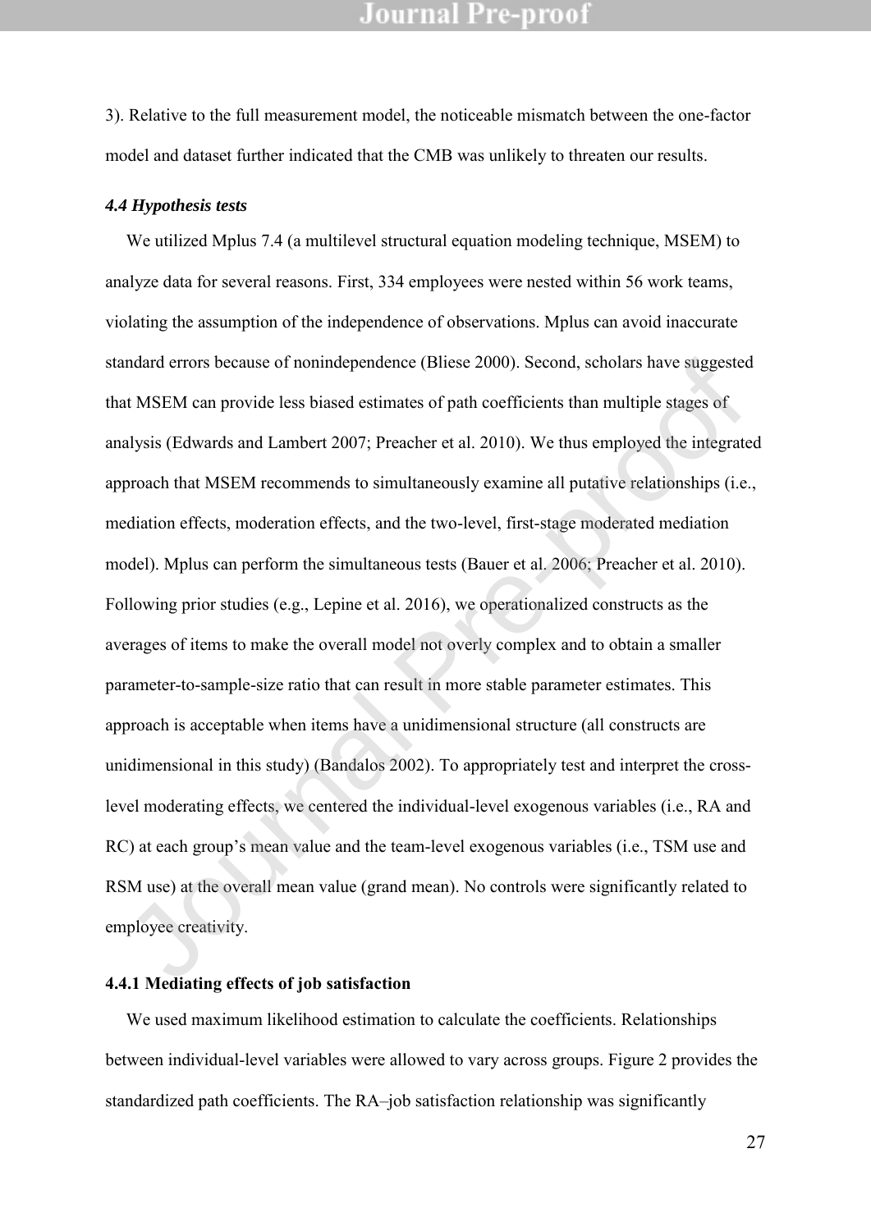3). Relative to the full measurement model, the noticeable mismatch between the one-factor model and dataset further indicated that the CMB was unlikely to threaten our results.

#### *4.4 Hypothesis tests*

We utilized Mplus 7.4 (a multilevel structural equation modeling technique, MSEM) to analyze data for several reasons. First, 334 employees were nested within 56 work teams, violating the assumption of the independence of observations. Mplus can avoid inaccurate standard errors because of nonindependence (Bliese 2000). Second, scholars have suggested that MSEM can provide less biased estimates of path coefficients than multiple stages of analysis (Edwards and Lambert 2007; Preacher et al. 2010). We thus employed the integrated approach that MSEM recommends to simultaneously examine all putative relationships (i.e., mediation effects, moderation effects, and the two-level, first-stage moderated mediation model). Mplus can perform the simultaneous tests (Bauer et al. 2006; Preacher et al. 2010). Following prior studies (e.g., Lepine et al. 2016), we operationalized constructs as the averages of items to make the overall model not overly complex and to obtain a smaller parameter-to-sample-size ratio that can result in more stable parameter estimates. This approach is acceptable when items have a unidimensional structure (all constructs are unidimensional in this study) (Bandalos 2002). To appropriately test and interpret the crosslevel moderating effects, we centered the individual-level exogenous variables (i.e., RA and RC) at each group's mean value and the team-level exogenous variables (i.e., TSM use and RSM use) at the overall mean value (grand mean). No controls were significantly related to employee creativity. mdard errors because of nonindependence (Bliese 2000). Second, scholars have suggested MSEM can provide less biased estimates of path coefficients than multiple stages of alysis (Edwards and Lambert 2007; Preacher et al. 2

#### **4.4.1 Mediating effects of job satisfaction**

We used maximum likelihood estimation to calculate the coefficients. Relationships between individual-level variables were allowed to vary across groups. Figure 2 provides the standardized path coefficients. The RA–job satisfaction relationship was significantly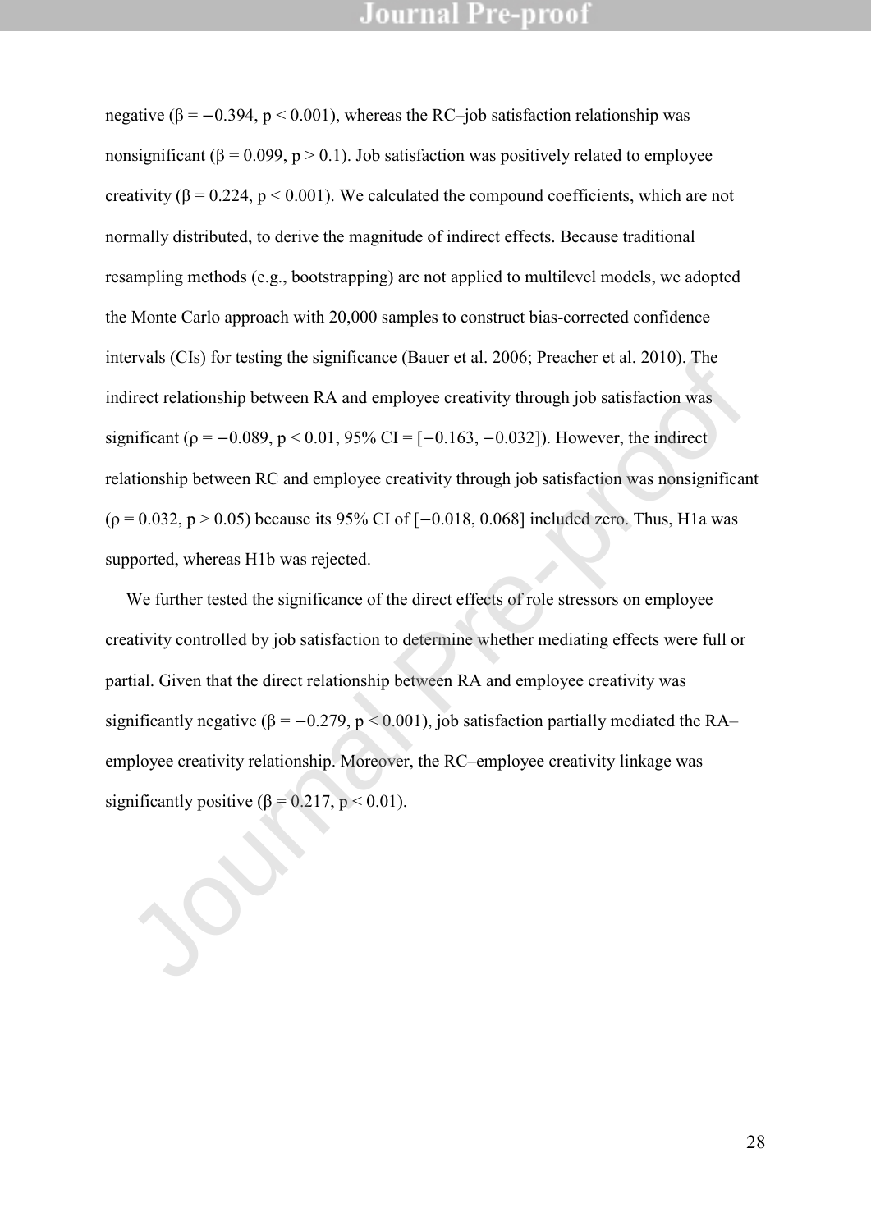negative ( $\beta = -0.394$ ,  $p < 0.001$ ), whereas the RC–job satisfaction relationship was nonsignificant ( $\beta = 0.099$ ,  $p > 0.1$ ). Job satisfaction was positively related to employee creativity ( $\beta$  = 0.224, p < 0.001). We calculated the compound coefficients, which are not normally distributed, to derive the magnitude of indirect effects. Because traditional resampling methods (e.g., bootstrapping) are not applied to multilevel models, we adopted the Monte Carlo approach with 20,000 samples to construct bias-corrected confidence intervals (CIs) for testing the significance (Bauer et al. 2006; Preacher et al. 2010). The indirect relationship between RA and employee creativity through job satisfaction was significant ( $\rho = -0.089$ ,  $p < 0.01$ , 95% CI = [-0.163, -0.032]). However, the indirect relationship between RC and employee creativity through job satisfaction was nonsignificant ( $\rho = 0.032$ ,  $p > 0.05$ ) because its 95% CI of [-0.018, 0.068] included zero. Thus, H1a was supported, whereas H1b was rejected.

We further tested the significance of the direct effects of role stressors on employee creativity controlled by job satisfaction to determine whether mediating effects were full or partial. Given that the direct relationship between RA and employee creativity was significantly negative ( $\beta = -0.279$ ,  $p < 0.001$ ), job satisfaction partially mediated the RA– employee creativity relationship. Moreover, the RC–employee creativity linkage was sinctrosis (Cis) for usamg the significante (Bauer et al. 2000, Preacher et al. 2010). The<br>indirect relationship between RA and employee creativity through job satisfaction was<br>significant ( $p = -0.089$ ,  $p < 0.01$ , 95% CI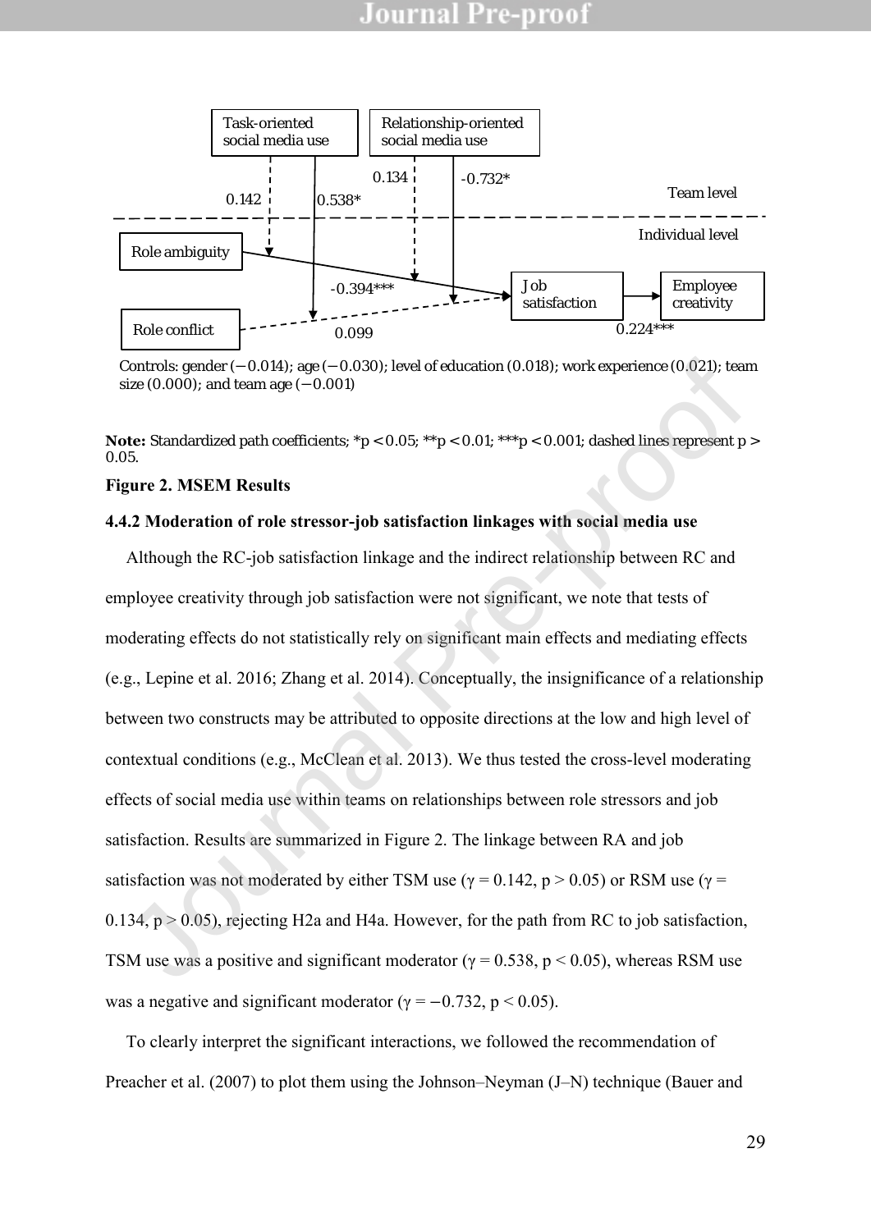

Controls: gender (−0.014); age (−0.030); level of education (0.018); work experience (0.021); team size (0.000); and team age (-0.001)

**Note:** Standardized path coefficients;  $*p < 0.05$ ;  $*p < 0.01$ ;  $**p < 0.001$ ; dashed lines represent p > 0.05.

#### **Figure 2. MSEM Results**

#### **4.4.2 Moderation of role stressor-job satisfaction linkages with social media use**

Although the RC-job satisfaction linkage and the indirect relationship between RC and employee creativity through job satisfaction were not significant, we note that tests of moderating effects do not statistically rely on significant main effects and mediating effects (e.g., Lepine et al. 2016; Zhang et al. 2014). Conceptually, the insignificance of a relationship between two constructs may be attributed to opposite directions at the low and high level of contextual conditions (e.g., McClean et al. 2013). We thus tested the cross-level moderating effects of social media use within teams on relationships between role stressors and job satisfaction. Results are summarized in Figure 2. The linkage between RA and job satisfaction was not moderated by either TSM use ( $\gamma = 0.142$ , p > 0.05) or RSM use ( $\gamma$  = 0.134,  $p > 0.05$ ), rejecting H2a and H4a. However, for the path from RC to job satisfaction, TSM use was a positive and significant moderator ( $\gamma = 0.538$ , p < 0.05), whereas RSM use was a negative and significant moderator ( $\gamma = -0.732$ , p < 0.05). Controls: gender  $(-0.014)$  age  $(-0.030)$ ; level of education (0.018); work experience (0.021); tead<br>ize (0.000); and team age  $(-0.001)$ <br>**star Slandardized path coefficients:**  $^*p < 0.05$ ;  $^{**}p < 0.01$ ;  $^{***}p < 0.001$  dashe

To clearly interpret the significant interactions, we followed the recommendation of Preacher et al. (2007) to plot them using the Johnson–Neyman (J–N) technique (Bauer and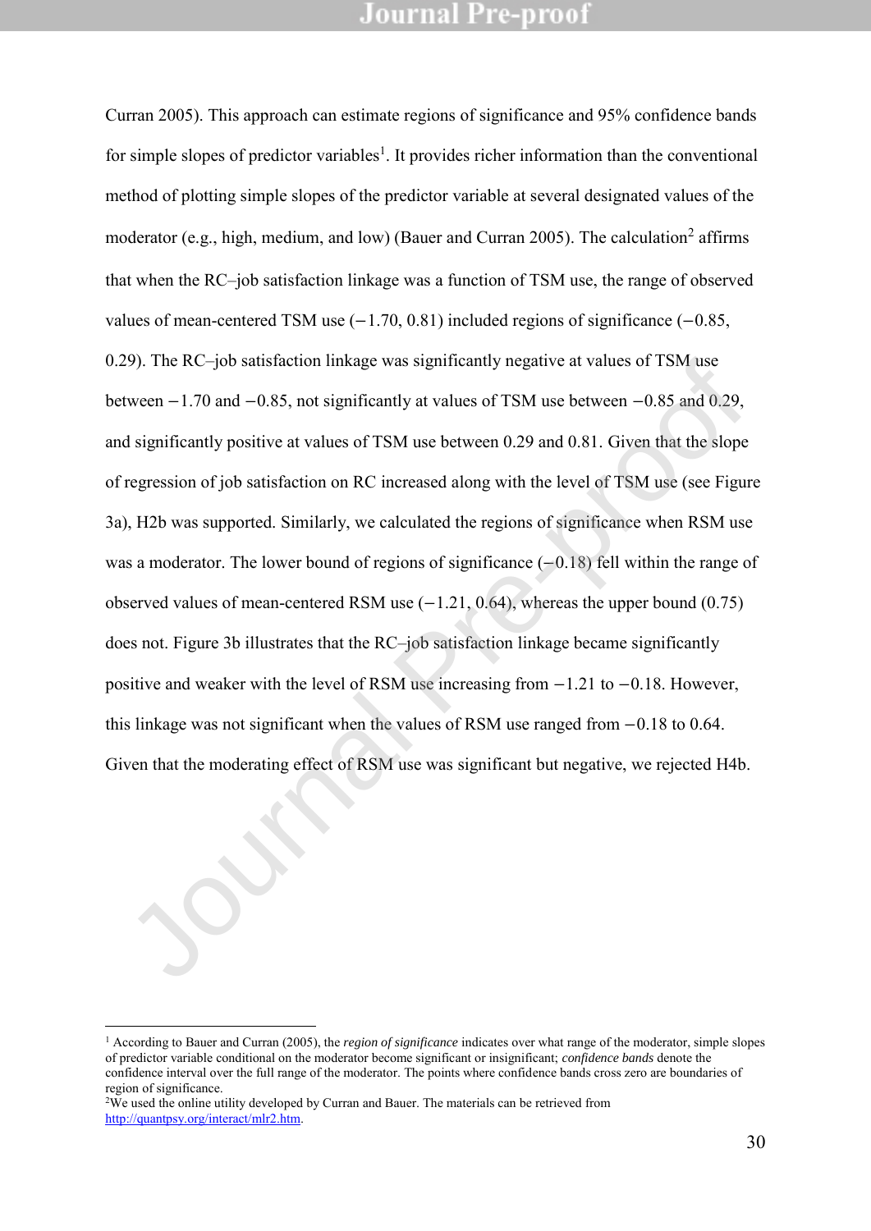Curran 2005). This approach can estimate regions of significance and 95% confidence bands for simple slopes of predictor variables<sup>1</sup>. It provides richer information than the conventional method of plotting simple slopes of the predictor variable at several designated values of the moderator (e.g., high, medium, and low) (Bauer and Curran 2005). The calculation<sup>2</sup> affirms that when the RC–job satisfaction linkage was a function of TSM use, the range of observed values of mean-centered TSM use (−1.70, 0.81) included regions of significance (−0.85, 0.29). The RC–job satisfaction linkage was significantly negative at values of TSM use between −1.70 and −0.85, not significantly at values of TSM use between −0.85 and 0.29, and significantly positive at values of TSM use between 0.29 and 0.81. Given that the slope of regression of job satisfaction on RC increased along with the level of TSM use (see Figure 3a), H2b was supported. Similarly, we calculated the regions of significance when RSM use was a moderator. The lower bound of regions of significance (−0.18) fell within the range of observed values of mean-centered RSM use  $(-1.21, 0.64)$ , whereas the upper bound  $(0.75)$ does not. Figure 3b illustrates that the RC–job satisfaction linkage became significantly positive and weaker with the level of RSM use increasing from −1.21 to −0.18. However, this linkage was not significant when the values of RSM use ranged from −0.18 to 0.64. Given that the moderating effect of RSM use was significant but negative, we rejected H4b. 29). The RC-job satisfaction linkage was significantly negative at values of 15M use<br>tween  $-1.70$  and  $-0.85$ , not significantly at values of TSM use between  $-0.85$  and 0.29,<br>d significantly positive at values of TSM us

<sup>2</sup>We used the online utility developed by Curran and Bauer. The materials can be retrieved from [http://quantpsy.org/interact/mlr2.htm.](http://quantpsy.org/interact/mlr2.htm) 

-

<sup>1</sup> According to Bauer and Curran (2005), the *region of significance* indicates over what range of the moderator, simple slopes of predictor variable conditional on the moderator become significant or insignificant; *confidence bands* denote the confidence interval over the full range of the moderator. The points where confidence bands cross zero are boundaries of region of significance.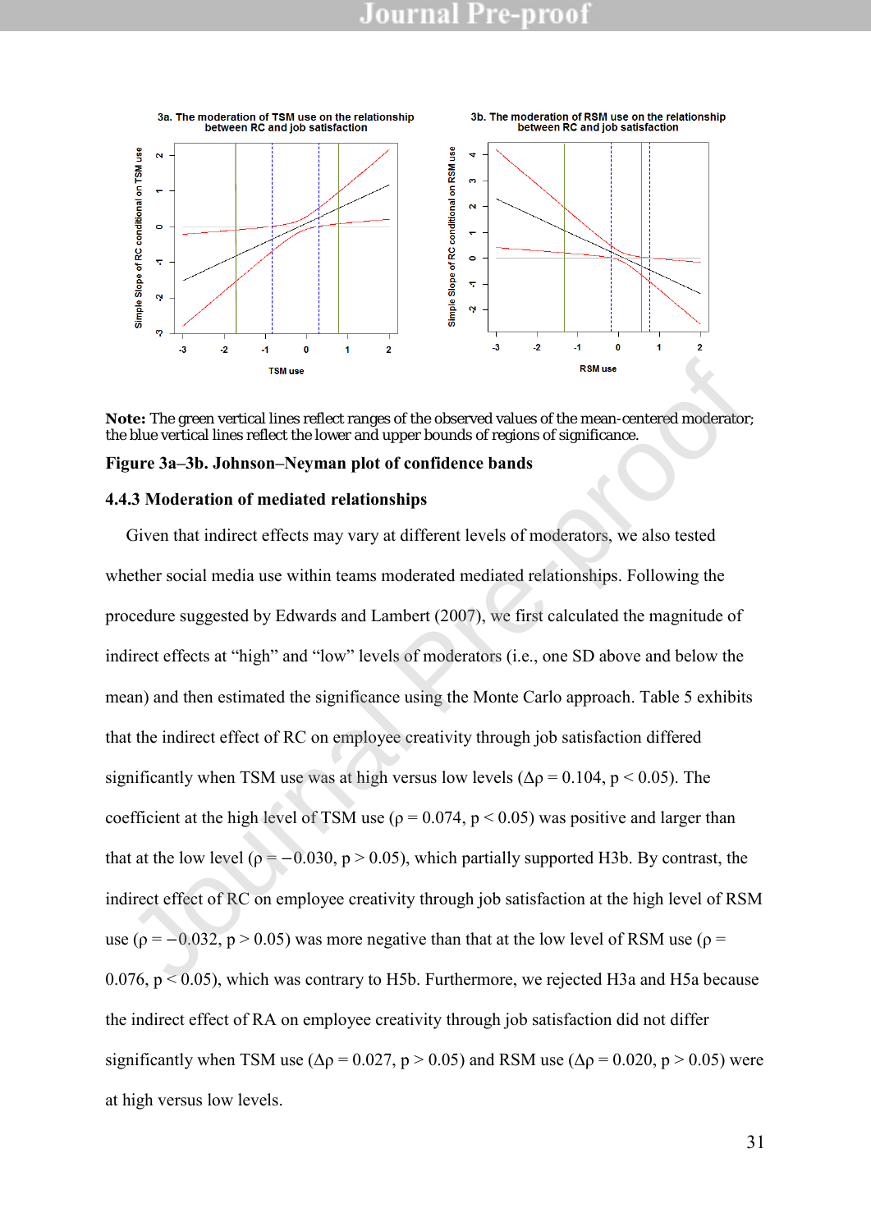

**Note:** The green vertical lines reflect ranges of the observed values of the mean-centered moderator; the blue vertical lines reflect the lower and upper bounds of regions of significance.

#### **Figure 3a–3b. Johnson–Neyman plot of confidence bands**

#### **4.4.3 Moderation of mediated relationships**

Given that indirect effects may vary at different levels of moderators, we also tested whether social media use within teams moderated mediated relationships. Following the procedure suggested by Edwards and Lambert (2007), we first calculated the magnitude of indirect effects at "high" and "low" levels of moderators (i.e., one SD above and below the mean) and then estimated the significance using the Monte Carlo approach. Table 5 exhibits that the indirect effect of RC on employee creativity through job satisfaction differed significantly when TSM use was at high versus low levels ( $\Delta \rho = 0.104$ , p < 0.05). The coefficient at the high level of TSM use ( $\rho = 0.074$ ,  $p < 0.05$ ) was positive and larger than that at the low level ( $\rho = -0.030$ ,  $p > 0.05$ ), which partially supported H3b. By contrast, the indirect effect of RC on employee creativity through job satisfaction at the high level of RSM use ( $\rho = -0.032$ ,  $p > 0.05$ ) was more negative than that at the low level of RSM use ( $\rho =$ 0.076,  $p < 0.05$ ), which was contrary to H5b. Furthermore, we rejected H3a and H5a because the indirect effect of RA on employee creativity through job satisfaction did not differ significantly when TSM use ( $\Delta \rho = 0.027$ ,  $p > 0.05$ ) and RSM use ( $\Delta \rho = 0.020$ ,  $p > 0.05$ ) were at high versus low levels. The green vertical lines reflect ranges of the observed values of the mean-centersd moderator<br>be better and the step of the observed values of the mean-centersd moderator<br>gure 3a-3b. Johnson-Neyman plot of confidence band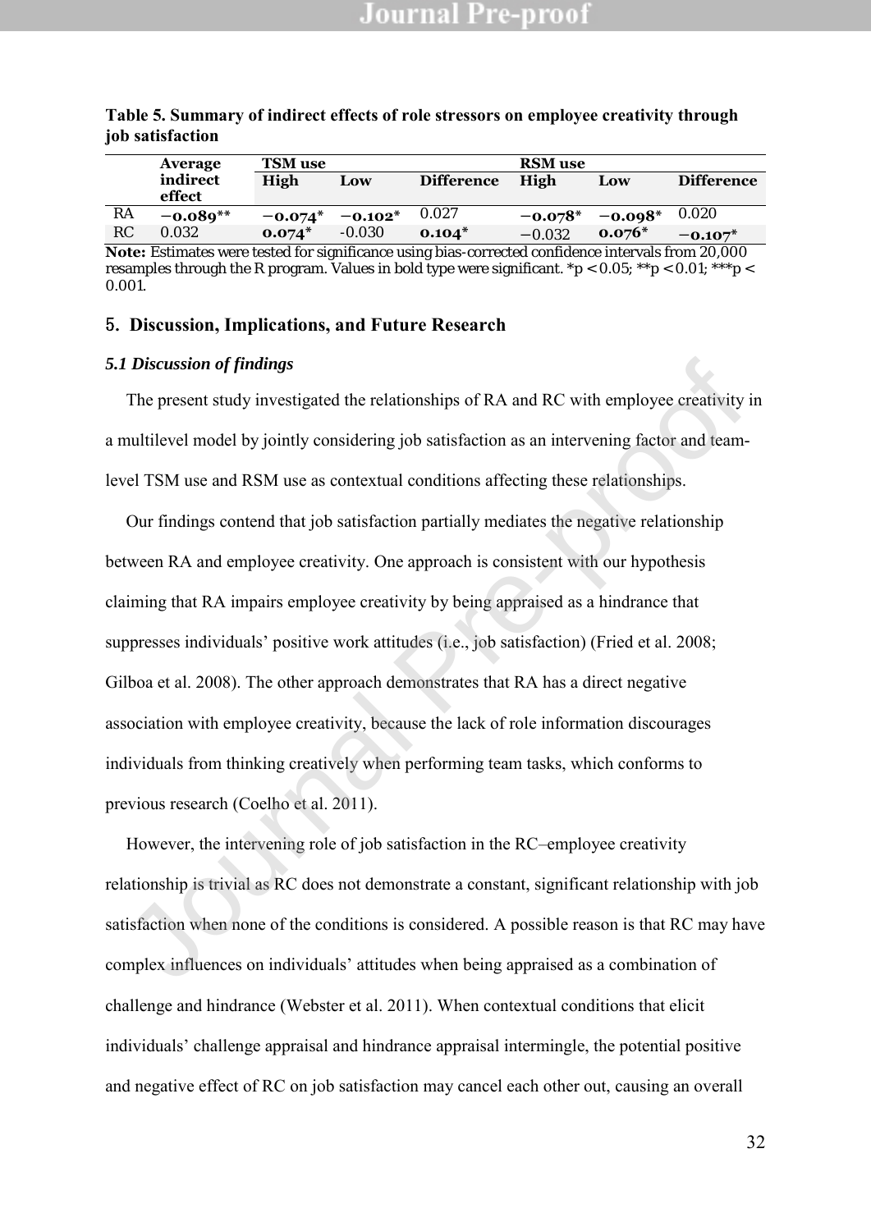|    | Average                                                                                                   | <b>TSM</b> use |           |                   | <b>RSM</b> use |           |                   |
|----|-----------------------------------------------------------------------------------------------------------|----------------|-----------|-------------------|----------------|-----------|-------------------|
|    | indirect<br>effect                                                                                        | High           | Low       | <b>Difference</b> | High           | Low       | <b>Difference</b> |
|    |                                                                                                           |                |           |                   |                |           |                   |
| RA | $-0.089**$                                                                                                | $-0.074*$      | $-0.102*$ | 0.027             | $-0.078*$      | $-0.098*$ | 0.020             |
| RC | 0.032                                                                                                     | $0.074*$       | $-0.030$  | $0.104*$          | $-0.032$       | $0.076*$  | $-0.107*$         |
|    | <b>Note:</b> Estimates were tested for significance using bias-corrected confidence intervals from 20,000 |                |           |                   |                |           |                   |

#### **Table 5. Summary of indirect effects of role stressors on employee creativity through job satisfaction**

**Note:** Estimates were tested for significance using bias-corrected confidence intervals from 20,000 resamples through the R program. Values in bold type were significant. \*p < 0.05; \*\*p < 0.01; \*\*\*p < 0.001.

### 5. **Discussion, Implications, and Future Research**

#### *5.1 Discussion of findings*

The present study investigated the relationships of RA and RC with employee creativity in a multilevel model by jointly considering job satisfaction as an intervening factor and teamlevel TSM use and RSM use as contextual conditions affecting these relationships.

Our findings contend that job satisfaction partially mediates the negative relationship between RA and employee creativity. One approach is consistent with our hypothesis claiming that RA impairs employee creativity by being appraised as a hindrance that suppresses individuals' positive work attitudes (i.e., job satisfaction) (Fried et al. 2008; Gilboa et al. 2008). The other approach demonstrates that RA has a direct negative association with employee creativity, because the lack of role information discourages individuals from thinking creatively when performing team tasks, which conforms to previous research (Coelho et al. 2011). Discussion of findings<br>The present study investigated the relationships of RA and RC with employee ereativity<br>nultilevel model by jointly considering job satisfaction as an intervening factor and team-<br>nel TSM use and RSM

However, the intervening role of job satisfaction in the RC–employee creativity relationship is trivial as RC does not demonstrate a constant, significant relationship with job satisfaction when none of the conditions is considered. A possible reason is that RC may have complex influences on individuals' attitudes when being appraised as a combination of challenge and hindrance (Webster et al. 2011). When contextual conditions that elicit individuals' challenge appraisal and hindrance appraisal intermingle, the potential positive and negative effect of RC on job satisfaction may cancel each other out, causing an overall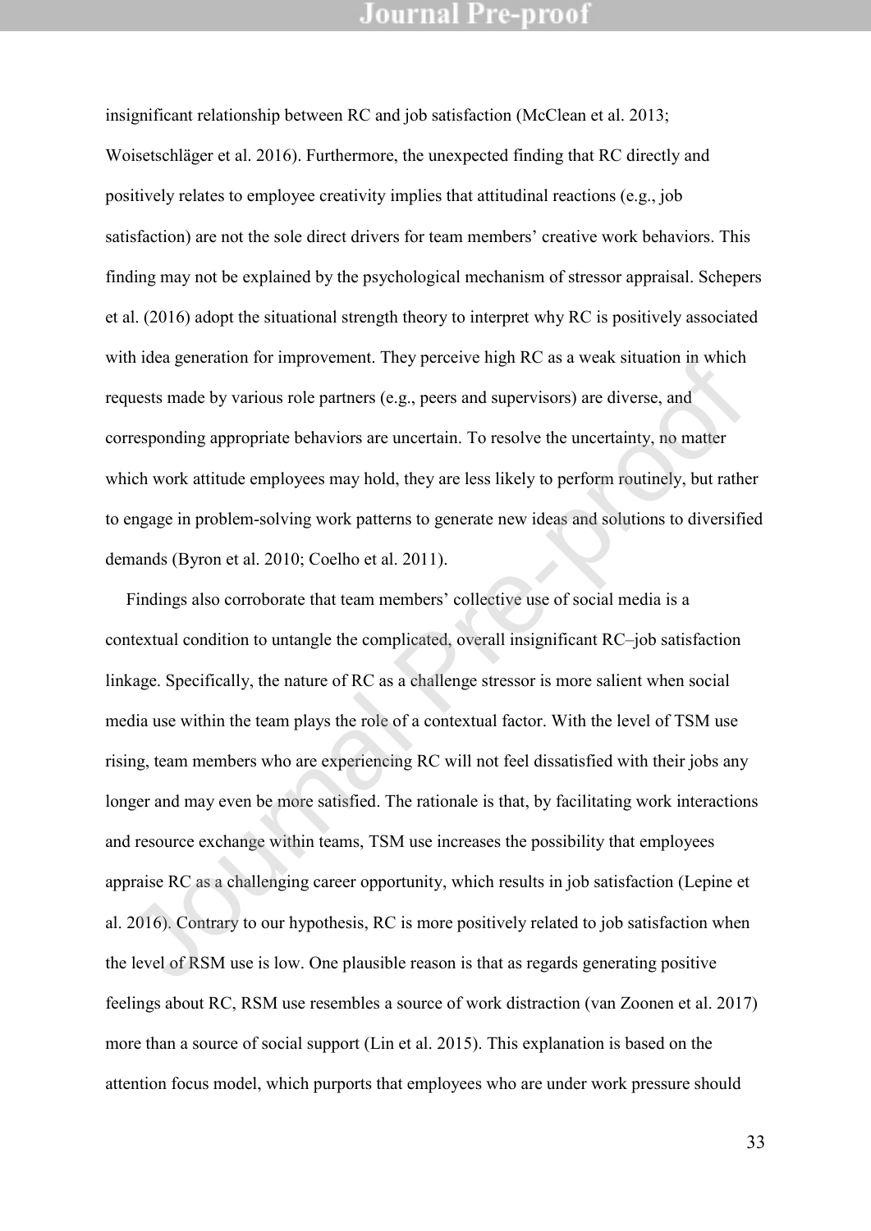insignificant relationship between RC and job satisfaction (McClean et al. 2013; Woisetschläger et al. 2016). Furthermore, the unexpected finding that RC directly and positively relates to employee creativity implies that attitudinal reactions (e.g., job satisfaction) are not the sole direct drivers for team members' creative work behaviors. This finding may not be explained by the psychological mechanism of stressor appraisal. Schepers et al. (2016) adopt the situational strength theory to interpret why RC is positively associated with idea generation for improvement. They perceive high RC as a weak situation in which requests made by various role partners (e.g., peers and supervisors) are diverse, and corresponding appropriate behaviors are uncertain. To resolve the uncertainty, no matter which work attitude employees may hold, they are less likely to perform routinely, but rather to engage in problem-solving work patterns to generate new ideas and solutions to diversified demands (Byron et al. 2010; Coelho et al. 2011).

Findings also corroborate that team members' collective use of social media is a contextual condition to untangle the complicated, overall insignificant RC–job satisfaction linkage. Specifically, the nature of RC as a challenge stressor is more salient when social media use within the team plays the role of a contextual factor. With the level of TSM use rising, team members who are experiencing RC will not feel dissatisfied with their jobs any longer and may even be more satisfied. The rationale is that, by facilitating work interactions and resource exchange within teams, TSM use increases the possibility that employees appraise RC as a challenging career opportunity, which results in job satisfaction (Lepine et al. 2016). Contrary to our hypothesis, RC is more positively related to job satisfaction when the level of RSM use is low. One plausible reason is that as regards generating positive feelings about RC, RSM use resembles a source of work distraction (van Zoonen et al. 2017) more than a source of social support (Lin et al. 2015). This explanation is based on the attention focus model, which purports that employees who are under work pressure should in deal generation for improvement. They perceive mgn RC as a weak situation in which<br>quests made by various role partners (e.g., peers and supervisors) are diverse, and<br>responding appropriate behaviors are uncertain. To r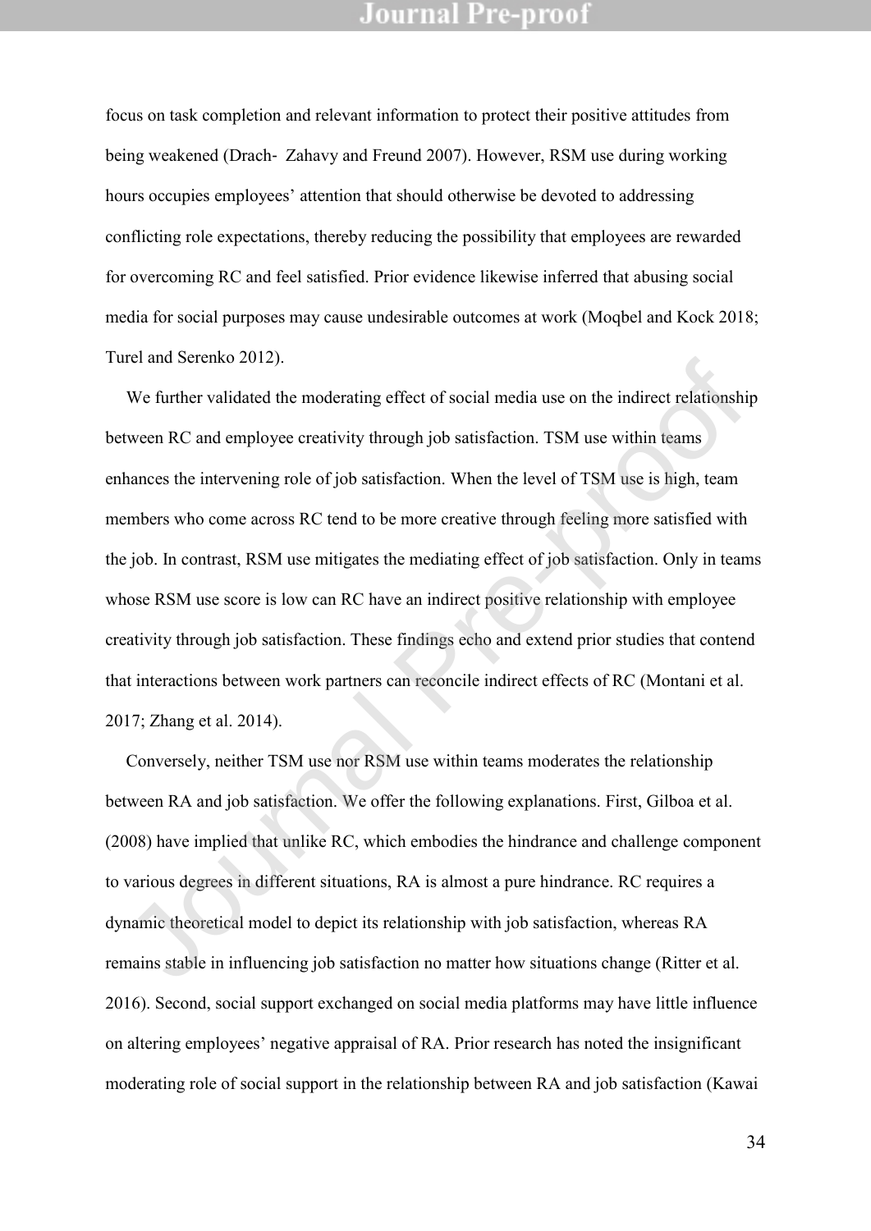focus on task completion and relevant information to protect their positive attitudes from being weakened (Drach‐ Zahavy and Freund 2007). However, RSM use during working hours occupies employees' attention that should otherwise be devoted to addressing conflicting role expectations, thereby reducing the possibility that employees are rewarded for overcoming RC and feel satisfied. Prior evidence likewise inferred that abusing social media for social purposes may cause undesirable outcomes at work (Moqbel and Kock 2018; Turel and Serenko 2012).

We further validated the moderating effect of social media use on the indirect relationship between RC and employee creativity through job satisfaction. TSM use within teams enhances the intervening role of job satisfaction. When the level of TSM use is high, team members who come across RC tend to be more creative through feeling more satisfied with the job. In contrast, RSM use mitigates the mediating effect of job satisfaction. Only in teams whose RSM use score is low can RC have an indirect positive relationship with employee creativity through job satisfaction. These findings echo and extend prior studies that contend that interactions between work partners can reconcile indirect effects of RC (Montani et al. 2017; Zhang et al. 2014). IVe further validated the moderating effect of social media use on the indirect relationship<br>We further validated the moderating effect of social media use on the indirect relationship<br>tween RC and employee ereativity thro

Conversely, neither TSM use nor RSM use within teams moderates the relationship between RA and job satisfaction. We offer the following explanations. First, Gilboa et al. (2008) have implied that unlike RC, which embodies the hindrance and challenge component to various degrees in different situations, RA is almost a pure hindrance. RC requires a dynamic theoretical model to depict its relationship with job satisfaction, whereas RA remains stable in influencing job satisfaction no matter how situations change (Ritter et al. 2016). Second, social support exchanged on social media platforms may have little influence on altering employees' negative appraisal of RA. Prior research has noted the insignificant moderating role of social support in the relationship between RA and job satisfaction (Kawai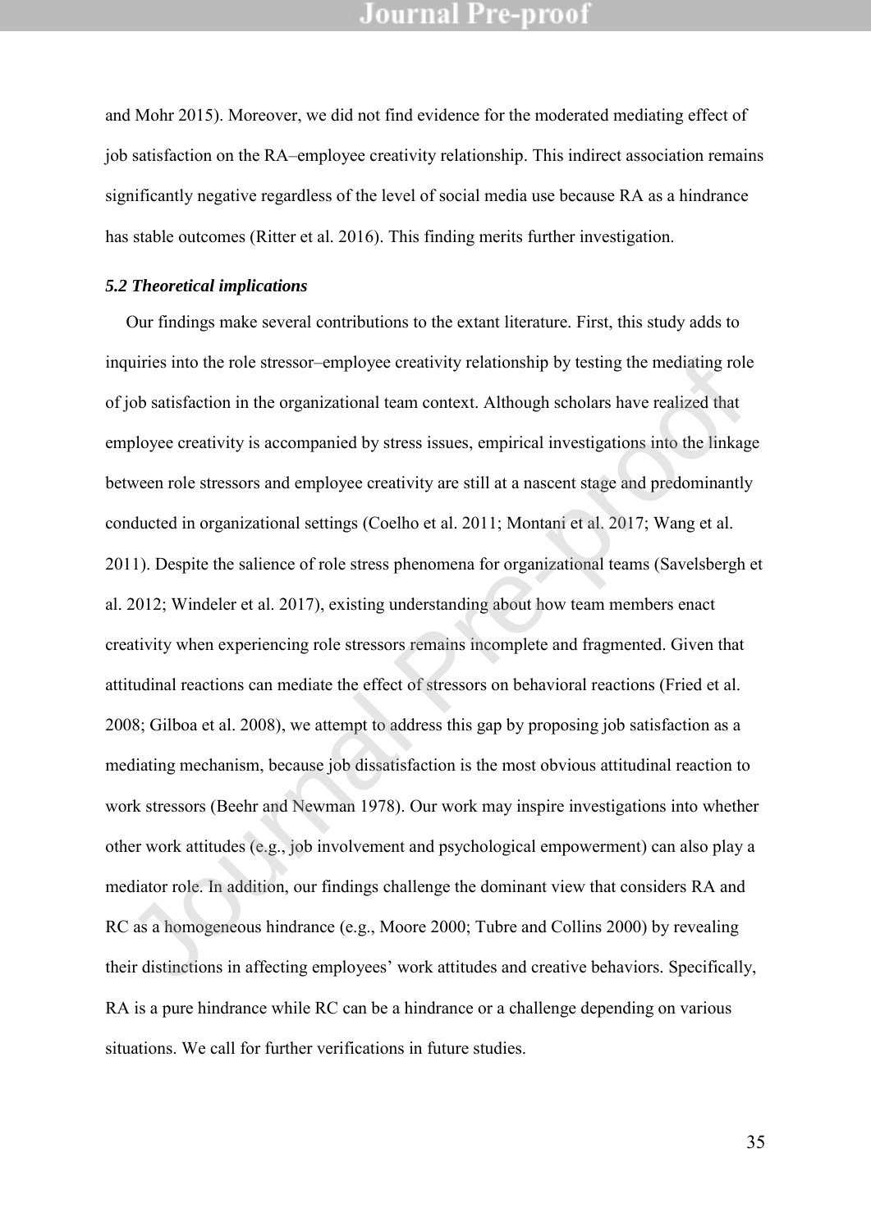and Mohr 2015). Moreover, we did not find evidence for the moderated mediating effect of job satisfaction on the RA–employee creativity relationship. This indirect association remains significantly negative regardless of the level of social media use because RA as a hindrance has stable outcomes (Ritter et al. 2016). This finding merits further investigation.

#### *5.2 Theoretical implications*

Our findings make several contributions to the extant literature. First, this study adds to inquiries into the role stressor–employee creativity relationship by testing the mediating role of job satisfaction in the organizational team context. Although scholars have realized that employee creativity is accompanied by stress issues, empirical investigations into the linkage between role stressors and employee creativity are still at a nascent stage and predominantly conducted in organizational settings (Coelho et al. 2011; Montani et al. 2017; Wang et al. 2011). Despite the salience of role stress phenomena for organizational teams (Savelsbergh et al. 2012; Windeler et al. 2017), existing understanding about how team members enact creativity when experiencing role stressors remains incomplete and fragmented. Given that attitudinal reactions can mediate the effect of stressors on behavioral reactions (Fried et al. 2008; Gilboa et al. 2008), we attempt to address this gap by proposing job satisfaction as a mediating mechanism, because job dissatisfaction is the most obvious attitudinal reaction to work stressors (Beehr and Newman 1978). Our work may inspire investigations into whether other work attitudes (e.g., job involvement and psychological empowerment) can also play a mediator role. In addition, our findings challenge the dominant view that considers RA and RC as a homogeneous hindrance (e.g., Moore 2000; Tubre and Collins 2000) by revealing their distinctions in affecting employees' work attitudes and creative behaviors. Specifically, RA is a pure hindrance while RC can be a hindrance or a challenge depending on various situations. We call for further verifications in future studies. quiries into the role stressor-employee creativity relationship by testing the mediating rol<br>job satisfaction in the organizational team context. Although scholars have realized that<br>phoyee creativity is accompanied by str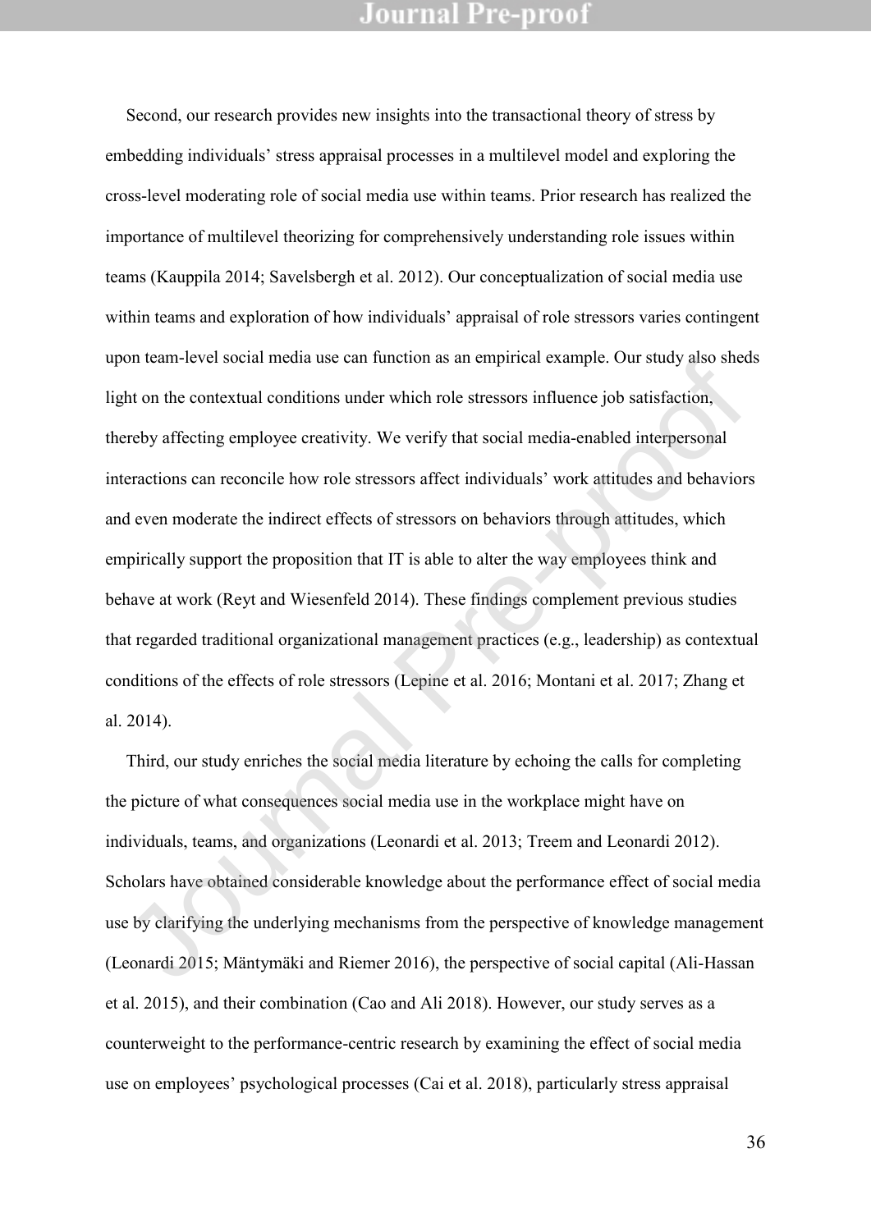Second, our research provides new insights into the transactional theory of stress by embedding individuals' stress appraisal processes in a multilevel model and exploring the cross-level moderating role of social media use within teams. Prior research has realized the importance of multilevel theorizing for comprehensively understanding role issues within teams (Kauppila 2014; Savelsbergh et al. 2012). Our conceptualization of social media use within teams and exploration of how individuals' appraisal of role stressors varies contingent upon team-level social media use can function as an empirical example. Our study also sheds light on the contextual conditions under which role stressors influence job satisfaction, thereby affecting employee creativity. We verify that social media-enabled interpersonal interactions can reconcile how role stressors affect individuals' work attitudes and behaviors and even moderate the indirect effects of stressors on behaviors through attitudes, which empirically support the proposition that IT is able to alter the way employees think and behave at work (Reyt and Wiesenfeld 2014). These findings complement previous studies that regarded traditional organizational management practices (e.g., leadership) as contextual conditions of the effects of role stressors (Lepine et al. 2016; Montani et al. 2017; Zhang et al. 2014). on team-lever soenal media use earl function as an empirical example. Our sutuy also sited<br>then the contextual conditions under which role stressors influence job satisfaction,<br>reeby affecting employee ereativity. We verif

Third, our study enriches the social media literature by echoing the calls for completing the picture of what consequences social media use in the workplace might have on individuals, teams, and organizations (Leonardi et al. 2013; Treem and Leonardi 2012). Scholars have obtained considerable knowledge about the performance effect of social media use by clarifying the underlying mechanisms from the perspective of knowledge management (Leonardi 2015; Mäntymäki and Riemer 2016), the perspective of social capital (Ali-Hassan et al. 2015), and their combination (Cao and Ali 2018). However, our study serves as a counterweight to the performance-centric research by examining the effect of social media use on employees' psychological processes (Cai et al. 2018), particularly stress appraisal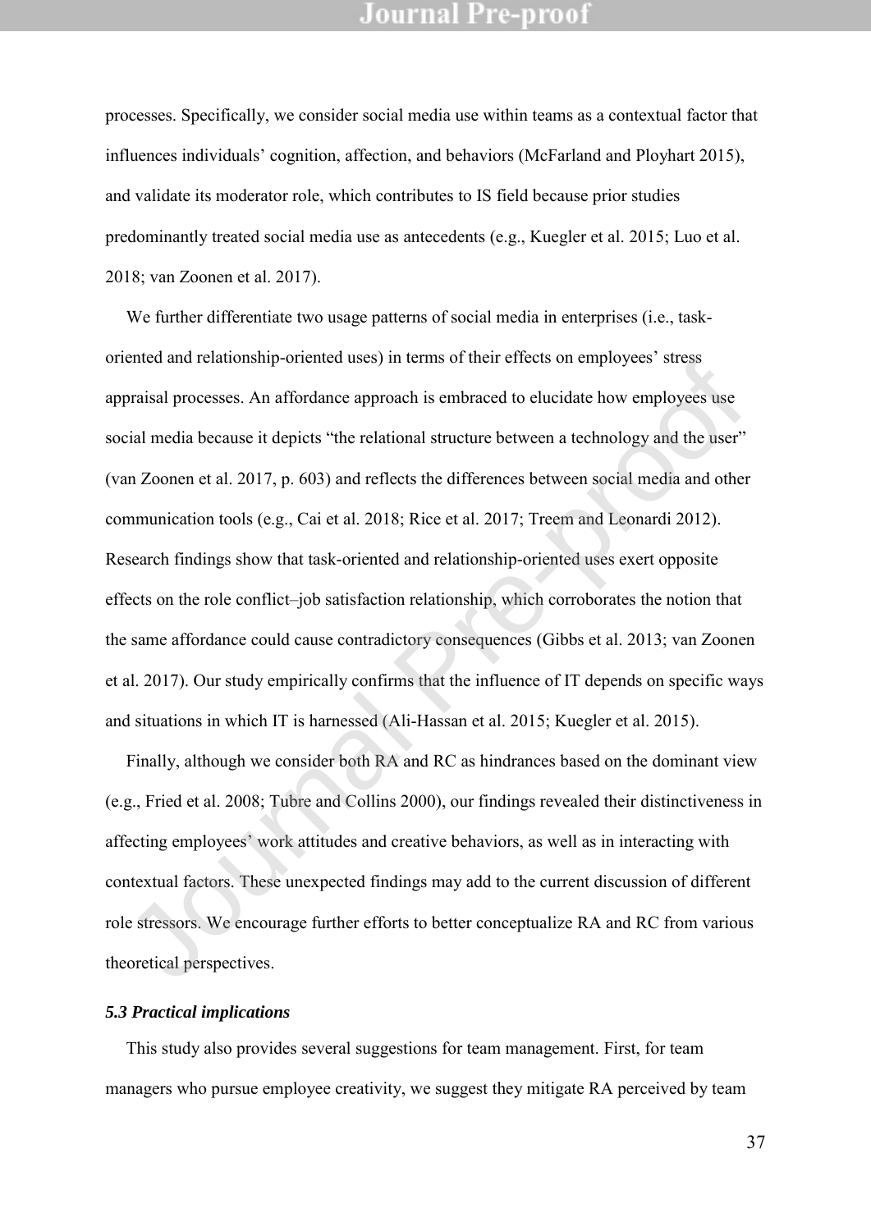processes. Specifically, we consider social media use within teams as a contextual factor that influences individuals' cognition, affection, and behaviors (McFarland and Ployhart 2015), and validate its moderator role, which contributes to IS field because prior studies predominantly treated social media use as antecedents (e.g., Kuegler et al. 2015; Luo et al. 2018; van Zoonen et al. 2017).

We further differentiate two usage patterns of social media in enterprises (i.e., taskoriented and relationship-oriented uses) in terms of their effects on employees' stress appraisal processes. An affordance approach is embraced to elucidate how employees use social media because it depicts "the relational structure between a technology and the user" (van Zoonen et al. 2017, p. 603) and reflects the differences between social media and other communication tools (e.g., Cai et al. 2018; Rice et al. 2017; Treem and Leonardi 2012). Research findings show that task-oriented and relationship-oriented uses exert opposite effects on the role conflict–job satisfaction relationship, which corroborates the notion that the same affordance could cause contradictory consequences (Gibbs et al. 2013; van Zoonen et al. 2017). Our study empirically confirms that the influence of IT depends on specific ways and situations in which IT is harnessed (Ali-Hassan et al. 2015; Kuegler et al. 2015). ented and relationship-onemed uses) in terms of their encess of employees sucss<br>praisal processes. An affordance approach is embraced to clucidate how employees uses<br>eial media because it depicts "the relational structure

Finally, although we consider both RA and RC as hindrances based on the dominant view (e.g., Fried et al. 2008; Tubre and Collins 2000), our findings revealed their distinctiveness in affecting employees' work attitudes and creative behaviors, as well as in interacting with contextual factors. These unexpected findings may add to the current discussion of different role stressors. We encourage further efforts to better conceptualize RA and RC from various theoretical perspectives.

#### *5.3 Practical implications*

This study also provides several suggestions for team management. First, for team managers who pursue employee creativity, we suggest they mitigate RA perceived by team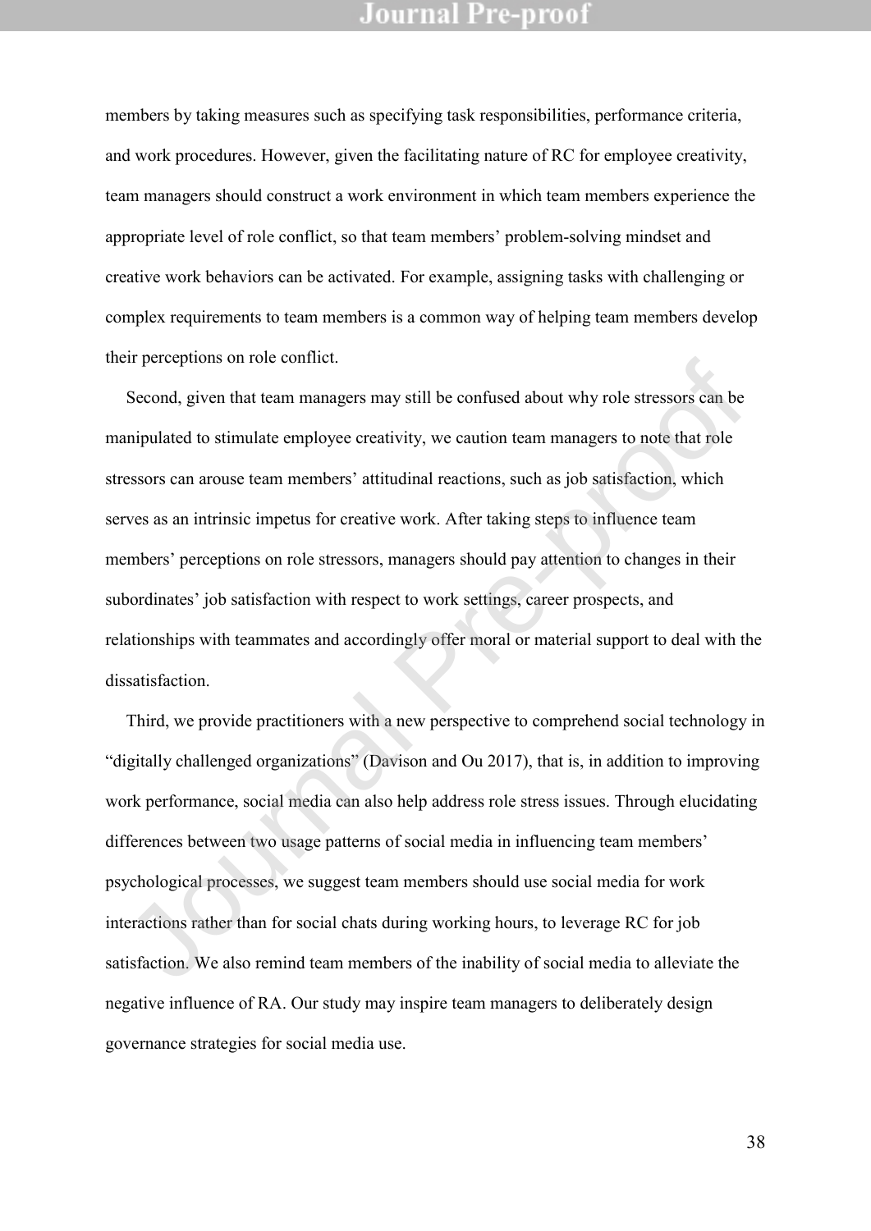members by taking measures such as specifying task responsibilities, performance criteria, and work procedures. However, given the facilitating nature of RC for employee creativity, team managers should construct a work environment in which team members experience the appropriate level of role conflict, so that team members' problem-solving mindset and creative work behaviors can be activated. For example, assigning tasks with challenging or complex requirements to team members is a common way of helping team members develop their perceptions on role conflict.

Second, given that team managers may still be confused about why role stressors can be manipulated to stimulate employee creativity, we caution team managers to note that role stressors can arouse team members' attitudinal reactions, such as job satisfaction, which serves as an intrinsic impetus for creative work. After taking steps to influence team members' perceptions on role stressors, managers should pay attention to changes in their subordinates' job satisfaction with respect to work settings, career prospects, and relationships with teammates and accordingly offer moral or material support to deal with the dissatisfaction. Expression of rote contract.<br>
Second, given that team managers may still be confused about why role stressors can be<br>
amipulated to stimulate employee creativity, we caution team managers to note that role<br>
resesors can ar

Third, we provide practitioners with a new perspective to comprehend social technology in "digitally challenged organizations" (Davison and Ou 2017), that is, in addition to improving work performance, social media can also help address role stress issues. Through elucidating differences between two usage patterns of social media in influencing team members' psychological processes, we suggest team members should use social media for work interactions rather than for social chats during working hours, to leverage RC for job satisfaction. We also remind team members of the inability of social media to alleviate the negative influence of RA. Our study may inspire team managers to deliberately design governance strategies for social media use.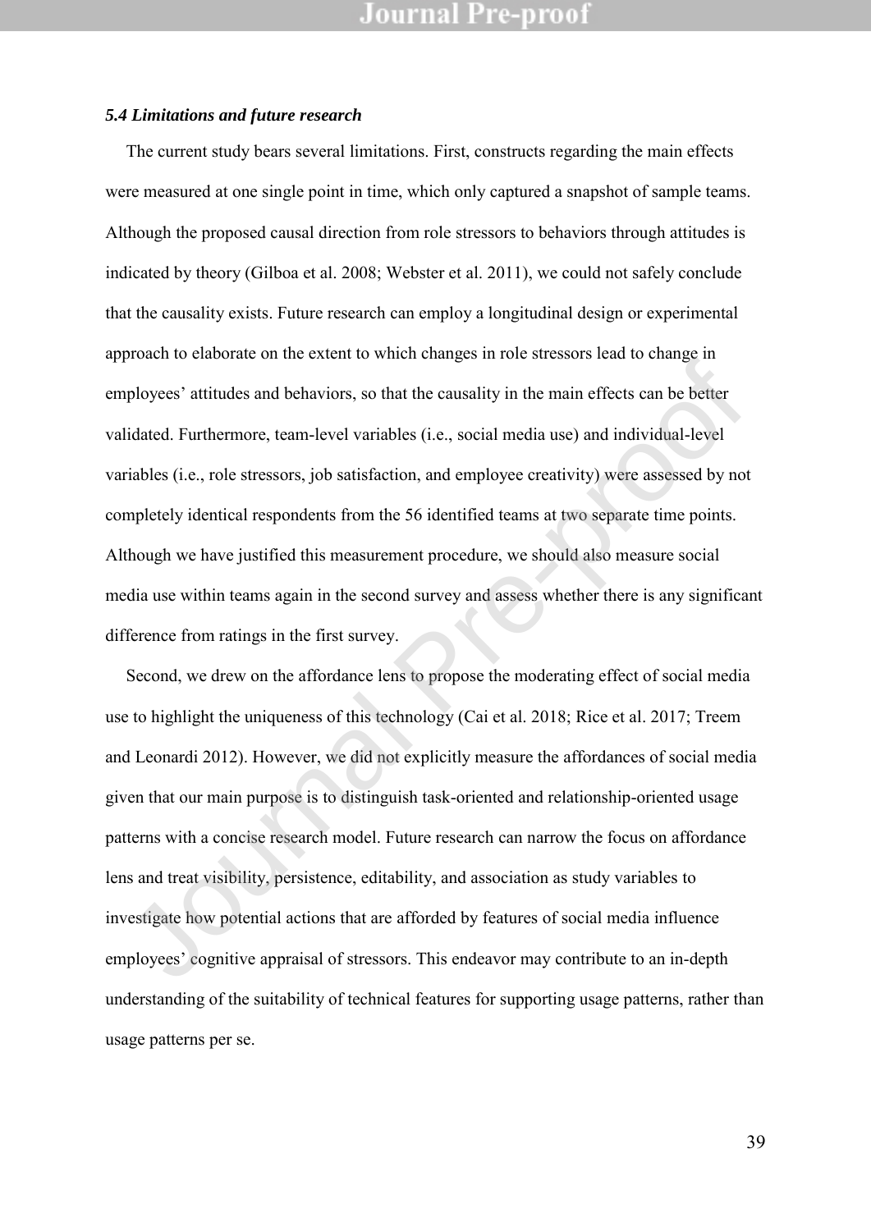#### *5.4 Limitations and future research*

The current study bears several limitations. First, constructs regarding the main effects were measured at one single point in time, which only captured a snapshot of sample teams. Although the proposed causal direction from role stressors to behaviors through attitudes is indicated by theory (Gilboa et al. 2008; Webster et al. 2011), we could not safely conclude that the causality exists. Future research can employ a longitudinal design or experimental approach to elaborate on the extent to which changes in role stressors lead to change in employees' attitudes and behaviors, so that the causality in the main effects can be better validated. Furthermore, team-level variables (i.e., social media use) and individual-level variables (i.e., role stressors, job satisfaction, and employee creativity) were assessed by not completely identical respondents from the 56 identified teams at two separate time points. Although we have justified this measurement procedure, we should also measure social media use within teams again in the second survey and assess whether there is any significant difference from ratings in the first survey.

Second, we drew on the affordance lens to propose the moderating effect of social media use to highlight the uniqueness of this technology (Cai et al. 2018; Rice et al. 2017; Treem and Leonardi 2012). However, we did not explicitly measure the affordances of social media given that our main purpose is to distinguish task-oriented and relationship-oriented usage patterns with a concise research model. Future research can narrow the focus on affordance lens and treat visibility, persistence, editability, and association as study variables to investigate how potential actions that are afforded by features of social media influence employees' cognitive appraisal of stressors. This endeavor may contribute to an in-depth understanding of the suitability of technical features for supporting usage patterns, rather than usage patterns per se. Frederic of the state of minimal manges in reto caussed rate to stange in-<br>phoyees' attitudes and behaviors, so that the causality in the main effects can be better<br>fidated. Furthermore, team-level variables (i.e., social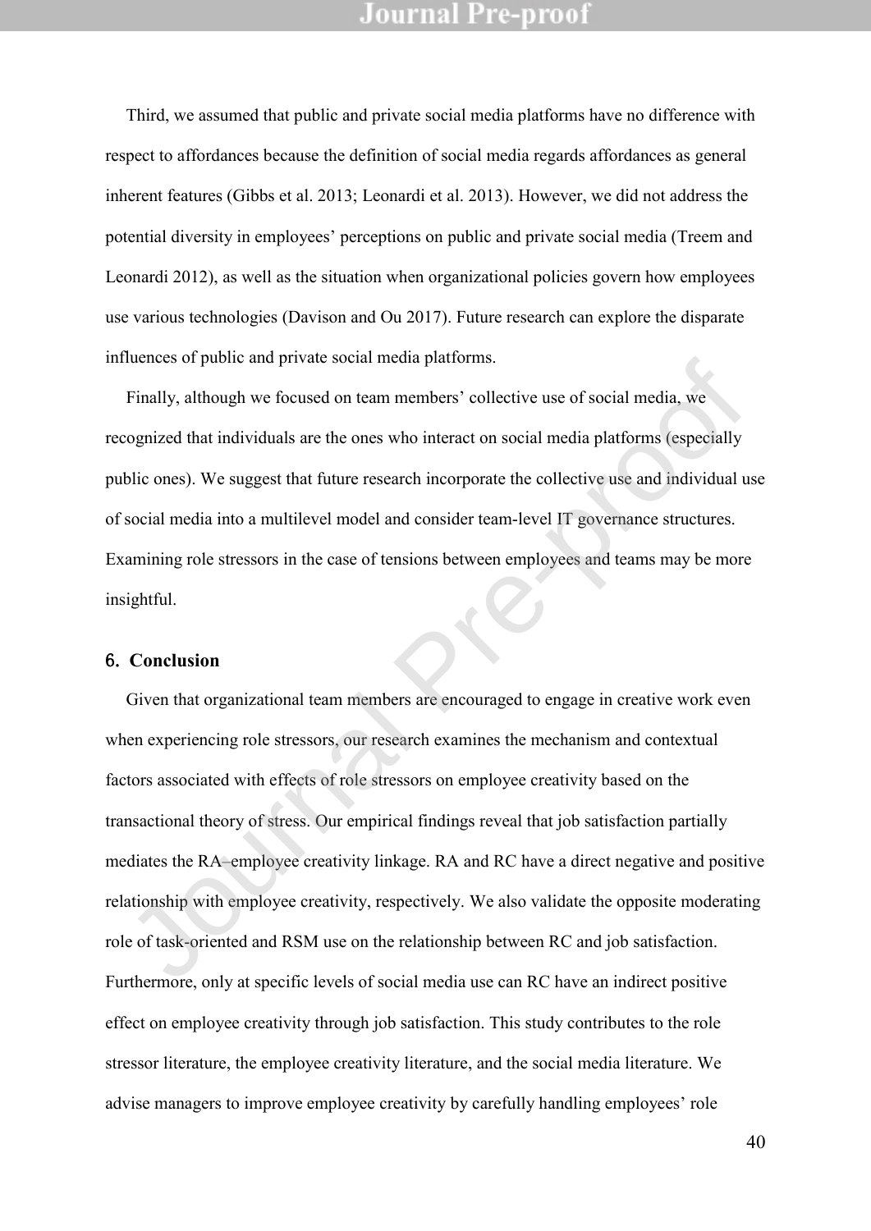Third, we assumed that public and private social media platforms have no difference with respect to affordances because the definition of social media regards affordances as general inherent features (Gibbs et al. 2013; Leonardi et al. 2013). However, we did not address the potential diversity in employees' perceptions on public and private social media (Treem and Leonardi 2012), as well as the situation when organizational policies govern how employees use various technologies (Davison and Ou 2017). Future research can explore the disparate influences of public and private social media platforms.

Finally, although we focused on team members' collective use of social media, we recognized that individuals are the ones who interact on social media platforms (especially public ones). We suggest that future research incorporate the collective use and individual use of social media into a multilevel model and consider team-level IT governance structures. Examining role stressors in the case of tensions between employees and teams may be more insightful.

#### 6. **Conclusion**

Given that organizational team members are encouraged to engage in creative work even when experiencing role stressors, our research examines the mechanism and contextual factors associated with effects of role stressors on employee creativity based on the transactional theory of stress. Our empirical findings reveal that job satisfaction partially mediates the RA–employee creativity linkage. RA and RC have a direct negative and positive relationship with employee creativity, respectively. We also validate the opposite moderating role of task-oriented and RSM use on the relationship between RC and job satisfaction. Furthermore, only at specific levels of social media use can RC have an indirect positive effect on employee creativity through job satisfaction. This study contributes to the role stressor literature, the employee creativity literature, and the social media literature. We advise managers to improve employee creativity by carefully handling employees' role nuches or public and private social metals plationis.<br>
Finally, although we focused on team members' collective use of social media, we<br>
eognized that individuals are the ones who interact on social media platforms (especi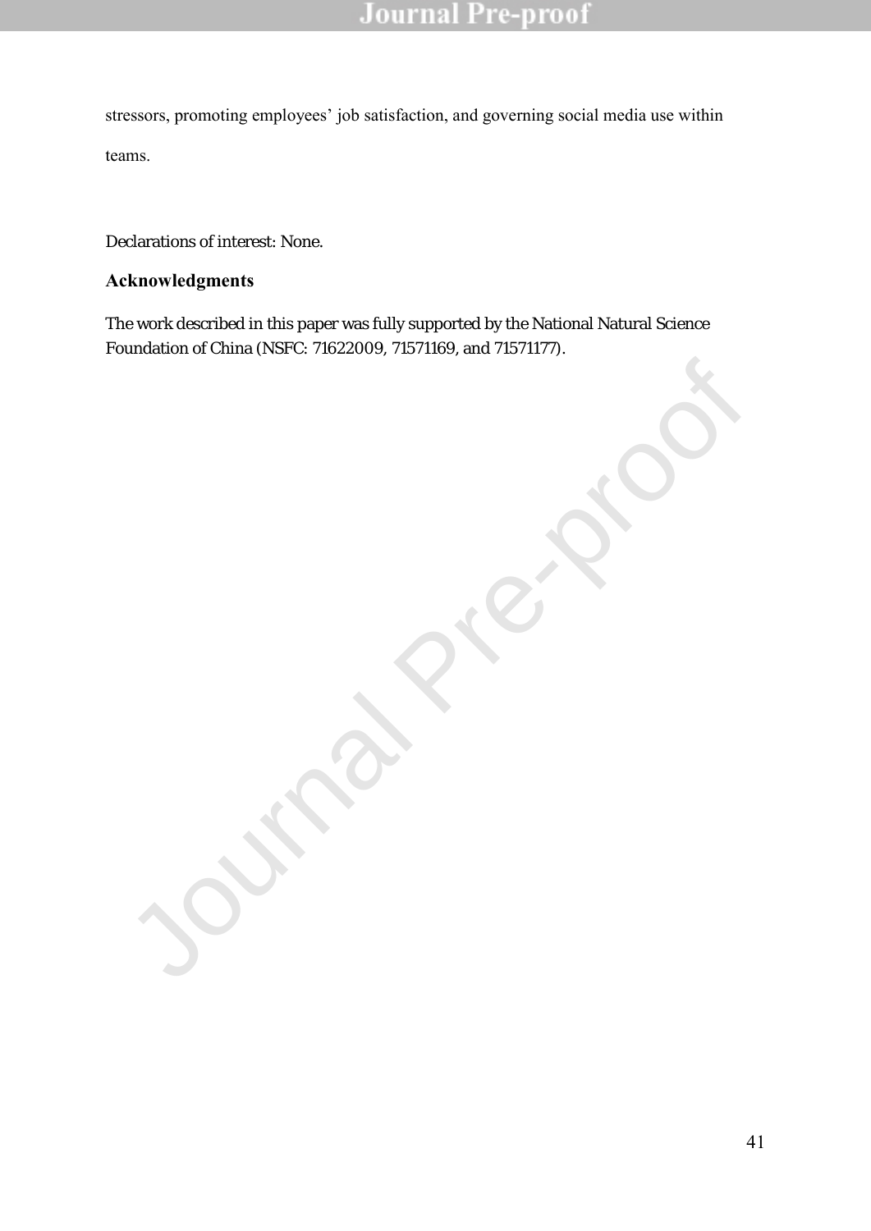stressors, promoting employees' job satisfaction, and governing social media use within teams.

Declarations of interest: None.

### **Acknowledgments**

The work described in this paper was fully supported by the National Natural Science Foundation of China (NSFC: 71622009, 71571169, and 71571177).

Journal Pre-proof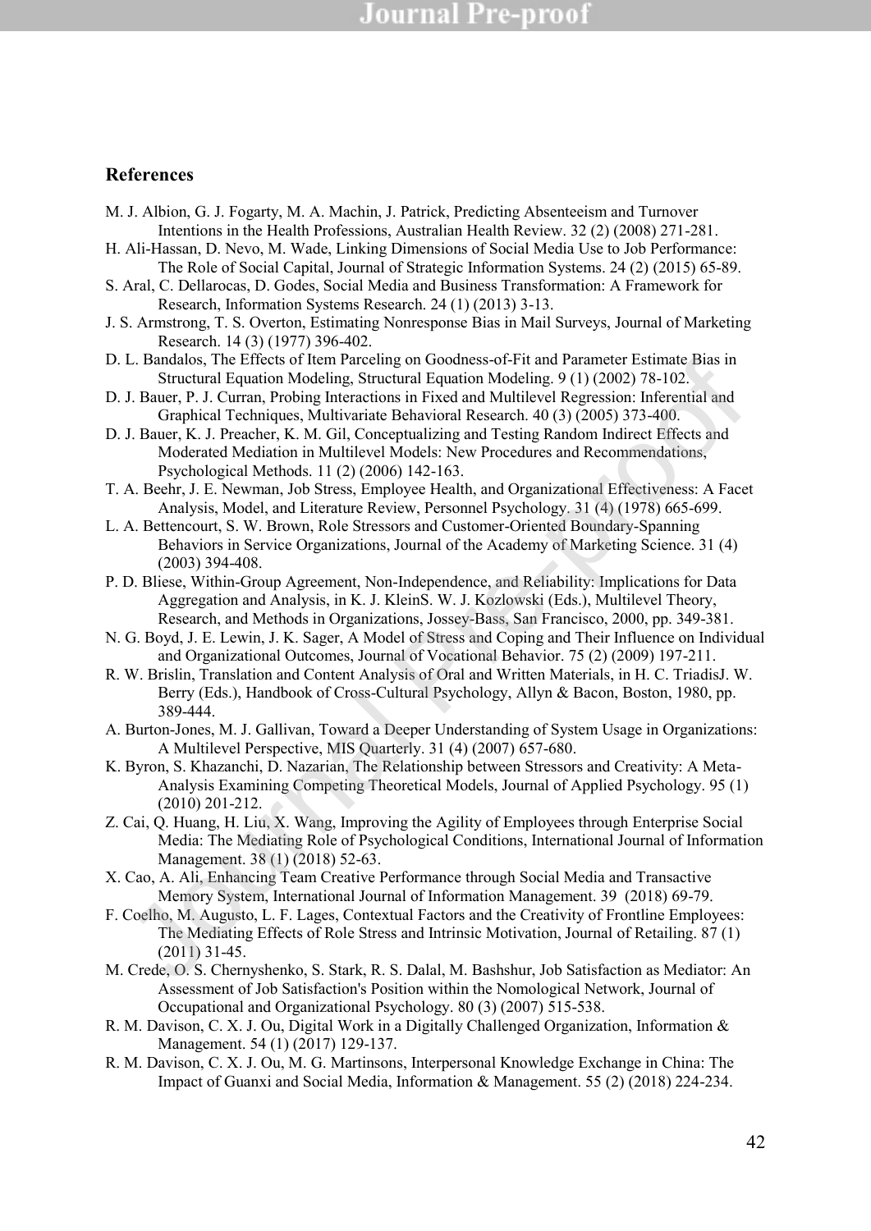#### **References**

- M. J. Albion, G. J. Fogarty, M. A. Machin, J. Patrick, Predicting Absenteeism and Turnover Intentions in the Health Professions, Australian Health Review. 32 (2) (2008) 271-281.
- H. Ali-Hassan, D. Nevo, M. Wade, Linking Dimensions of Social Media Use to Job Performance: The Role of Social Capital, Journal of Strategic Information Systems. 24 (2) (2015) 65-89.
- S. Aral, C. Dellarocas, D. Godes, Social Media and Business Transformation: A Framework for Research, Information Systems Research. 24 (1) (2013) 3-13.
- J. S. Armstrong, T. S. Overton, Estimating Nonresponse Bias in Mail Surveys, Journal of Marketing Research. 14 (3) (1977) 396-402.
- D. L. Bandalos, The Effects of Item Parceling on Goodness-of-Fit and Parameter Estimate Bias in Structural Equation Modeling, Structural Equation Modeling. 9 (1) (2002) 78-102.
- D. J. Bauer, P. J. Curran, Probing Interactions in Fixed and Multilevel Regression: Inferential and Graphical Techniques, Multivariate Behavioral Research. 40 (3) (2005) 373-400.
- D. J. Bauer, K. J. Preacher, K. M. Gil, Conceptualizing and Testing Random Indirect Effects and Moderated Mediation in Multilevel Models: New Procedures and Recommendations, Psychological Methods. 11 (2) (2006) 142-163.
- T. A. Beehr, J. E. Newman, Job Stress, Employee Health, and Organizational Effectiveness: A Facet Analysis, Model, and Literature Review, Personnel Psychology. 31 (4) (1978) 665-699.
- L. A. Bettencourt, S. W. Brown, Role Stressors and Customer-Oriented Boundary-Spanning Behaviors in Service Organizations, Journal of the Academy of Marketing Science. 31 (4) (2003) 394-408.
- P. D. Bliese, Within-Group Agreement, Non-Independence, and Reliability: Implications for Data Aggregation and Analysis, in K. J. KleinS. W. J. Kozlowski (Eds.), Multilevel Theory, Research, and Methods in Organizations, Jossey-Bass, San Francisco, 2000, pp. 349-381.
- N. G. Boyd, J. E. Lewin, J. K. Sager, A Model of Stress and Coping and Their Influence on Individual and Organizational Outcomes, Journal of Vocational Behavior. 75 (2) (2009) 197-211.
- R. W. Brislin, Translation and Content Analysis of Oral and Written Materials, in H. C. TriadisJ. W. Berry (Eds.), Handbook of Cross-Cultural Psychology, Allyn & Bacon, Boston, 1980, pp. 389-444.
- A. Burton-Jones, M. J. Gallivan, Toward a Deeper Understanding of System Usage in Organizations: A Multilevel Perspective, MIS Quarterly. 31 (4) (2007) 657-680.
- K. Byron, S. Khazanchi, D. Nazarian, The Relationship between Stressors and Creativity: A Meta-Analysis Examining Competing Theoretical Models, Journal of Applied Psychology. 95 (1) (2010) 201-212. L. Bandatos, Inc. ILInets of Item Parcelargo in Coolmass-01-14 and Parameter Esimnet Bandati Structural Equation Modeling, Structural Equation Modeling, 9 (1) (2002) 78-102.<br>
J. Bauer, P.J. Curnan, Probing Interactions in
- Z. Cai, Q. Huang, H. Liu, X. Wang, Improving the Agility of Employees through Enterprise Social Media: The Mediating Role of Psychological Conditions, International Journal of Information Management. 38 (1) (2018) 52-63.
- X. Cao, A. Ali, Enhancing Team Creative Performance through Social Media and Transactive Memory System, International Journal of Information Management. 39 (2018) 69-79.
- F. Coelho, M. Augusto, L. F. Lages, Contextual Factors and the Creativity of Frontline Employees: The Mediating Effects of Role Stress and Intrinsic Motivation, Journal of Retailing. 87 (1) (2011) 31-45.
- M. Crede, O. S. Chernyshenko, S. Stark, R. S. Dalal, M. Bashshur, Job Satisfaction as Mediator: An Assessment of Job Satisfaction's Position within the Nomological Network, Journal of Occupational and Organizational Psychology. 80 (3) (2007) 515-538.
- R. M. Davison, C. X. J. Ou, Digital Work in a Digitally Challenged Organization, Information & Management. 54 (1) (2017) 129-137.
- R. M. Davison, C. X. J. Ou, M. G. Martinsons, Interpersonal Knowledge Exchange in China: The Impact of Guanxi and Social Media, Information & Management. 55 (2) (2018) 224-234.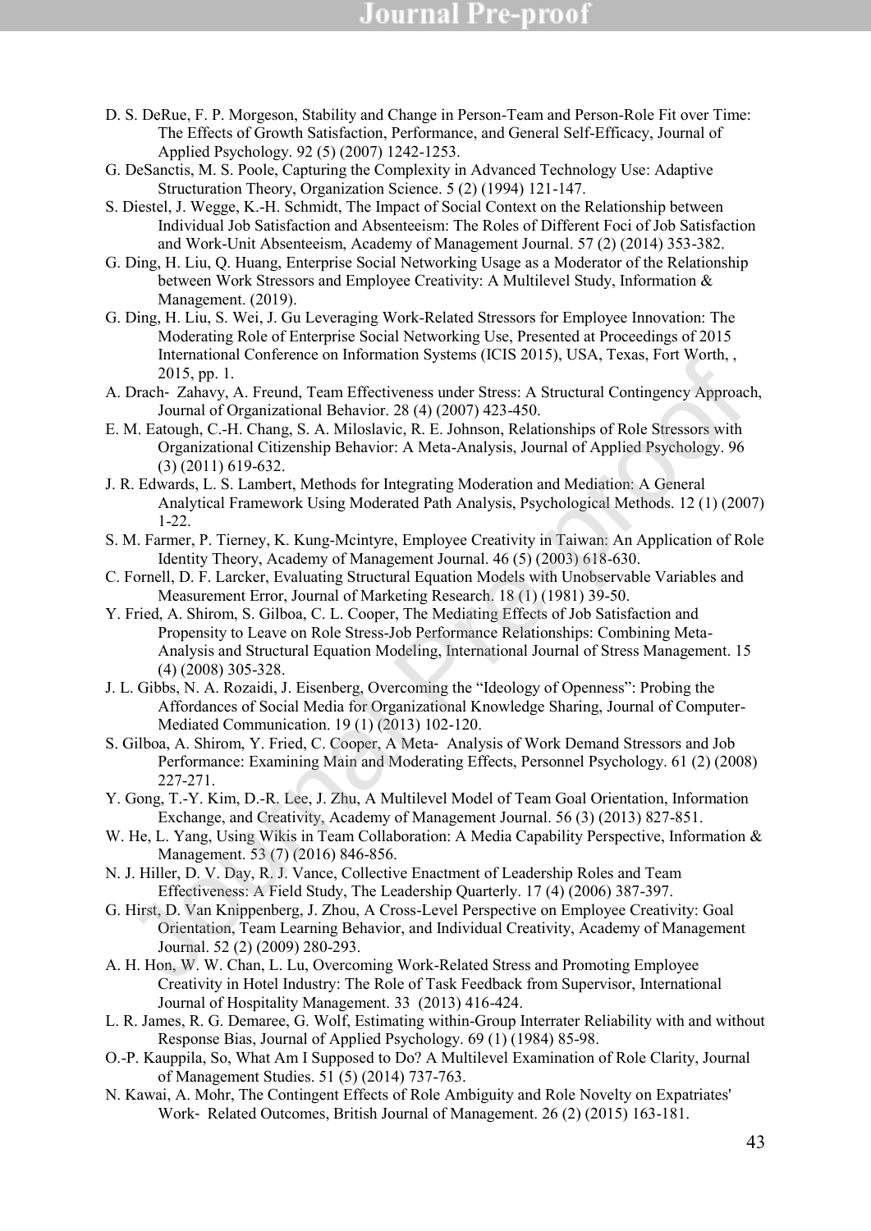- D. S. DeRue, F. P. Morgeson, Stability and Change in Person-Team and Person-Role Fit over Time: The Effects of Growth Satisfaction, Performance, and General Self-Efficacy, Journal of Applied Psychology. 92 (5) (2007) 1242-1253.
- G. DeSanctis, M. S. Poole, Capturing the Complexity in Advanced Technology Use: Adaptive Structuration Theory, Organization Science. 5 (2) (1994) 121-147.
- S. Diestel, J. Wegge, K.-H. Schmidt, The Impact of Social Context on the Relationship between Individual Job Satisfaction and Absenteeism: The Roles of Different Foci of Job Satisfaction and Work-Unit Absenteeism, Academy of Management Journal. 57 (2) (2014) 353-382.
- G. Ding, H. Liu, Q. Huang, Enterprise Social Networking Usage as a Moderator of the Relationship between Work Stressors and Employee Creativity: A Multilevel Study, Information & Management. (2019).
- G. Ding, H. Liu, S. Wei, J. Gu Leveraging Work-Related Stressors for Employee Innovation: The Moderating Role of Enterprise Social Networking Use, Presented at Proceedings of 2015 International Conference on Information Systems (ICIS 2015), USA, Texas, Fort Worth, , 2015, pp. 1.
- A. Drach‐ Zahavy, A. Freund, Team Effectiveness under Stress: A Structural Contingency Approach, Journal of Organizational Behavior. 28 (4) (2007) 423-450.
- E. M. Eatough, C.-H. Chang, S. A. Miloslavic, R. E. Johnson, Relationships of Role Stressors with Organizational Citizenship Behavior: A Meta-Analysis, Journal of Applied Psychology. 96 (3) (2011) 619-632.
- J. R. Edwards, L. S. Lambert, Methods for Integrating Moderation and Mediation: A General Analytical Framework Using Moderated Path Analysis, Psychological Methods. 12 (1) (2007) 1-22.
- S. M. Farmer, P. Tierney, K. Kung-Mcintyre, Employee Creativity in Taiwan: An Application of Role Identity Theory, Academy of Management Journal. 46 (5) (2003) 618-630.
- C. Fornell, D. F. Larcker, Evaluating Structural Equation Models with Unobservable Variables and Measurement Error, Journal of Marketing Research. 18 (1) (1981) 39-50.
- Y. Fried, A. Shirom, S. Gilboa, C. L. Cooper, The Mediating Effects of Job Satisfaction and Propensity to Leave on Role Stress-Job Performance Relationships: Combining Meta-Analysis and Structural Equation Modeling, International Journal of Stress Management. 15 (4) (2008) 305-328. namanum contenturo operator (102 2012), Ozix, 1 exas, 1 etc victural,<br>
2015, pp. 1.<br>
Drach-Palawic, A. Freud, Team F. Freivenchess ander Stress: A Structural Contingency Approach<br>
Journal of Organizational Behavior: 28 (4)
- J. L. Gibbs, N. A. Rozaidi, J. Eisenberg, Overcoming the "Ideology of Openness": Probing the Affordances of Social Media for Organizational Knowledge Sharing, Journal of Computer-Mediated Communication. 19 (1) (2013) 102-120.
- S. Gilboa, A. Shirom, Y. Fried, C. Cooper, A Meta‐ Analysis of Work Demand Stressors and Job Performance: Examining Main and Moderating Effects, Personnel Psychology. 61 (2) (2008) 227-271.
- Y. Gong, T.-Y. Kim, D.-R. Lee, J. Zhu, A Multilevel Model of Team Goal Orientation, Information Exchange, and Creativity, Academy of Management Journal. 56 (3) (2013) 827-851.
- W. He, L. Yang, Using Wikis in Team Collaboration: A Media Capability Perspective, Information & Management. 53 (7) (2016) 846-856.
- N. J. Hiller, D. V. Day, R. J. Vance, Collective Enactment of Leadership Roles and Team Effectiveness: A Field Study, The Leadership Quarterly. 17 (4) (2006) 387-397.
- G. Hirst, D. Van Knippenberg, J. Zhou, A Cross-Level Perspective on Employee Creativity: Goal Orientation, Team Learning Behavior, and Individual Creativity, Academy of Management Journal. 52 (2) (2009) 280-293.
- A. H. Hon, W. W. Chan, L. Lu, Overcoming Work-Related Stress and Promoting Employee Creativity in Hotel Industry: The Role of Task Feedback from Supervisor, International Journal of Hospitality Management. 33 (2013) 416-424.
- L. R. James, R. G. Demaree, G. Wolf, Estimating within-Group Interrater Reliability with and without Response Bias, Journal of Applied Psychology. 69 (1) (1984) 85-98.
- O.-P. Kauppila, So, What Am I Supposed to Do? A Multilevel Examination of Role Clarity, Journal of Management Studies. 51 (5) (2014) 737-763.
- N. Kawai, A. Mohr, The Contingent Effects of Role Ambiguity and Role Novelty on Expatriates' Work‐ Related Outcomes, British Journal of Management. 26 (2) (2015) 163-181.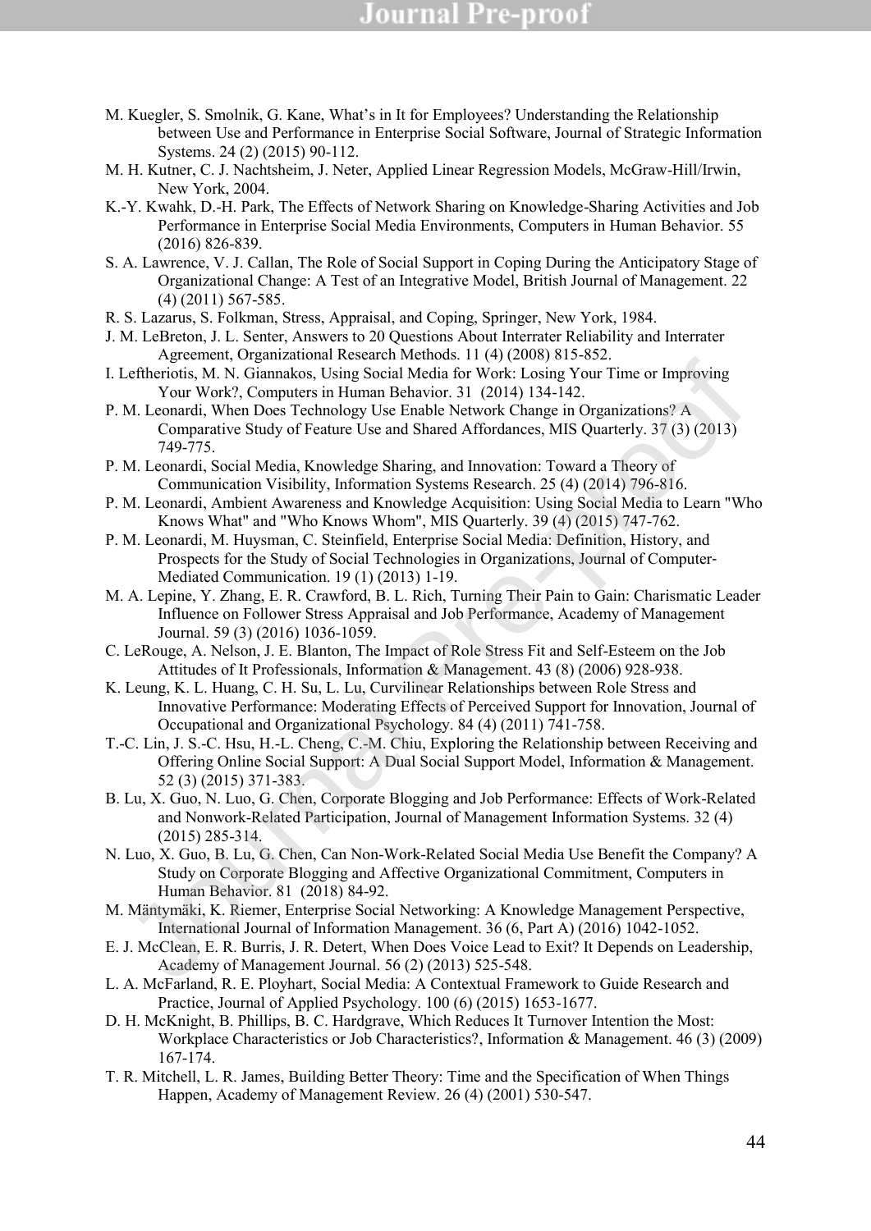- M. Kuegler, S. Smolnik, G. Kane, What's in It for Employees? Understanding the Relationship between Use and Performance in Enterprise Social Software, Journal of Strategic Information Systems. 24 (2) (2015) 90-112.
- M. H. Kutner, C. J. Nachtsheim, J. Neter, Applied Linear Regression Models, McGraw-Hill/Irwin, New York, 2004.
- K.-Y. Kwahk, D.-H. Park, The Effects of Network Sharing on Knowledge-Sharing Activities and Job Performance in Enterprise Social Media Environments, Computers in Human Behavior. 55 (2016) 826-839.
- S. A. Lawrence, V. J. Callan, The Role of Social Support in Coping During the Anticipatory Stage of Organizational Change: A Test of an Integrative Model, British Journal of Management. 22 (4) (2011) 567-585.
- R. S. Lazarus, S. Folkman, Stress, Appraisal, and Coping, Springer, New York, 1984.
- J. M. LeBreton, J. L. Senter, Answers to 20 Questions About Interrater Reliability and Interrater Agreement, Organizational Research Methods. 11 (4) (2008) 815-852.
- I. Leftheriotis, M. N. Giannakos, Using Social Media for Work: Losing Your Time or Improving Your Work?, Computers in Human Behavior. 31 (2014) 134-142.
- P. M. Leonardi, When Does Technology Use Enable Network Change in Organizations? A Comparative Study of Feature Use and Shared Affordances, MIS Quarterly. 37 (3) (2013) 749-775.
- P. M. Leonardi, Social Media, Knowledge Sharing, and Innovation: Toward a Theory of Communication Visibility, Information Systems Research. 25 (4) (2014) 796-816.
- P. M. Leonardi, Ambient Awareness and Knowledge Acquisition: Using Social Media to Learn "Who Knows What" and "Who Knows Whom", MIS Quarterly. 39 (4) (2015) 747-762.
- P. M. Leonardi, M. Huysman, C. Steinfield, Enterprise Social Media: Definition, History, and Prospects for the Study of Social Technologies in Organizations, Journal of Computer‐ Mediated Communication. 19 (1) (2013) 1-19.
- M. A. Lepine, Y. Zhang, E. R. Crawford, B. L. Rich, Turning Their Pain to Gain: Charismatic Leader Influence on Follower Stress Appraisal and Job Performance, Academy of Management Journal. 59 (3) (2016) 1036-1059.
- C. LeRouge, A. Nelson, J. E. Blanton, The Impact of Role Stress Fit and Self-Esteem on the Job Attitudes of It Professionals, Information & Management. 43 (8) (2006) 928-938.
- K. Leung, K. L. Huang, C. H. Su, L. Lu, Curvilinear Relationships between Role Stress and Innovative Performance: Moderating Effects of Perceived Support for Innovation, Journal of Occupational and Organizational Psychology. 84 (4) (2011) 741-758.
- T.-C. Lin, J. S.-C. Hsu, H.-L. Cheng, C.-M. Chiu, Exploring the Relationship between Receiving and Offering Online Social Support: A Dual Social Support Model, Information & Management. 52 (3) (2015) 371-383. 1. rietwaren vogalinal messacian restances. 1. (Vocoto) (O. 2013)<br>
Tortundik, M. N. Giannakos, Using Social Media for Work: Losing Your Time or Improving<br>
Your Work?, Computers in Human Behavior, 31 (2014) 134-142.<br>
M. Leo
- B. Lu, X. Guo, N. Luo, G. Chen, Corporate Blogging and Job Performance: Effects of Work-Related and Nonwork-Related Participation, Journal of Management Information Systems. 32 (4) (2015) 285-314.
- N. Luo, X. Guo, B. Lu, G. Chen, Can Non-Work-Related Social Media Use Benefit the Company? A Study on Corporate Blogging and Affective Organizational Commitment, Computers in Human Behavior. 81 (2018) 84-92.
- M. Mäntymäki, K. Riemer, Enterprise Social Networking: A Knowledge Management Perspective, International Journal of Information Management. 36 (6, Part A) (2016) 1042-1052.
- E. J. McClean, E. R. Burris, J. R. Detert, When Does Voice Lead to Exit? It Depends on Leadership, Academy of Management Journal. 56 (2) (2013) 525-548.
- L. A. McFarland, R. E. Ployhart, Social Media: A Contextual Framework to Guide Research and Practice, Journal of Applied Psychology. 100 (6) (2015) 1653-1677.
- D. H. McKnight, B. Phillips, B. C. Hardgrave, Which Reduces It Turnover Intention the Most: Workplace Characteristics or Job Characteristics?, Information & Management. 46 (3) (2009) 167-174.
- T. R. Mitchell, L. R. James, Building Better Theory: Time and the Specification of When Things Happen, Academy of Management Review. 26 (4) (2001) 530-547.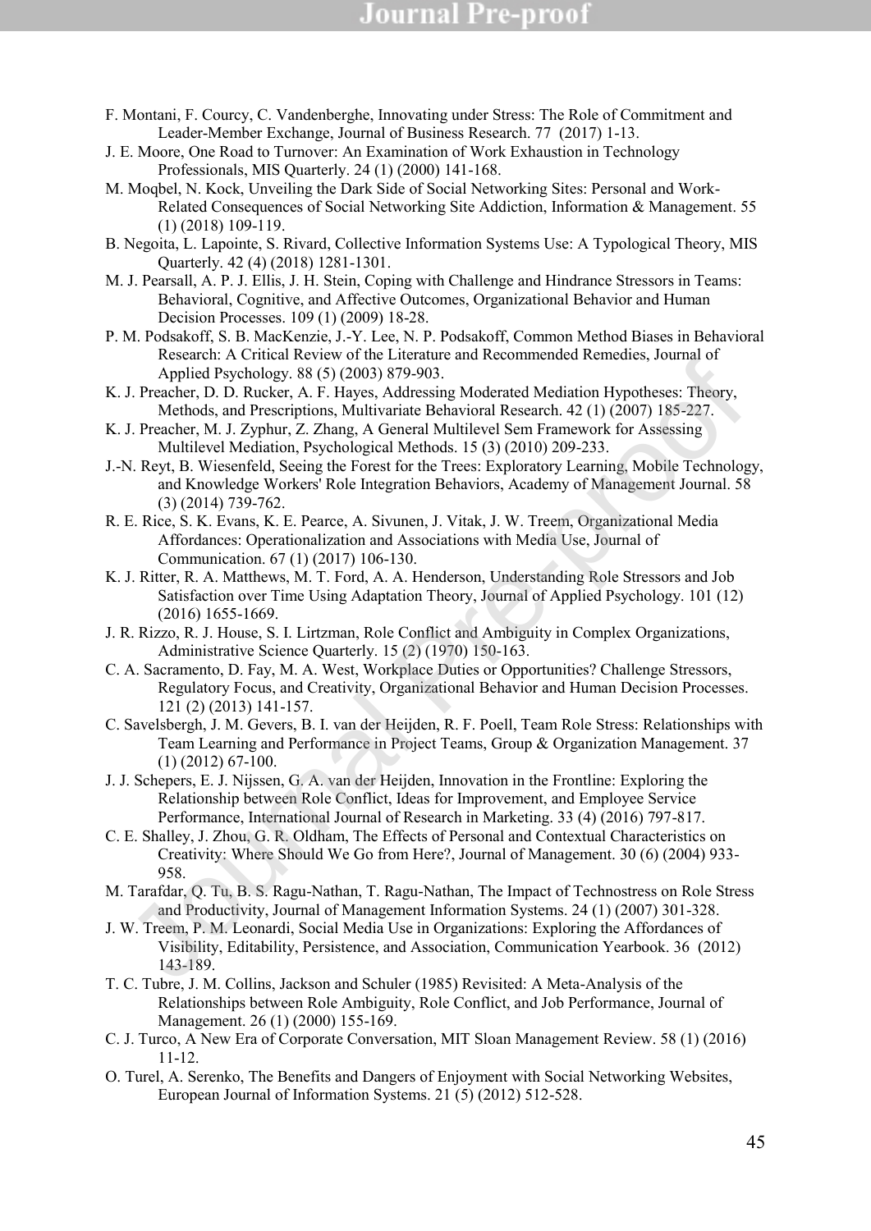- F. Montani, F. Courcy, C. Vandenberghe, Innovating under Stress: The Role of Commitment and Leader-Member Exchange, Journal of Business Research. 77 (2017) 1-13.
- J. E. Moore, One Road to Turnover: An Examination of Work Exhaustion in Technology Professionals, MIS Quarterly. 24 (1) (2000) 141-168.
- M. Moqbel, N. Kock, Unveiling the Dark Side of Social Networking Sites: Personal and Work-Related Consequences of Social Networking Site Addiction, Information & Management. 55 (1) (2018) 109-119.
- B. Negoita, L. Lapointe, S. Rivard, Collective Information Systems Use: A Typological Theory, MIS Quarterly. 42 (4) (2018) 1281-1301.
- M. J. Pearsall, A. P. J. Ellis, J. H. Stein, Coping with Challenge and Hindrance Stressors in Teams: Behavioral, Cognitive, and Affective Outcomes, Organizational Behavior and Human Decision Processes. 109 (1) (2009) 18-28.
- P. M. Podsakoff, S. B. MacKenzie, J.-Y. Lee, N. P. Podsakoff, Common Method Biases in Behavioral Research: A Critical Review of the Literature and Recommended Remedies, Journal of Applied Psychology. 88 (5) (2003) 879-903.
- K. J. Preacher, D. D. Rucker, A. F. Hayes, Addressing Moderated Mediation Hypotheses: Theory, Methods, and Prescriptions, Multivariate Behavioral Research. 42 (1) (2007) 185-227.
- K. J. Preacher, M. J. Zyphur, Z. Zhang, A General Multilevel Sem Framework for Assessing Multilevel Mediation, Psychological Methods. 15 (3) (2010) 209-233.
- J.-N. Reyt, B. Wiesenfeld, Seeing the Forest for the Trees: Exploratory Learning, Mobile Technology, and Knowledge Workers' Role Integration Behaviors, Academy of Management Journal. 58 (3) (2014) 739-762.
- R. E. Rice, S. K. Evans, K. E. Pearce, A. Sivunen, J. Vitak, J. W. Treem, Organizational Media Affordances: Operationalization and Associations with Media Use, Journal of Communication. 67 (1) (2017) 106-130.
- K. J. Ritter, R. A. Matthews, M. T. Ford, A. A. Henderson, Understanding Role Stressors and Job Satisfaction over Time Using Adaptation Theory, Journal of Applied Psychology. 101 (12) (2016) 1655-1669.
- J. R. Rizzo, R. J. House, S. I. Lirtzman, Role Conflict and Ambiguity in Complex Organizations, Administrative Science Quarterly. 15 (2) (1970) 150-163.
- C. A. Sacramento, D. Fay, M. A. West, Workplace Duties or Opportunities? Challenge Stressors, Regulatory Focus, and Creativity, Organizational Behavior and Human Decision Processes. 121 (2) (2013) 141-157.
- C. Savelsbergh, J. M. Gevers, B. I. van der Heijden, R. F. Poell, Team Role Stress: Relationships with Team Learning and Performance in Project Teams, Group & Organization Management. 37 (1) (2012) 67-100.
- J. J. Schepers, E. J. Nijssen, G. A. van der Heijden, Innovation in the Frontline: Exploring the Relationship between Role Conflict, Ideas for Improvement, and Employee Service Performance, International Journal of Research in Marketing. 33 (4) (2016) 797-817.
- C. E. Shalley, J. Zhou, G. R. Oldham, The Effects of Personal and Contextual Characteristics on Creativity: Where Should We Go from Here?, Journal of Management. 30 (6) (2004) 933- 958. Exerge To The Restricts. The Hayta Mathematical Contains (Californey Mathematical Pre-proof). I. Presenction, Mathematical Mathematical Mathematical Pre-proof for Assessing Mathematical Pre-proof for Assessing Mathematical
- M. Tarafdar, Q. Tu, B. S. Ragu-Nathan, T. Ragu-Nathan, The Impact of Technostress on Role Stress and Productivity, Journal of Management Information Systems. 24 (1) (2007) 301-328.
- J. W. Treem, P. M. Leonardi, Social Media Use in Organizations: Exploring the Affordances of Visibility, Editability, Persistence, and Association, Communication Yearbook. 36 (2012) 143-189.
- T. C. Tubre, J. M. Collins, Jackson and Schuler (1985) Revisited: A Meta-Analysis of the Relationships between Role Ambiguity, Role Conflict, and Job Performance, Journal of Management. 26 (1) (2000) 155-169.
- C. J. Turco, A New Era of Corporate Conversation, MIT Sloan Management Review. 58 (1) (2016) 11-12.
- O. Turel, A. Serenko, The Benefits and Dangers of Enjoyment with Social Networking Websites, European Journal of Information Systems. 21 (5) (2012) 512-528.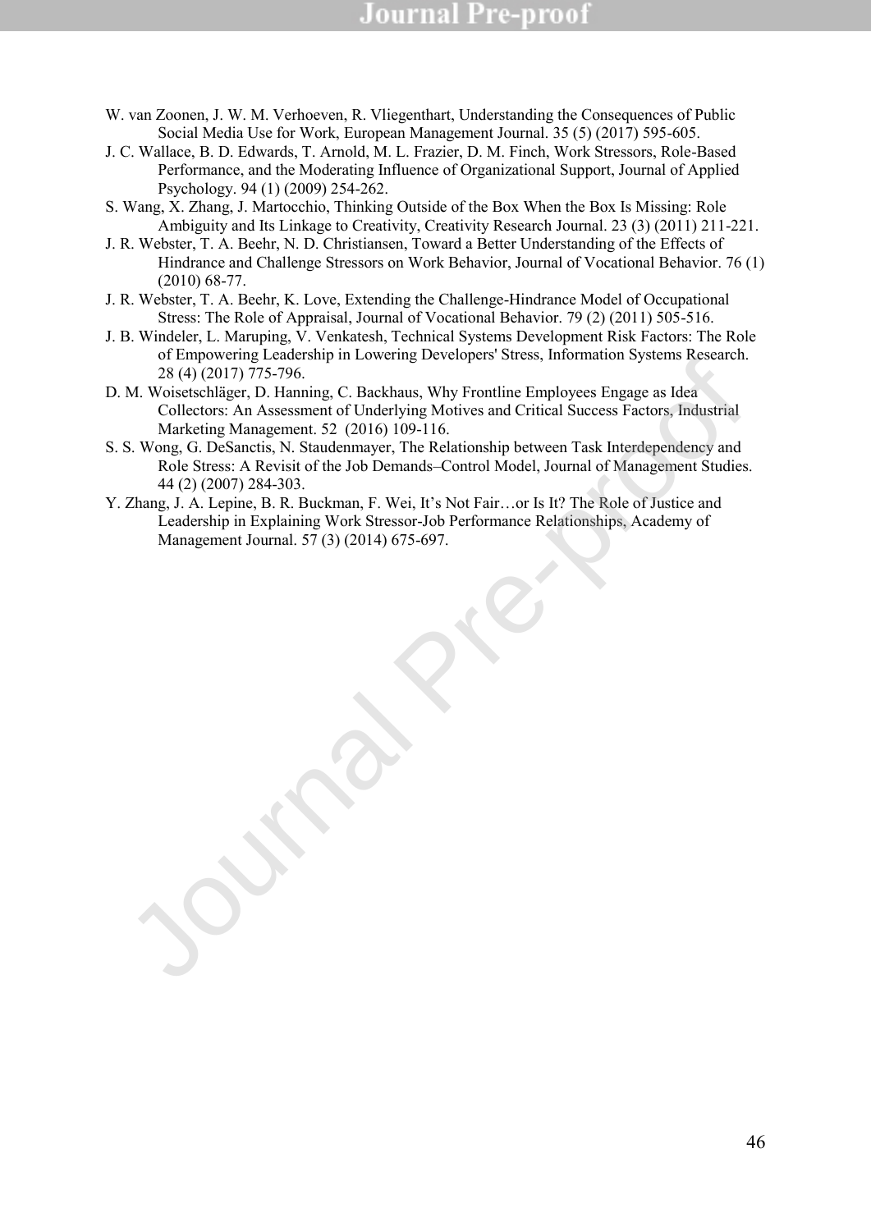- W. van Zoonen, J. W. M. Verhoeven, R. Vliegenthart, Understanding the Consequences of Public Social Media Use for Work, European Management Journal. 35 (5) (2017) 595-605.
- J. C. Wallace, B. D. Edwards, T. Arnold, M. L. Frazier, D. M. Finch, Work Stressors, Role-Based Performance, and the Moderating Influence of Organizational Support, Journal of Applied Psychology. 94 (1) (2009) 254-262.
- S. Wang, X. Zhang, J. Martocchio, Thinking Outside of the Box When the Box Is Missing: Role Ambiguity and Its Linkage to Creativity, Creativity Research Journal. 23 (3) (2011) 211-221.
- J. R. Webster, T. A. Beehr, N. D. Christiansen, Toward a Better Understanding of the Effects of Hindrance and Challenge Stressors on Work Behavior, Journal of Vocational Behavior. 76 (1) (2010) 68-77.
- J. R. Webster, T. A. Beehr, K. Love, Extending the Challenge-Hindrance Model of Occupational Stress: The Role of Appraisal, Journal of Vocational Behavior. 79 (2) (2011) 505-516.
- J. B. Windeler, L. Maruping, V. Venkatesh, Technical Systems Development Risk Factors: The Role of Empowering Leadership in Lowering Developers' Stress, Information Systems Research. 28 (4) (2017) 775-796.
- D. M. Woisetschläger, D. Hanning, C. Backhaus, Why Frontline Employees Engage as Idea Collectors: An Assessment of Underlying Motives and Critical Success Factors, Industrial Marketing Management. 52 (2016) 109-116.
- S. S. Wong, G. DeSanctis, N. Staudenmayer, The Relationship between Task Interdependency and Role Stress: A Revisit of the Job Demands–Control Model, Journal of Management Studies. 44 (2) (2007) 284-303. The Norschellager, D. Hamilton, The C. Rackhaus, Why Frontine Englopes Figure 2014.<br>
M. Wolfsteinlight, D. Hamilton, C. The Nelson, Why Form the Employees Factors, Industrial<br>
M. Collectors: An Assessment of Underlying Mot
- Y. Zhang, J. A. Lepine, B. R. Buckman, F. Wei, It's Not Fair…or Is It? The Role of Justice and Leadership in Explaining Work Stressor-Job Performance Relationships, Academy of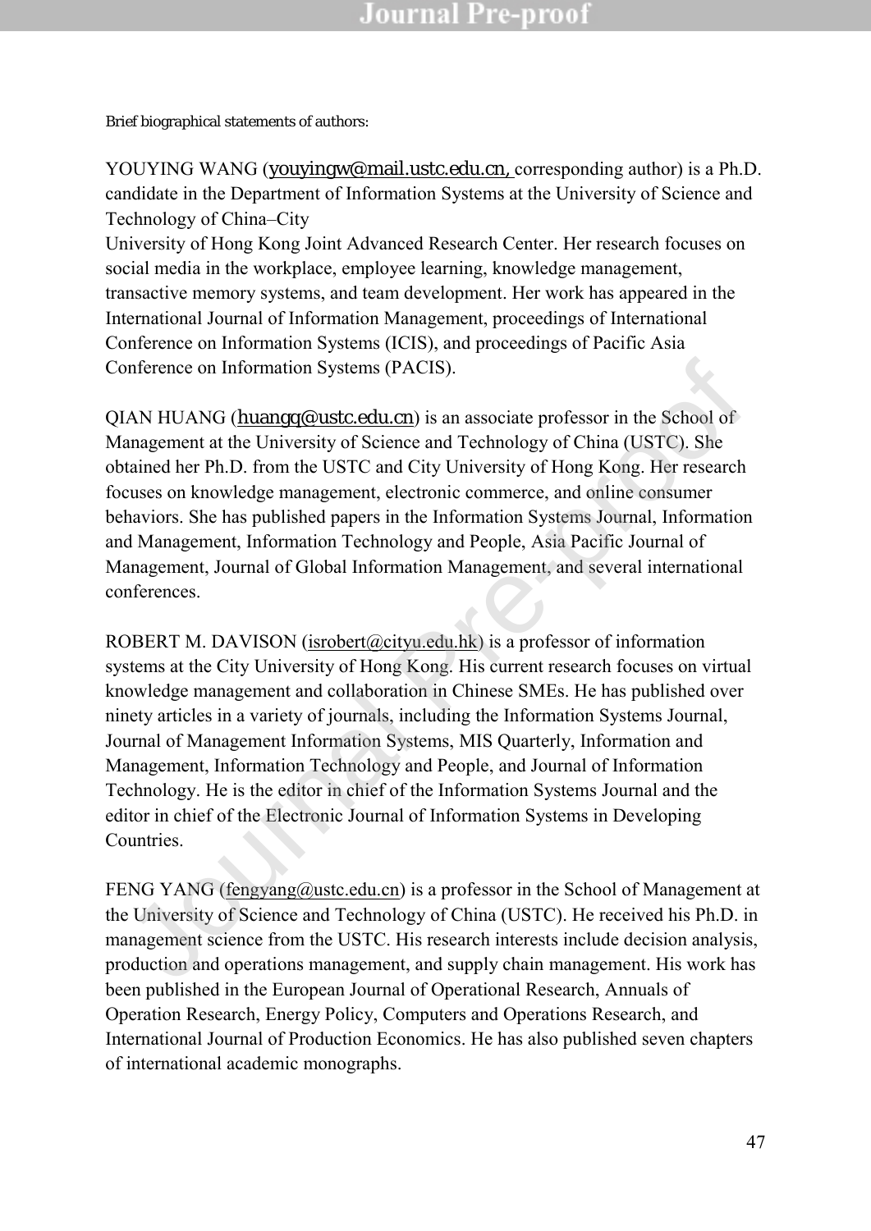Brief biographical statements of authors:

YOUYING WANG ([youyingw@mail.ustc.edu.cn,](mailto:youyingw@mail.ustc.edu.cn) corresponding author) is a Ph.D. candidate in the Department of Information Systems at the University of Science and Technology of China–City

University of Hong Kong Joint Advanced Research Center. Her research focuses on social media in the workplace, employee learning, knowledge management, transactive memory systems, and team development. Her work has appeared in the International Journal of Information Management, proceedings of International Conference on Information Systems (ICIS), and proceedings of Pacific Asia Conference on Information Systems (PACIS).

QIAN HUANG (huangq@ustc.edu.cn) is an associate professor in the School of Management at the University of Science and Technology of China (USTC). She obtained her Ph.D. from the USTC and City University of Hong Kong. Her research focuses on knowledge management, electronic commerce, and online consumer behaviors. She has published papers in the Information Systems Journal, Information and Management, Information Technology and People, Asia Pacific Journal of Management, Journal of Global Information Management, and several international conferences.

ROBERT M. DAVISON (isrobert@cityu.edu.hk) is a professor of information systems at the City University of Hong Kong. His current research focuses on virtual knowledge management and collaboration in Chinese SMEs. He has published over ninety articles in a variety of journals, including the Information Systems Journal, Journal of Management Information Systems, MIS Quarterly, Information and Management, Information Technology and People, and Journal of Information Technology. He is the editor in chief of the Information Systems Journal and the editor in chief of the Electronic Journal of Information Systems in Developing Countries. onference on Information Systems (PACIS).<br>
IAN HUANG (h<u>uanqq@ustc.edu.cn</u>) is an associate professor in the Sehool of<br>
anagement at the University of Science and Technology of China (USTC). She<br>
tained her Ph.D. from the

FENG YANG (fengyang@ustc.edu.cn) is a professor in the School of Management at the University of Science and Technology of China (USTC). He received his Ph.D. in management science from the USTC. His research interests include decision analysis, production and operations management, and supply chain management. His work has been published in the European Journal of Operational Research, Annuals of Operation Research, Energy Policy, Computers and Operations Research, and International Journal of Production Economics. He has also published seven chapters of international academic monographs.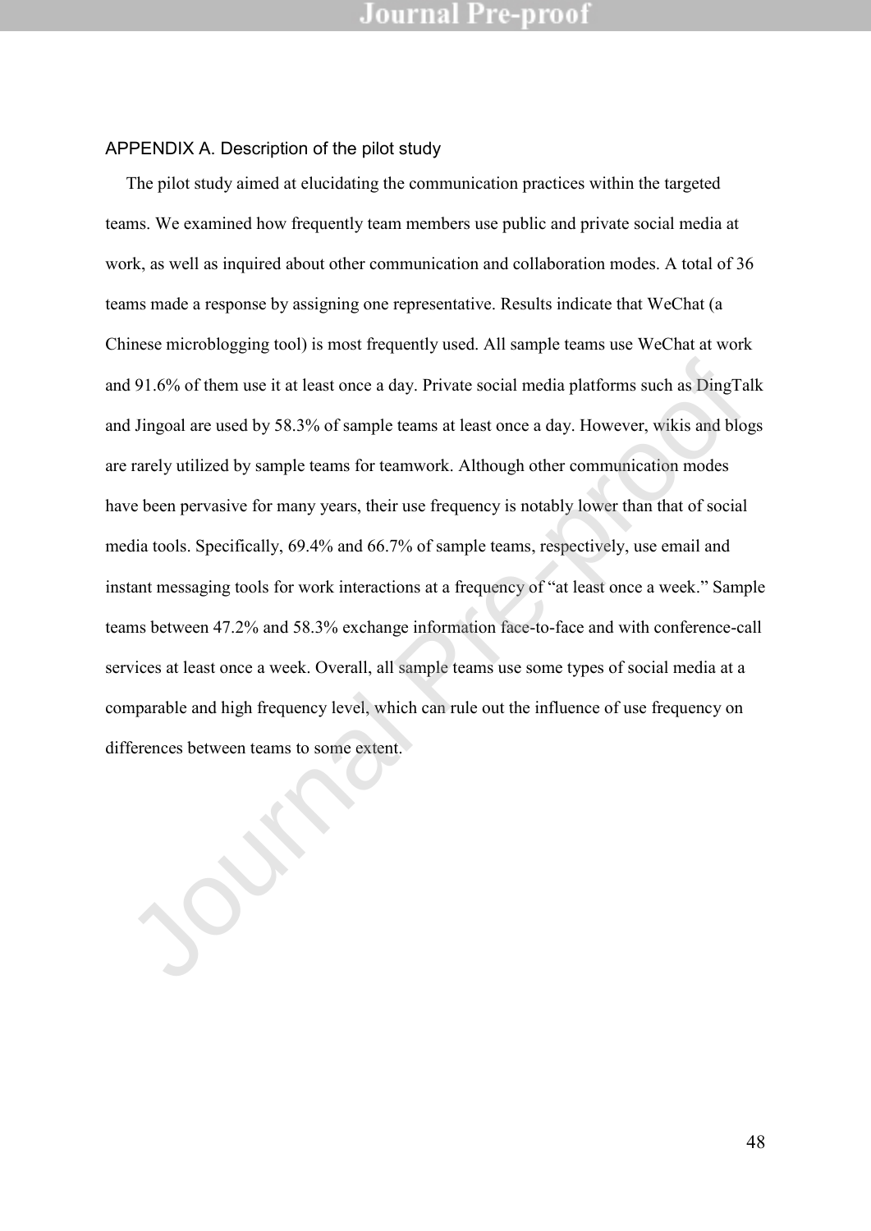#### APPENDIX A. Description of the pilot study

The pilot study aimed at elucidating the communication practices within the targeted teams. We examined how frequently team members use public and private social media at work, as well as inquired about other communication and collaboration modes. A total of 36 teams made a response by assigning one representative. Results indicate that WeChat (a Chinese microblogging tool) is most frequently used. All sample teams use WeChat at work and 91.6% of them use it at least once a day. Private social media platforms such as DingTalk and Jingoal are used by 58.3% of sample teams at least once a day. However, wikis and blogs are rarely utilized by sample teams for teamwork. Although other communication modes have been pervasive for many years, their use frequency is notably lower than that of social media tools. Specifically, 69.4% and 66.7% of sample teams, respectively, use email and instant messaging tools for work interactions at a frequency of "at least once a week." Sample teams between 47.2% and 58.3% exchange information face-to-face and with conference-call services at least once a week. Overall, all sample teams use some types of social media at a comparable and high frequency level, which can rule out the influence of use frequency on and 91.6% of them use it at least once a day. Private social media platforms such as DingTand Jingoal are used by 58.3% of sample teams at least once a day. However, wikis and blower are rarely utilized by sample teams for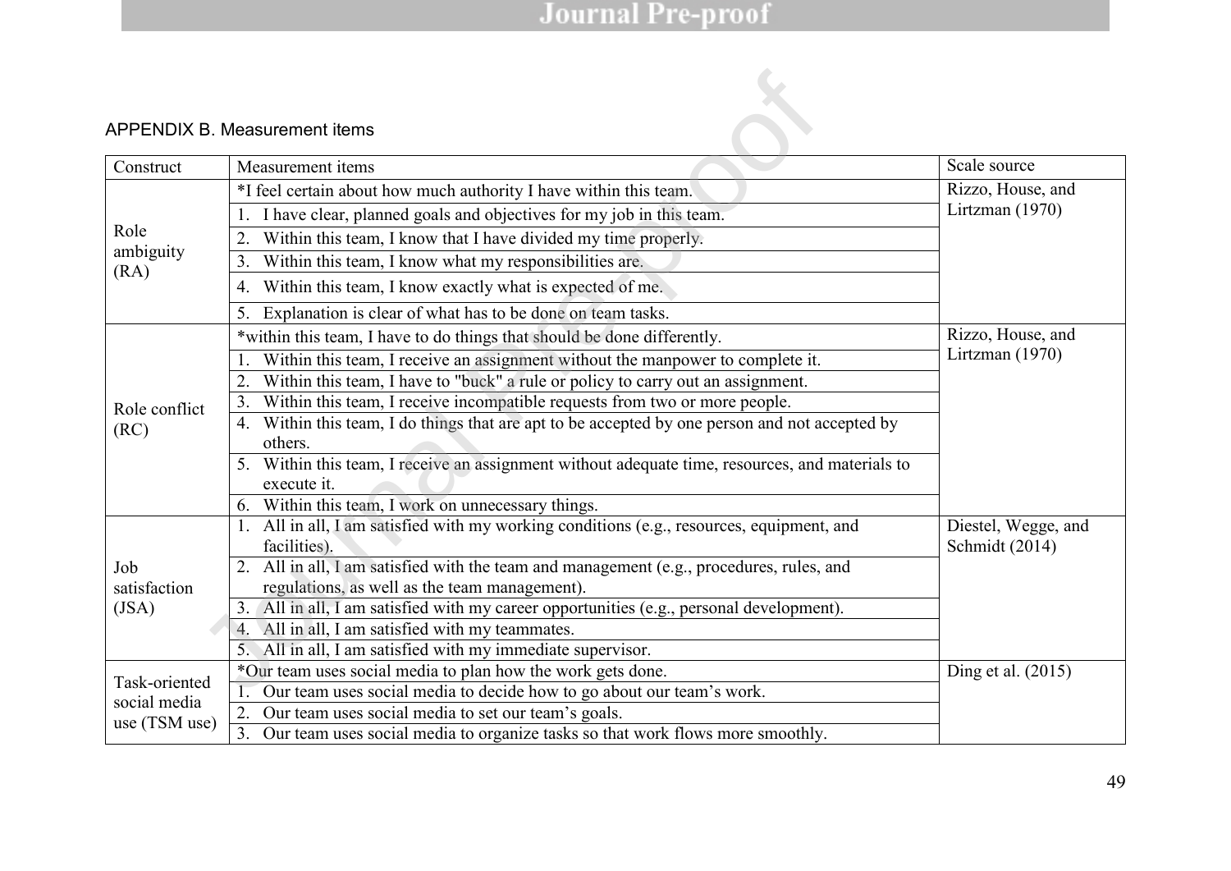### APPENDIX B. Measurement items

| Construct                     | Measurement items                                                                                                                         | Scale source                          |  |  |  |  |
|-------------------------------|-------------------------------------------------------------------------------------------------------------------------------------------|---------------------------------------|--|--|--|--|
|                               | *I feel certain about how much authority I have within this team.                                                                         | Rizzo, House, and                     |  |  |  |  |
|                               | I have clear, planned goals and objectives for my job in this team.                                                                       | Lirtzman (1970)                       |  |  |  |  |
| Role                          | Within this team, I know that I have divided my time properly.<br>2.                                                                      |                                       |  |  |  |  |
| ambiguity<br>(RA)             | Within this team, I know what my responsibilities are.<br>3.                                                                              |                                       |  |  |  |  |
|                               | 4. Within this team, I know exactly what is expected of me.                                                                               |                                       |  |  |  |  |
|                               | Explanation is clear of what has to be done on team tasks.<br>5.                                                                          |                                       |  |  |  |  |
|                               | *within this team, I have to do things that should be done differently.                                                                   | Rizzo, House, and                     |  |  |  |  |
| Role conflict                 | Within this team, I receive an assignment without the manpower to complete it.                                                            | Lirtzman (1970)                       |  |  |  |  |
|                               | Within this team, I have to "buck" a rule or policy to carry out an assignment.<br>2.                                                     |                                       |  |  |  |  |
|                               | Within this team, I receive incompatible requests from two or more people.<br>3.                                                          |                                       |  |  |  |  |
| (RC)                          | Within this team, I do things that are apt to be accepted by one person and not accepted by<br>4.<br>others.                              |                                       |  |  |  |  |
|                               | 5. Within this team, I receive an assignment without adequate time, resources, and materials to<br>execute it.                            |                                       |  |  |  |  |
|                               | Within this team, I work on unnecessary things.<br>6.                                                                                     |                                       |  |  |  |  |
|                               | All in all, I am satisfied with my working conditions (e.g., resources, equipment, and<br>1.<br>facilities).                              | Diestel, Wegge, and<br>Schmidt (2014) |  |  |  |  |
| Job<br>satisfaction           | 2. All in all, I am satisfied with the team and management (e.g., procedures, rules, and<br>regulations, as well as the team management). |                                       |  |  |  |  |
| (JSA)                         | 3. All in all, I am satisfied with my career opportunities (e.g., personal development).                                                  |                                       |  |  |  |  |
|                               | All in all, I am satisfied with my teammates.<br>4.                                                                                       |                                       |  |  |  |  |
|                               | 5. All in all, I am satisfied with my immediate supervisor.                                                                               |                                       |  |  |  |  |
|                               | *Our team uses social media to plan how the work gets done.                                                                               | Ding et al. (2015)                    |  |  |  |  |
| Task-oriented<br>social media | Our team uses social media to decide how to go about our team's work.                                                                     |                                       |  |  |  |  |
| use (TSM use)                 | 2. Our team uses social media to set our team's goals.                                                                                    |                                       |  |  |  |  |
|                               | 3. Our team uses social media to organize tasks so that work flows more smoothly.                                                         |                                       |  |  |  |  |